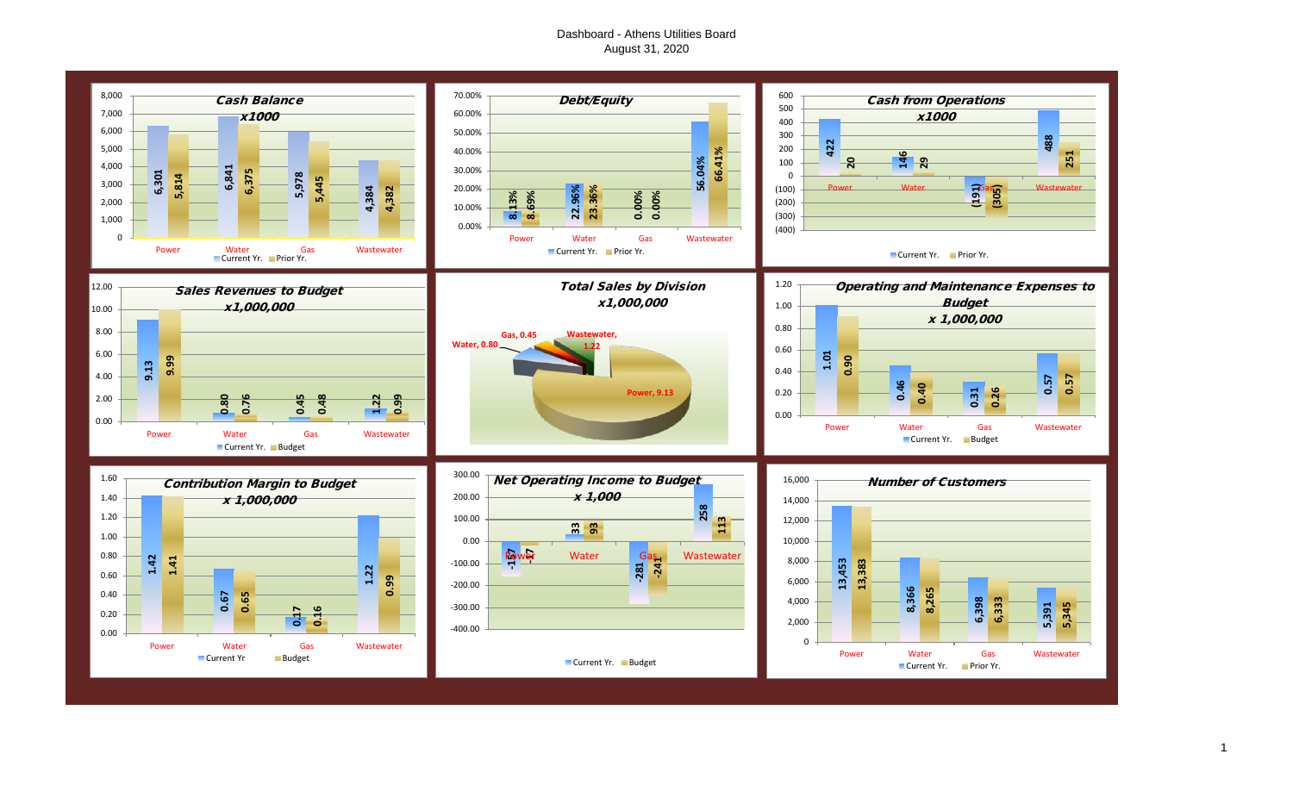# Dashboard - Athens Utilities Board August 31, 2020

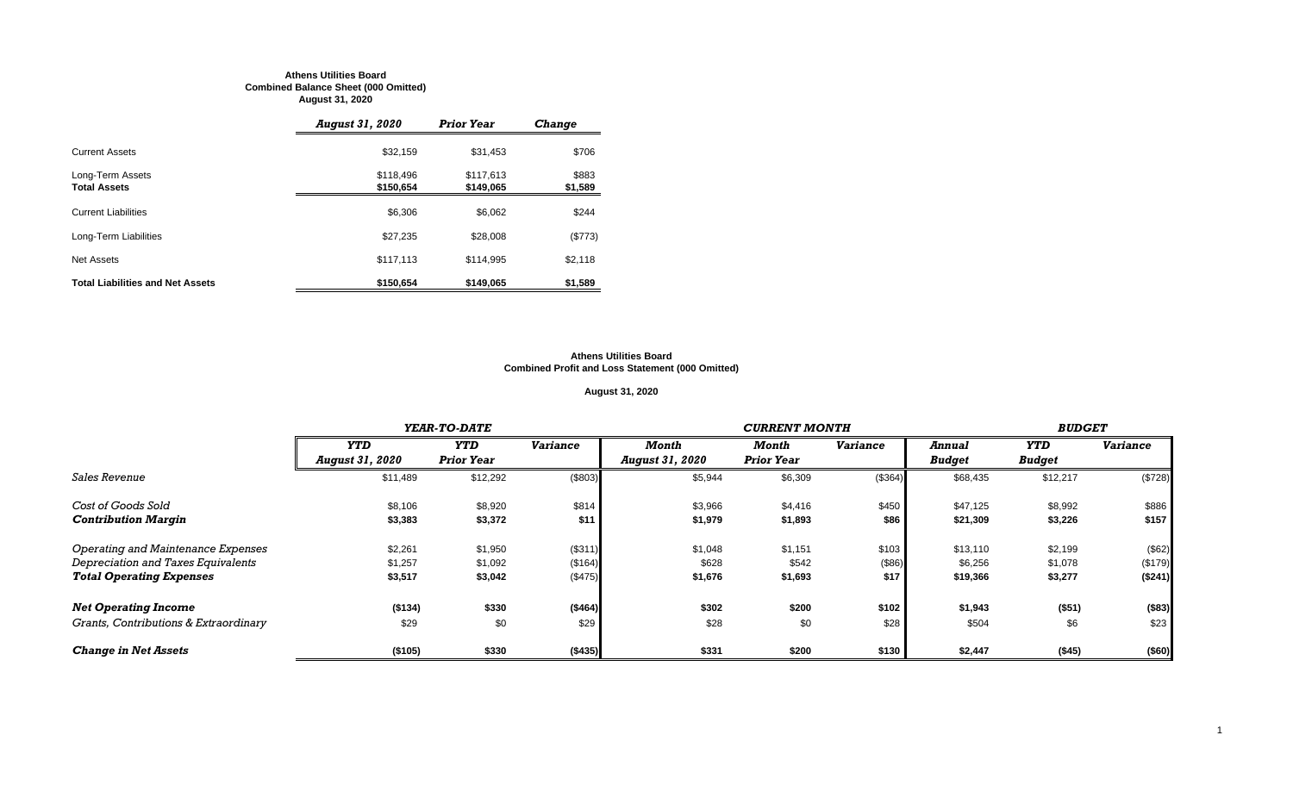#### **Athens Utilities Board Combined Balance Sheet (000 Omitted) August 31, 2020**

|                                         | <b>August 31, 2020</b> | <b>Prior Year</b>      | <b>Change</b>    |
|-----------------------------------------|------------------------|------------------------|------------------|
| <b>Current Assets</b>                   | \$32,159               | \$31,453               | \$706            |
| Long-Term Assets<br><b>Total Assets</b> | \$118,496<br>\$150,654 | \$117,613<br>\$149,065 | \$883<br>\$1,589 |
| <b>Current Liabilities</b>              | \$6,306                | \$6.062                | \$244            |
| Long-Term Liabilities                   | \$27,235               | \$28,008               | (\$773)          |
| Net Assets                              | \$117,113              | \$114,995              | \$2,118          |
| <b>Total Liabilities and Net Assets</b> | \$150.654              | \$149,065              | \$1,589          |

#### **Athens Utilities Board Combined Profit and Loss Statement (000 Omitted)**

# **August 31, 2020**

|                                       |                        | YEAR-TO-DATE      |                 |                        | <b>CURRENT MONTH</b> |                 |               |               |                 |
|---------------------------------------|------------------------|-------------------|-----------------|------------------------|----------------------|-----------------|---------------|---------------|-----------------|
|                                       | <b>YTD</b>             | <b>YTD</b>        | <b>Variance</b> | Month                  | Month                | <b>Variance</b> | Annual        | YTD           | <b>Variance</b> |
|                                       | <b>August 31, 2020</b> | <b>Prior Year</b> |                 | <b>August 31, 2020</b> | <b>Prior Year</b>    |                 | <b>Budget</b> | <b>Budget</b> |                 |
| <i>Sales Revenue</i>                  | \$11,489               | \$12,292          | (\$803)         | \$5,944                | \$6,309              | (\$364)         | \$68,435      | \$12,217      | (\$728)         |
| Cost of Goods Sold                    | \$8,106                | \$8,920           | \$814           | \$3,966                | \$4,416              | \$450           | \$47,125      | \$8,992       | \$886           |
| <b>Contribution Margin</b>            | \$3,383                | \$3,372           | \$11            | \$1,979                | \$1,893              | \$86            | \$21,309      | \$3,226       | \$157           |
| Operating and Maintenance Expenses    | \$2,261                | \$1,950           | (\$311)         | \$1,048                | \$1,151              | \$103           | \$13,110      | \$2,199       | (\$62)          |
| Depreciation and Taxes Equivalents    | \$1,257                | \$1,092           | (\$164)         | \$628                  | \$542                | (\$86)          | \$6,256       | \$1,078       | (\$179)         |
| <b>Total Operating Expenses</b>       | \$3,517                | \$3,042           | (\$475)         | \$1,676                | \$1,693              | \$17            | \$19,366      | \$3,277       | (\$241)         |
| <b>Net Operating Income</b>           | ( \$134)               | \$330             | (\$464)         | \$302                  | \$200                | \$102           | \$1,943       | (\$51)        | (\$83)          |
| Grants, Contributions & Extraordinary | \$29                   | \$0               | \$29            | \$28                   | \$0                  | \$28            | \$504         | \$6           | \$23            |
| <b>Change in Net Assets</b>           | (\$105)                | \$330             | (\$435)         | \$331                  | \$200                | \$130           | \$2,447       | (\$45)        | (\$60)          |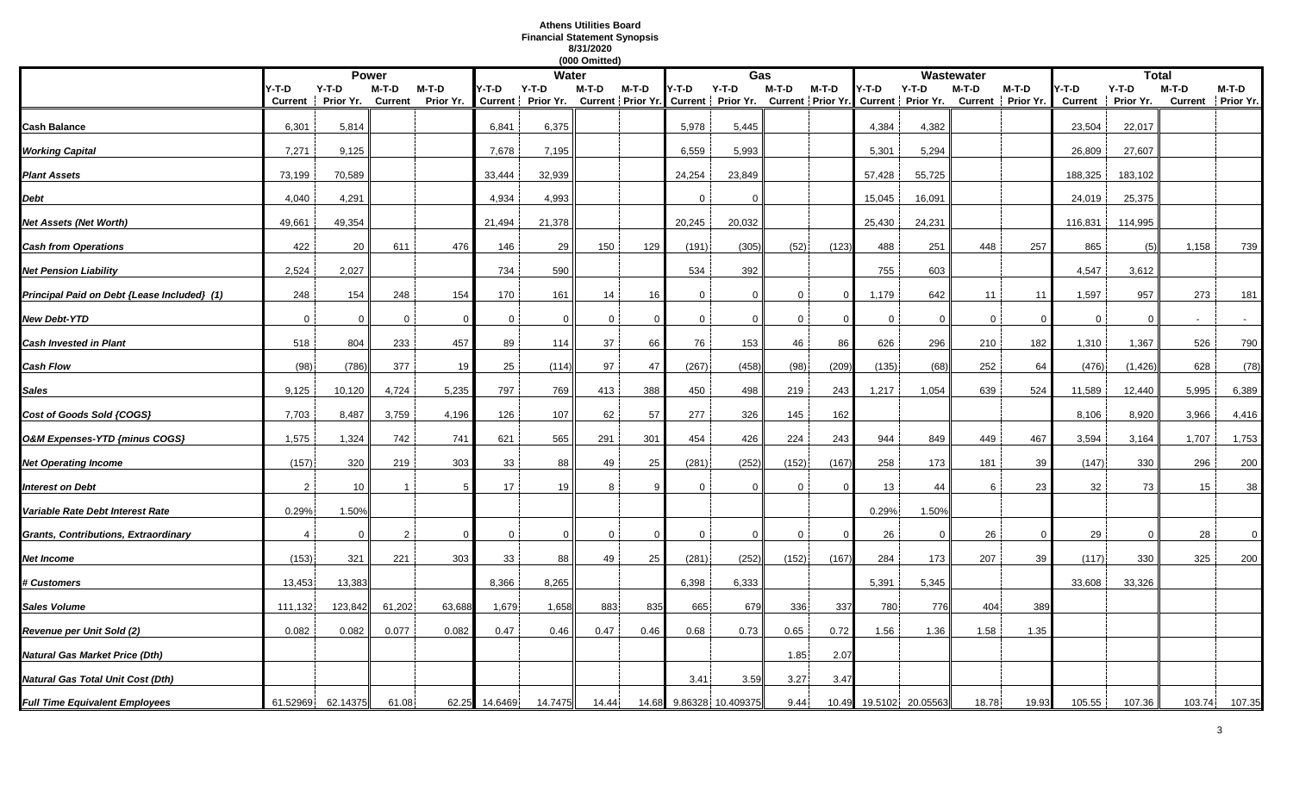# **Athens Utilities Board Financial Statement Synopsis 8/31/2020**

|                                             |                |                 |                |           |               |                   | (000 Omitted) |          |              |                                                                         |              |          |        |                  |             |                   |                |              |         |                   |
|---------------------------------------------|----------------|-----------------|----------------|-----------|---------------|-------------------|---------------|----------|--------------|-------------------------------------------------------------------------|--------------|----------|--------|------------------|-------------|-------------------|----------------|--------------|---------|-------------------|
|                                             |                |                 | <b>Power</b>   |           |               | <b>Water</b>      |               |          |              | Gas                                                                     |              |          |        |                  | Wastewater  |                   |                | <b>Total</b> |         |                   |
|                                             | Y-T-D          | $Y-T-D$         | M-T-D          | $M-T-D$   | Y-T-D         | Y-T-D             | M-T-D         | M-T-D    | Y-T-D        | $Y-T-D$                                                                 | $M-T-D$      | $M-T-D$  | Y-T-D  | $Y-T-D$          | M-T-D       | M-T-D             | /-T-D          | $Y-T-D$      | $M-T-D$ | M-T-D             |
|                                             | Current        | Prior Yr.       | <b>Current</b> | Prior Yr. |               | Current Prior Yr. |               |          |              | Current Prior Yr. Current Prior Yr. Current Prior Yr. Current Prior Yr. |              |          |        |                  |             | Current Prior Yr. | <b>Current</b> | Prior Yr.    |         | Current Prior Yr. |
| Cash Balance                                | 6,301          | 5,814           |                |           | 6,841         | 6,375             |               |          | 5,978        | 5,445                                                                   |              |          | 4,384  | 4,382            |             |                   | 23,504         | 22,017       |         |                   |
| <b>Working Capital</b>                      | 7,271          | 9,125           |                |           | 7,678         | 7,195             |               |          | 6,559        | 5,993                                                                   |              |          | 5,301  | 5,294            |             |                   | 26,809         | 27,607       |         |                   |
|                                             |                |                 |                |           |               |                   |               |          |              |                                                                         |              |          |        |                  |             |                   |                |              |         |                   |
| <b>Plant Assets</b>                         | 73,199         | 70,589          |                |           | 33,444        | 32,939            |               |          | 24,254       | 23,849                                                                  |              |          | 57,428 | 55,725           |             |                   | 188,325        | 183,102      |         |                   |
| Debt                                        | 4,040          | 4,291           |                |           | 4,934         | 4,993             |               |          | $\Omega$     | $\Omega$                                                                |              |          | 15,045 | 16,091           |             |                   | 24,019         | 25,375       |         |                   |
| Net Assets (Net Worth)                      | 49,661         | 49,354          |                |           | 21,494        | 21,378            |               |          | 20,245       | 20,032                                                                  |              |          | 25,430 | 24,231           |             |                   | 116,831        | 114,995      |         |                   |
| <b>Cash from Operations</b>                 | 422            | 20              | 611            | 476       | 146           | 29                | 150           | 129      | (191)        | (305)                                                                   | (52)         | (123)    | 488    | 251              | 448         | 257               | 865            | (5)          | 1,158   | 739               |
| <b>Net Pension Liability</b>                | 2,524          | 2,027           |                |           | 734           | 590               |               |          | 534          | 392                                                                     |              |          | 755    | 603              |             |                   | 4,547          | 3,612        |         |                   |
| Principal Paid on Debt {Lease Included} (1) | 248            | 154             | 248            | 154       | 170           | 161               | 14            | 16       | $\mathbf{0}$ | $\mathbf{0}$                                                            | $\mathbf{0}$ | $\Omega$ | 1,179  | 642              | 11          | 11                | 1,597          | 957          | 273     | 181               |
| New Debt-YTD                                | $\mathbf 0$    | 0               | $\Omega$       |           | $\mathbf 0$   | $\Omega$          | $\Omega$      |          | 0            | 0                                                                       | $\mathbf 0$  |          | 0      | $\Omega$         | $\mathbf 0$ |                   | 0              | $\Omega$     |         |                   |
| <b>Cash Invested in Plant</b>               | 518            | 804             | 233            | 457       | 89            | 114               | 37            | 66       | 76           | 153                                                                     | 46           | 86       | 626    | 296              | 210         | 182               | 1,310          | 1,367        | 526     | 790               |
| Cash Flow                                   | (98)           | (786)           | 377            | 19        | 25            | (114)             | 97            | 47       | (267)        | (458)                                                                   | (98)         | (209)    | (135)  | (68)             | 252         | 64                | (476)          | (1, 426)     | 628     | (78)              |
| Sales                                       | 9,125          | 10,120          | 4,724          | 5,235     | 797           | 769               | 413           | 388      | 450          | 498                                                                     | 219          | 243      | 1,217  | 1,054            | 639         | 524               | 11,589         | 12,440       | 5,995   | 6,389             |
| Cost of Goods Sold {COGS}                   | 7,703          | 8,487           | 3,759          | 4,196     | 126           | 107               | 62            | 57       | 277          | 326                                                                     | 145          | 162      |        |                  |             |                   | 8,106          | 8,920        | 3,966   | 4,416             |
| O&M Expenses-YTD {minus COGS}               | 1,575          | 1,324           | 742            | 741       | 621           | 565               | 291           | 301      | 454          | 426                                                                     | 224          | 243      | 944    | 849              | 449         | 467               | 3,594          | 3,164        | 1,707   | 1,753             |
| <b>Net Operating Income</b>                 | (157)          | 320             | 219            | 303       | 33            | 88                | 49            | 25       | (281)        | (252)                                                                   | (152)        | (167)    | 258    | 173              | 181         | 39                | (147)          | 330          | 296     | 200               |
| <b>Interest on Debt</b>                     | $\mathcal{P}$  | 10 <sup>1</sup> |                |           | 17            | 19                | 8             |          | $\Omega$     | $\Omega$                                                                | $\Omega$     |          | 13     | 44               | 6           | 23                | 32             | 73           | 15      | 38                |
| Variable Rate Debt Interest Rate            | 0.29%          | 1.50%           |                |           |               |                   |               |          |              |                                                                         |              |          | 0.29%  | 1.50%            |             |                   |                |              |         |                   |
| Grants, Contributions, Extraordinary        | $\overline{4}$ | $\mathbf 0$     | $\overline{2}$ |           | $\mathbf 0$   | $\Omega$          | $\mathbf 0$   | $\Omega$ | $\mathbf{0}$ | $\mathbf{0}$                                                            | $\mathbf{0}$ | $\Omega$ | 26     | $\Omega$         | 26          | $\Omega$          | 29             | $\Omega$     | 28      | $\mathbf 0$       |
| Net Income                                  | (153)          | 321             | 221            | 303       | 33            | 88                | 49            | 25       | (281)        | (252)                                                                   | (152)        | (167)    | 284    | 173              | 207         | 39                | (117)          | 330          | 325     | 200               |
| <b>‡ Customers</b>                          | 13,453         | 13,383          |                |           | 8,366         | 8,265             |               |          | 6,398        | 6,333                                                                   |              |          | 5,391  | 5,345            |             |                   | 33,608         | 33,326       |         |                   |
| Sales Volume                                | 111,132        | 123,842         | 61,202         | 63,688    | 1,679         | 1,658             | 883           | 835      | 665          | 679                                                                     | 336          | 337      | 780    | 776              | 404         | 389               |                |              |         |                   |
| Revenue per Unit Sold (2)                   | 0.082          | 0.082           | 0.077          | 0.082     | 0.47          | 0.46              | 0.47          | 0.46     | 0.68         | 0.73                                                                    | 0.65         | 0.72     | 1.56   | 1.36             | 1.58        | 1.35              |                |              |         |                   |
| Natural Gas Market Price (Dth)              |                |                 |                |           |               |                   |               |          |              |                                                                         | 1.85         | 2.07     |        |                  |             |                   |                |              |         |                   |
| Natural Gas Total Unit Cost (Dth)           |                |                 |                |           |               |                   |               |          | 3.41         | 3.59                                                                    | 3.27         | 3.47     |        |                  |             |                   |                |              |         |                   |
| <b>Full Time Equivalent Employees</b>       | 61.52969       | 62.14375        | 61.08          |           | 62.25 14.6469 | 14.7475           | 14.44         | 14.68    |              | 9.86328 10.409375                                                       | 9.44         | 10.49    |        | 19.5102 20.05563 | 18.78       | 19.93             | 105.55         | 107.36       | 103.74  | 107.35            |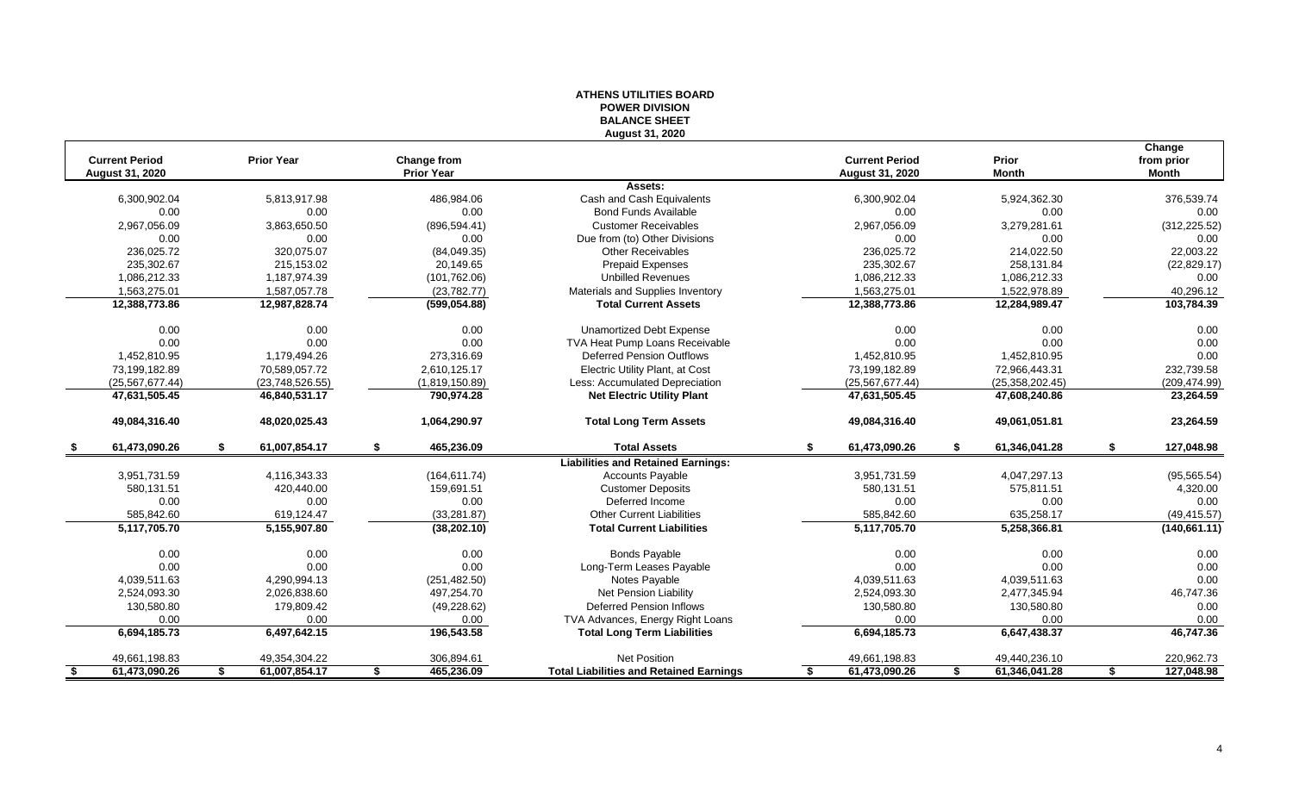| August 31, 2020<br>Change<br><b>Current Period</b><br><b>Prior Year</b><br><b>Current Period</b><br>Prior<br>Change from<br>from prior<br><b>Prior Year</b><br>August 31, 2020<br><b>Month</b><br><b>Month</b><br>August 31, 2020<br>Assets:<br>376,539.74<br>6,300,902.04<br>5,813,917.98<br>486,984.06<br>Cash and Cash Equivalents<br>6,300,902.04<br>5,924,362.30<br>0.00<br>0.00<br>0.00<br><b>Bond Funds Available</b><br>0.00<br>0.00<br>0.00<br>2,967,056.09<br>3,863,650.50<br><b>Customer Receivables</b><br>2,967,056.09<br>3,279,281.61<br>(312, 225.52)<br>(896, 594.41)<br>0.00<br>0.00<br>0.00<br>0.00<br>Due from (to) Other Divisions<br>0.00<br>0.00<br>22,003.22<br>236,025.72<br>320.075.07<br><b>Other Receivables</b><br>214,022.50<br>(84,049.35)<br>236,025.72<br>235,302.67<br>(22, 829.17)<br>215,153.02<br>20,149.65<br><b>Prepaid Expenses</b><br>235,302.67<br>258,131.84<br>1,086,212.33<br>1,187,974.39<br><b>Unbilled Revenues</b><br>1,086,212.33<br>(101, 762.06)<br>1,086,212.33<br>0.00<br>1,563,275.01<br>Materials and Supplies Inventory<br>1,563,275.01<br>40,296.12<br>1,587,057.78<br>(23, 782.77)<br>1,522,978.89<br>12,388,773.86<br>12,987,828.74<br>(599, 054.88)<br><b>Total Current Assets</b><br>12,388,773.86<br>12,284,989.47<br>103,784.39<br>0.00<br>0.00<br>0.00<br>0.00<br>0.00<br><b>Unamortized Debt Expense</b><br>0.00<br>0.00<br>0.00<br>0.00<br>0.00<br>TVA Heat Pump Loans Receivable<br>0.00<br>0.00<br><b>Deferred Pension Outflows</b><br>0.00<br>1,452,810.95<br>1,179,494.26<br>273,316.69<br>1,452,810.95<br>1,452,810.95<br>73,199,182.89<br>2,610,125.17<br>Electric Utility Plant, at Cost<br>232,739.58<br>70,589,057.72<br>73,199,182.89<br>72,966,443.31<br>(25, 567, 677.44)<br>(1,819,150.89)<br>Less: Accumulated Depreciation<br>(25, 567, 677.44)<br>(25, 358, 202.45)<br>(209, 474.99)<br>(23,748,526.55)<br>47,631,505.45<br>790,974.28<br><b>Net Electric Utility Plant</b><br>47,631,505.45<br>47,608,240.86<br>46,840,531.17<br>48,020,025.43<br>1,064,290.97<br>49,084,316.40<br>49,061,051.81<br>23,264.59<br>49,084,316.40<br><b>Total Long Term Assets</b><br>61,473,090.26<br>61,007,854.17<br>465,236.09<br><b>Total Assets</b><br>61,473,090.26<br>61,346,041.28<br>\$<br>\$<br>S<br>-S<br>£.<br><b>Liabilities and Retained Earnings:</b><br>3,951,731.59<br>4,116,343.33<br>(164, 611.74)<br>Accounts Payable<br>3,951,731.59<br>4,047,297.13<br>(95, 565.54)<br>580,131.51<br>420,440.00<br>159.691.51<br><b>Customer Deposits</b><br>580.131.51<br>575,811.51<br>0.00<br>0.00<br>0.00<br>Deferred Income<br>0.00<br>0.00<br>0.00<br>585,842.60<br>619,124.47<br>(33, 281.87)<br><b>Other Current Liabilities</b><br>585,842.60<br>635,258.17<br>5,117,705.70<br>5,155,907.80<br>(38, 202.10)<br><b>Total Current Liabilities</b><br>5,117,705.70<br>5,258,366.81<br><b>Bonds Payable</b><br>0.00<br>0.00<br>0.00<br>0.00<br>0.00<br>0.00<br>0.00<br>0.00<br>0.00<br>0.00<br>0.00<br>0.00<br>Long-Term Leases Payable<br>0.00<br>4,039,511.63<br>4,290,994.13<br>(251, 482.50)<br>Notes Payable<br>4,039,511.63<br>4,039,511.63<br>2,524,093.30<br>2,026,838.60<br>497,254.70<br>Net Pension Liability<br>2,524,093.30<br>2,477,345.94<br>46,747.36<br>130,580.80<br>179,809.42<br>(49, 228.62)<br><b>Deferred Pension Inflows</b><br>130,580.80<br>130,580.80<br>0.00<br>0.00<br>TVA Advances, Energy Right Loans<br>0.00<br>0.00<br>0.00<br>0.00<br>0.00<br>196,543.58<br>46,747.36<br>6,694,185.73<br>6,497,642.15<br><b>Total Long Term Liabilities</b><br>6,694,185.73<br>6,647,438.37<br>Net Position<br>49,440,236.10<br>220,962.73<br>49,661,198.83<br>49,354,304.22<br>306,894.61<br>49,661,198.83<br>61,473,090.26<br>61,007,854.17<br>465,236.09<br><b>Total Liabilities and Retained Earnings</b><br>61,473,090.26<br>61,346,041.28<br>127,048.98<br>\$<br>\$<br>\$<br>- \$<br>S<br>S |  | יוטוטו יום ובוס ו<br><b>BALANCE SHEET</b> |  |               |
|-------------------------------------------------------------------------------------------------------------------------------------------------------------------------------------------------------------------------------------------------------------------------------------------------------------------------------------------------------------------------------------------------------------------------------------------------------------------------------------------------------------------------------------------------------------------------------------------------------------------------------------------------------------------------------------------------------------------------------------------------------------------------------------------------------------------------------------------------------------------------------------------------------------------------------------------------------------------------------------------------------------------------------------------------------------------------------------------------------------------------------------------------------------------------------------------------------------------------------------------------------------------------------------------------------------------------------------------------------------------------------------------------------------------------------------------------------------------------------------------------------------------------------------------------------------------------------------------------------------------------------------------------------------------------------------------------------------------------------------------------------------------------------------------------------------------------------------------------------------------------------------------------------------------------------------------------------------------------------------------------------------------------------------------------------------------------------------------------------------------------------------------------------------------------------------------------------------------------------------------------------------------------------------------------------------------------------------------------------------------------------------------------------------------------------------------------------------------------------------------------------------------------------------------------------------------------------------------------------------------------------------------------------------------------------------------------------------------------------------------------------------------------------------------------------------------------------------------------------------------------------------------------------------------------------------------------------------------------------------------------------------------------------------------------------------------------------------------------------------------------------------------------------------------------------------------------------------------------------------------------------------------------------------------------------------------------------------------------------------------------------------------------------------------------------------------------------------------------------------------------------------------------------------------------------------------------------------------------------------------------------------------------------------------------------------------------------------------------------------------------------------------------------------------------------------------------------------------------------------------------------------------------|--|-------------------------------------------|--|---------------|
|                                                                                                                                                                                                                                                                                                                                                                                                                                                                                                                                                                                                                                                                                                                                                                                                                                                                                                                                                                                                                                                                                                                                                                                                                                                                                                                                                                                                                                                                                                                                                                                                                                                                                                                                                                                                                                                                                                                                                                                                                                                                                                                                                                                                                                                                                                                                                                                                                                                                                                                                                                                                                                                                                                                                                                                                                                                                                                                                                                                                                                                                                                                                                                                                                                                                                                                                                                                                                                                                                                                                                                                                                                                                                                                                                                                                                                                                                                 |  |                                           |  |               |
|                                                                                                                                                                                                                                                                                                                                                                                                                                                                                                                                                                                                                                                                                                                                                                                                                                                                                                                                                                                                                                                                                                                                                                                                                                                                                                                                                                                                                                                                                                                                                                                                                                                                                                                                                                                                                                                                                                                                                                                                                                                                                                                                                                                                                                                                                                                                                                                                                                                                                                                                                                                                                                                                                                                                                                                                                                                                                                                                                                                                                                                                                                                                                                                                                                                                                                                                                                                                                                                                                                                                                                                                                                                                                                                                                                                                                                                                                                 |  |                                           |  |               |
|                                                                                                                                                                                                                                                                                                                                                                                                                                                                                                                                                                                                                                                                                                                                                                                                                                                                                                                                                                                                                                                                                                                                                                                                                                                                                                                                                                                                                                                                                                                                                                                                                                                                                                                                                                                                                                                                                                                                                                                                                                                                                                                                                                                                                                                                                                                                                                                                                                                                                                                                                                                                                                                                                                                                                                                                                                                                                                                                                                                                                                                                                                                                                                                                                                                                                                                                                                                                                                                                                                                                                                                                                                                                                                                                                                                                                                                                                                 |  |                                           |  |               |
|                                                                                                                                                                                                                                                                                                                                                                                                                                                                                                                                                                                                                                                                                                                                                                                                                                                                                                                                                                                                                                                                                                                                                                                                                                                                                                                                                                                                                                                                                                                                                                                                                                                                                                                                                                                                                                                                                                                                                                                                                                                                                                                                                                                                                                                                                                                                                                                                                                                                                                                                                                                                                                                                                                                                                                                                                                                                                                                                                                                                                                                                                                                                                                                                                                                                                                                                                                                                                                                                                                                                                                                                                                                                                                                                                                                                                                                                                                 |  |                                           |  |               |
|                                                                                                                                                                                                                                                                                                                                                                                                                                                                                                                                                                                                                                                                                                                                                                                                                                                                                                                                                                                                                                                                                                                                                                                                                                                                                                                                                                                                                                                                                                                                                                                                                                                                                                                                                                                                                                                                                                                                                                                                                                                                                                                                                                                                                                                                                                                                                                                                                                                                                                                                                                                                                                                                                                                                                                                                                                                                                                                                                                                                                                                                                                                                                                                                                                                                                                                                                                                                                                                                                                                                                                                                                                                                                                                                                                                                                                                                                                 |  |                                           |  |               |
|                                                                                                                                                                                                                                                                                                                                                                                                                                                                                                                                                                                                                                                                                                                                                                                                                                                                                                                                                                                                                                                                                                                                                                                                                                                                                                                                                                                                                                                                                                                                                                                                                                                                                                                                                                                                                                                                                                                                                                                                                                                                                                                                                                                                                                                                                                                                                                                                                                                                                                                                                                                                                                                                                                                                                                                                                                                                                                                                                                                                                                                                                                                                                                                                                                                                                                                                                                                                                                                                                                                                                                                                                                                                                                                                                                                                                                                                                                 |  |                                           |  |               |
|                                                                                                                                                                                                                                                                                                                                                                                                                                                                                                                                                                                                                                                                                                                                                                                                                                                                                                                                                                                                                                                                                                                                                                                                                                                                                                                                                                                                                                                                                                                                                                                                                                                                                                                                                                                                                                                                                                                                                                                                                                                                                                                                                                                                                                                                                                                                                                                                                                                                                                                                                                                                                                                                                                                                                                                                                                                                                                                                                                                                                                                                                                                                                                                                                                                                                                                                                                                                                                                                                                                                                                                                                                                                                                                                                                                                                                                                                                 |  |                                           |  |               |
|                                                                                                                                                                                                                                                                                                                                                                                                                                                                                                                                                                                                                                                                                                                                                                                                                                                                                                                                                                                                                                                                                                                                                                                                                                                                                                                                                                                                                                                                                                                                                                                                                                                                                                                                                                                                                                                                                                                                                                                                                                                                                                                                                                                                                                                                                                                                                                                                                                                                                                                                                                                                                                                                                                                                                                                                                                                                                                                                                                                                                                                                                                                                                                                                                                                                                                                                                                                                                                                                                                                                                                                                                                                                                                                                                                                                                                                                                                 |  |                                           |  |               |
|                                                                                                                                                                                                                                                                                                                                                                                                                                                                                                                                                                                                                                                                                                                                                                                                                                                                                                                                                                                                                                                                                                                                                                                                                                                                                                                                                                                                                                                                                                                                                                                                                                                                                                                                                                                                                                                                                                                                                                                                                                                                                                                                                                                                                                                                                                                                                                                                                                                                                                                                                                                                                                                                                                                                                                                                                                                                                                                                                                                                                                                                                                                                                                                                                                                                                                                                                                                                                                                                                                                                                                                                                                                                                                                                                                                                                                                                                                 |  |                                           |  |               |
|                                                                                                                                                                                                                                                                                                                                                                                                                                                                                                                                                                                                                                                                                                                                                                                                                                                                                                                                                                                                                                                                                                                                                                                                                                                                                                                                                                                                                                                                                                                                                                                                                                                                                                                                                                                                                                                                                                                                                                                                                                                                                                                                                                                                                                                                                                                                                                                                                                                                                                                                                                                                                                                                                                                                                                                                                                                                                                                                                                                                                                                                                                                                                                                                                                                                                                                                                                                                                                                                                                                                                                                                                                                                                                                                                                                                                                                                                                 |  |                                           |  |               |
|                                                                                                                                                                                                                                                                                                                                                                                                                                                                                                                                                                                                                                                                                                                                                                                                                                                                                                                                                                                                                                                                                                                                                                                                                                                                                                                                                                                                                                                                                                                                                                                                                                                                                                                                                                                                                                                                                                                                                                                                                                                                                                                                                                                                                                                                                                                                                                                                                                                                                                                                                                                                                                                                                                                                                                                                                                                                                                                                                                                                                                                                                                                                                                                                                                                                                                                                                                                                                                                                                                                                                                                                                                                                                                                                                                                                                                                                                                 |  |                                           |  |               |
|                                                                                                                                                                                                                                                                                                                                                                                                                                                                                                                                                                                                                                                                                                                                                                                                                                                                                                                                                                                                                                                                                                                                                                                                                                                                                                                                                                                                                                                                                                                                                                                                                                                                                                                                                                                                                                                                                                                                                                                                                                                                                                                                                                                                                                                                                                                                                                                                                                                                                                                                                                                                                                                                                                                                                                                                                                                                                                                                                                                                                                                                                                                                                                                                                                                                                                                                                                                                                                                                                                                                                                                                                                                                                                                                                                                                                                                                                                 |  |                                           |  |               |
|                                                                                                                                                                                                                                                                                                                                                                                                                                                                                                                                                                                                                                                                                                                                                                                                                                                                                                                                                                                                                                                                                                                                                                                                                                                                                                                                                                                                                                                                                                                                                                                                                                                                                                                                                                                                                                                                                                                                                                                                                                                                                                                                                                                                                                                                                                                                                                                                                                                                                                                                                                                                                                                                                                                                                                                                                                                                                                                                                                                                                                                                                                                                                                                                                                                                                                                                                                                                                                                                                                                                                                                                                                                                                                                                                                                                                                                                                                 |  |                                           |  |               |
|                                                                                                                                                                                                                                                                                                                                                                                                                                                                                                                                                                                                                                                                                                                                                                                                                                                                                                                                                                                                                                                                                                                                                                                                                                                                                                                                                                                                                                                                                                                                                                                                                                                                                                                                                                                                                                                                                                                                                                                                                                                                                                                                                                                                                                                                                                                                                                                                                                                                                                                                                                                                                                                                                                                                                                                                                                                                                                                                                                                                                                                                                                                                                                                                                                                                                                                                                                                                                                                                                                                                                                                                                                                                                                                                                                                                                                                                                                 |  |                                           |  |               |
|                                                                                                                                                                                                                                                                                                                                                                                                                                                                                                                                                                                                                                                                                                                                                                                                                                                                                                                                                                                                                                                                                                                                                                                                                                                                                                                                                                                                                                                                                                                                                                                                                                                                                                                                                                                                                                                                                                                                                                                                                                                                                                                                                                                                                                                                                                                                                                                                                                                                                                                                                                                                                                                                                                                                                                                                                                                                                                                                                                                                                                                                                                                                                                                                                                                                                                                                                                                                                                                                                                                                                                                                                                                                                                                                                                                                                                                                                                 |  |                                           |  |               |
|                                                                                                                                                                                                                                                                                                                                                                                                                                                                                                                                                                                                                                                                                                                                                                                                                                                                                                                                                                                                                                                                                                                                                                                                                                                                                                                                                                                                                                                                                                                                                                                                                                                                                                                                                                                                                                                                                                                                                                                                                                                                                                                                                                                                                                                                                                                                                                                                                                                                                                                                                                                                                                                                                                                                                                                                                                                                                                                                                                                                                                                                                                                                                                                                                                                                                                                                                                                                                                                                                                                                                                                                                                                                                                                                                                                                                                                                                                 |  |                                           |  |               |
|                                                                                                                                                                                                                                                                                                                                                                                                                                                                                                                                                                                                                                                                                                                                                                                                                                                                                                                                                                                                                                                                                                                                                                                                                                                                                                                                                                                                                                                                                                                                                                                                                                                                                                                                                                                                                                                                                                                                                                                                                                                                                                                                                                                                                                                                                                                                                                                                                                                                                                                                                                                                                                                                                                                                                                                                                                                                                                                                                                                                                                                                                                                                                                                                                                                                                                                                                                                                                                                                                                                                                                                                                                                                                                                                                                                                                                                                                                 |  |                                           |  |               |
|                                                                                                                                                                                                                                                                                                                                                                                                                                                                                                                                                                                                                                                                                                                                                                                                                                                                                                                                                                                                                                                                                                                                                                                                                                                                                                                                                                                                                                                                                                                                                                                                                                                                                                                                                                                                                                                                                                                                                                                                                                                                                                                                                                                                                                                                                                                                                                                                                                                                                                                                                                                                                                                                                                                                                                                                                                                                                                                                                                                                                                                                                                                                                                                                                                                                                                                                                                                                                                                                                                                                                                                                                                                                                                                                                                                                                                                                                                 |  |                                           |  |               |
|                                                                                                                                                                                                                                                                                                                                                                                                                                                                                                                                                                                                                                                                                                                                                                                                                                                                                                                                                                                                                                                                                                                                                                                                                                                                                                                                                                                                                                                                                                                                                                                                                                                                                                                                                                                                                                                                                                                                                                                                                                                                                                                                                                                                                                                                                                                                                                                                                                                                                                                                                                                                                                                                                                                                                                                                                                                                                                                                                                                                                                                                                                                                                                                                                                                                                                                                                                                                                                                                                                                                                                                                                                                                                                                                                                                                                                                                                                 |  |                                           |  |               |
|                                                                                                                                                                                                                                                                                                                                                                                                                                                                                                                                                                                                                                                                                                                                                                                                                                                                                                                                                                                                                                                                                                                                                                                                                                                                                                                                                                                                                                                                                                                                                                                                                                                                                                                                                                                                                                                                                                                                                                                                                                                                                                                                                                                                                                                                                                                                                                                                                                                                                                                                                                                                                                                                                                                                                                                                                                                                                                                                                                                                                                                                                                                                                                                                                                                                                                                                                                                                                                                                                                                                                                                                                                                                                                                                                                                                                                                                                                 |  |                                           |  | 23,264.59     |
|                                                                                                                                                                                                                                                                                                                                                                                                                                                                                                                                                                                                                                                                                                                                                                                                                                                                                                                                                                                                                                                                                                                                                                                                                                                                                                                                                                                                                                                                                                                                                                                                                                                                                                                                                                                                                                                                                                                                                                                                                                                                                                                                                                                                                                                                                                                                                                                                                                                                                                                                                                                                                                                                                                                                                                                                                                                                                                                                                                                                                                                                                                                                                                                                                                                                                                                                                                                                                                                                                                                                                                                                                                                                                                                                                                                                                                                                                                 |  |                                           |  |               |
|                                                                                                                                                                                                                                                                                                                                                                                                                                                                                                                                                                                                                                                                                                                                                                                                                                                                                                                                                                                                                                                                                                                                                                                                                                                                                                                                                                                                                                                                                                                                                                                                                                                                                                                                                                                                                                                                                                                                                                                                                                                                                                                                                                                                                                                                                                                                                                                                                                                                                                                                                                                                                                                                                                                                                                                                                                                                                                                                                                                                                                                                                                                                                                                                                                                                                                                                                                                                                                                                                                                                                                                                                                                                                                                                                                                                                                                                                                 |  |                                           |  | 127,048.98    |
|                                                                                                                                                                                                                                                                                                                                                                                                                                                                                                                                                                                                                                                                                                                                                                                                                                                                                                                                                                                                                                                                                                                                                                                                                                                                                                                                                                                                                                                                                                                                                                                                                                                                                                                                                                                                                                                                                                                                                                                                                                                                                                                                                                                                                                                                                                                                                                                                                                                                                                                                                                                                                                                                                                                                                                                                                                                                                                                                                                                                                                                                                                                                                                                                                                                                                                                                                                                                                                                                                                                                                                                                                                                                                                                                                                                                                                                                                                 |  |                                           |  |               |
|                                                                                                                                                                                                                                                                                                                                                                                                                                                                                                                                                                                                                                                                                                                                                                                                                                                                                                                                                                                                                                                                                                                                                                                                                                                                                                                                                                                                                                                                                                                                                                                                                                                                                                                                                                                                                                                                                                                                                                                                                                                                                                                                                                                                                                                                                                                                                                                                                                                                                                                                                                                                                                                                                                                                                                                                                                                                                                                                                                                                                                                                                                                                                                                                                                                                                                                                                                                                                                                                                                                                                                                                                                                                                                                                                                                                                                                                                                 |  |                                           |  |               |
|                                                                                                                                                                                                                                                                                                                                                                                                                                                                                                                                                                                                                                                                                                                                                                                                                                                                                                                                                                                                                                                                                                                                                                                                                                                                                                                                                                                                                                                                                                                                                                                                                                                                                                                                                                                                                                                                                                                                                                                                                                                                                                                                                                                                                                                                                                                                                                                                                                                                                                                                                                                                                                                                                                                                                                                                                                                                                                                                                                                                                                                                                                                                                                                                                                                                                                                                                                                                                                                                                                                                                                                                                                                                                                                                                                                                                                                                                                 |  |                                           |  | 4,320.00      |
|                                                                                                                                                                                                                                                                                                                                                                                                                                                                                                                                                                                                                                                                                                                                                                                                                                                                                                                                                                                                                                                                                                                                                                                                                                                                                                                                                                                                                                                                                                                                                                                                                                                                                                                                                                                                                                                                                                                                                                                                                                                                                                                                                                                                                                                                                                                                                                                                                                                                                                                                                                                                                                                                                                                                                                                                                                                                                                                                                                                                                                                                                                                                                                                                                                                                                                                                                                                                                                                                                                                                                                                                                                                                                                                                                                                                                                                                                                 |  |                                           |  |               |
|                                                                                                                                                                                                                                                                                                                                                                                                                                                                                                                                                                                                                                                                                                                                                                                                                                                                                                                                                                                                                                                                                                                                                                                                                                                                                                                                                                                                                                                                                                                                                                                                                                                                                                                                                                                                                                                                                                                                                                                                                                                                                                                                                                                                                                                                                                                                                                                                                                                                                                                                                                                                                                                                                                                                                                                                                                                                                                                                                                                                                                                                                                                                                                                                                                                                                                                                                                                                                                                                                                                                                                                                                                                                                                                                                                                                                                                                                                 |  |                                           |  | (49, 415.57)  |
|                                                                                                                                                                                                                                                                                                                                                                                                                                                                                                                                                                                                                                                                                                                                                                                                                                                                                                                                                                                                                                                                                                                                                                                                                                                                                                                                                                                                                                                                                                                                                                                                                                                                                                                                                                                                                                                                                                                                                                                                                                                                                                                                                                                                                                                                                                                                                                                                                                                                                                                                                                                                                                                                                                                                                                                                                                                                                                                                                                                                                                                                                                                                                                                                                                                                                                                                                                                                                                                                                                                                                                                                                                                                                                                                                                                                                                                                                                 |  |                                           |  | (140, 661.11) |
|                                                                                                                                                                                                                                                                                                                                                                                                                                                                                                                                                                                                                                                                                                                                                                                                                                                                                                                                                                                                                                                                                                                                                                                                                                                                                                                                                                                                                                                                                                                                                                                                                                                                                                                                                                                                                                                                                                                                                                                                                                                                                                                                                                                                                                                                                                                                                                                                                                                                                                                                                                                                                                                                                                                                                                                                                                                                                                                                                                                                                                                                                                                                                                                                                                                                                                                                                                                                                                                                                                                                                                                                                                                                                                                                                                                                                                                                                                 |  |                                           |  |               |
|                                                                                                                                                                                                                                                                                                                                                                                                                                                                                                                                                                                                                                                                                                                                                                                                                                                                                                                                                                                                                                                                                                                                                                                                                                                                                                                                                                                                                                                                                                                                                                                                                                                                                                                                                                                                                                                                                                                                                                                                                                                                                                                                                                                                                                                                                                                                                                                                                                                                                                                                                                                                                                                                                                                                                                                                                                                                                                                                                                                                                                                                                                                                                                                                                                                                                                                                                                                                                                                                                                                                                                                                                                                                                                                                                                                                                                                                                                 |  |                                           |  |               |
|                                                                                                                                                                                                                                                                                                                                                                                                                                                                                                                                                                                                                                                                                                                                                                                                                                                                                                                                                                                                                                                                                                                                                                                                                                                                                                                                                                                                                                                                                                                                                                                                                                                                                                                                                                                                                                                                                                                                                                                                                                                                                                                                                                                                                                                                                                                                                                                                                                                                                                                                                                                                                                                                                                                                                                                                                                                                                                                                                                                                                                                                                                                                                                                                                                                                                                                                                                                                                                                                                                                                                                                                                                                                                                                                                                                                                                                                                                 |  |                                           |  |               |
|                                                                                                                                                                                                                                                                                                                                                                                                                                                                                                                                                                                                                                                                                                                                                                                                                                                                                                                                                                                                                                                                                                                                                                                                                                                                                                                                                                                                                                                                                                                                                                                                                                                                                                                                                                                                                                                                                                                                                                                                                                                                                                                                                                                                                                                                                                                                                                                                                                                                                                                                                                                                                                                                                                                                                                                                                                                                                                                                                                                                                                                                                                                                                                                                                                                                                                                                                                                                                                                                                                                                                                                                                                                                                                                                                                                                                                                                                                 |  |                                           |  |               |
|                                                                                                                                                                                                                                                                                                                                                                                                                                                                                                                                                                                                                                                                                                                                                                                                                                                                                                                                                                                                                                                                                                                                                                                                                                                                                                                                                                                                                                                                                                                                                                                                                                                                                                                                                                                                                                                                                                                                                                                                                                                                                                                                                                                                                                                                                                                                                                                                                                                                                                                                                                                                                                                                                                                                                                                                                                                                                                                                                                                                                                                                                                                                                                                                                                                                                                                                                                                                                                                                                                                                                                                                                                                                                                                                                                                                                                                                                                 |  |                                           |  |               |
|                                                                                                                                                                                                                                                                                                                                                                                                                                                                                                                                                                                                                                                                                                                                                                                                                                                                                                                                                                                                                                                                                                                                                                                                                                                                                                                                                                                                                                                                                                                                                                                                                                                                                                                                                                                                                                                                                                                                                                                                                                                                                                                                                                                                                                                                                                                                                                                                                                                                                                                                                                                                                                                                                                                                                                                                                                                                                                                                                                                                                                                                                                                                                                                                                                                                                                                                                                                                                                                                                                                                                                                                                                                                                                                                                                                                                                                                                                 |  |                                           |  |               |
|                                                                                                                                                                                                                                                                                                                                                                                                                                                                                                                                                                                                                                                                                                                                                                                                                                                                                                                                                                                                                                                                                                                                                                                                                                                                                                                                                                                                                                                                                                                                                                                                                                                                                                                                                                                                                                                                                                                                                                                                                                                                                                                                                                                                                                                                                                                                                                                                                                                                                                                                                                                                                                                                                                                                                                                                                                                                                                                                                                                                                                                                                                                                                                                                                                                                                                                                                                                                                                                                                                                                                                                                                                                                                                                                                                                                                                                                                                 |  |                                           |  |               |
|                                                                                                                                                                                                                                                                                                                                                                                                                                                                                                                                                                                                                                                                                                                                                                                                                                                                                                                                                                                                                                                                                                                                                                                                                                                                                                                                                                                                                                                                                                                                                                                                                                                                                                                                                                                                                                                                                                                                                                                                                                                                                                                                                                                                                                                                                                                                                                                                                                                                                                                                                                                                                                                                                                                                                                                                                                                                                                                                                                                                                                                                                                                                                                                                                                                                                                                                                                                                                                                                                                                                                                                                                                                                                                                                                                                                                                                                                                 |  |                                           |  |               |
|                                                                                                                                                                                                                                                                                                                                                                                                                                                                                                                                                                                                                                                                                                                                                                                                                                                                                                                                                                                                                                                                                                                                                                                                                                                                                                                                                                                                                                                                                                                                                                                                                                                                                                                                                                                                                                                                                                                                                                                                                                                                                                                                                                                                                                                                                                                                                                                                                                                                                                                                                                                                                                                                                                                                                                                                                                                                                                                                                                                                                                                                                                                                                                                                                                                                                                                                                                                                                                                                                                                                                                                                                                                                                                                                                                                                                                                                                                 |  |                                           |  |               |

# **ATHENS UTILITIES BOARD POWER DIVISION**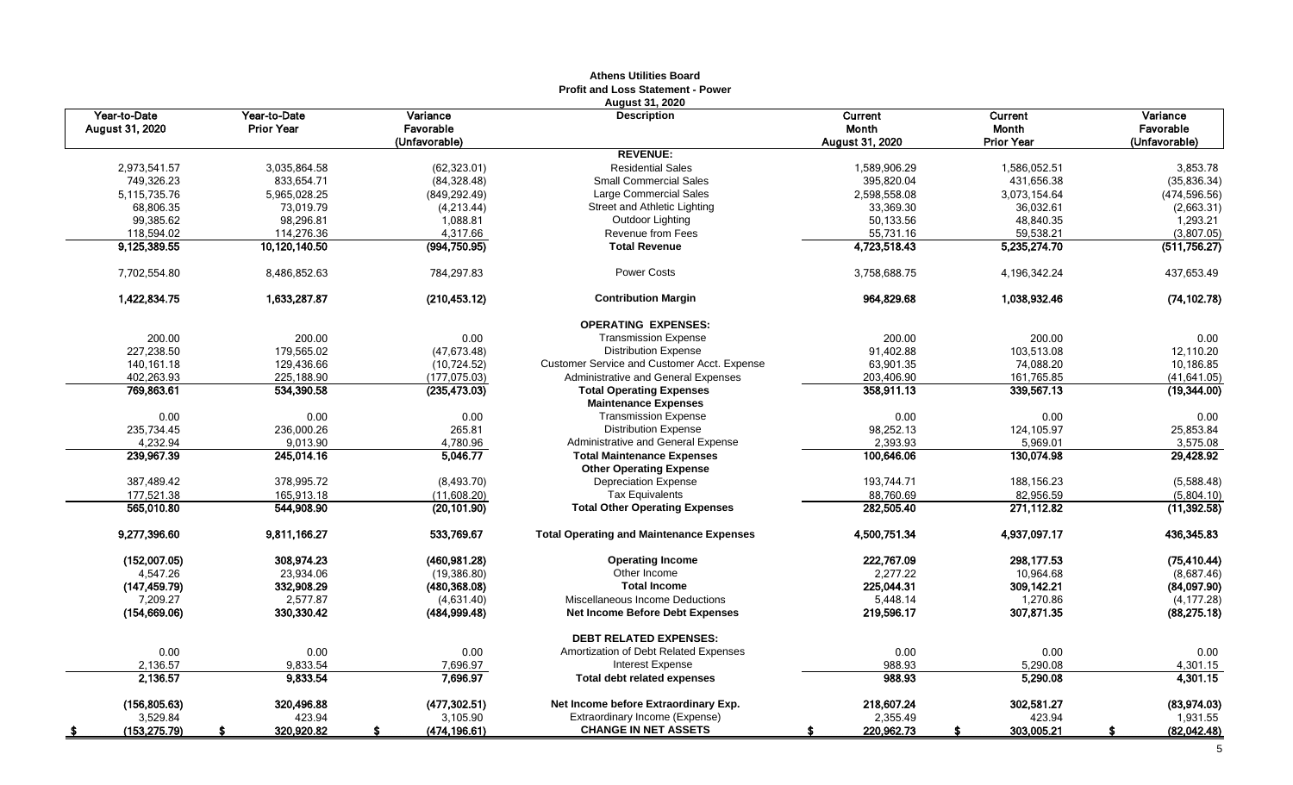|                                 |                                   |                       | AUICIIS UUIIUCS DUAIU<br><b>Profit and Loss Statement - Power</b><br>August 31, 2020 |                  |                  |                       |
|---------------------------------|-----------------------------------|-----------------------|--------------------------------------------------------------------------------------|------------------|------------------|-----------------------|
| Year-to-Date<br>August 31, 2020 | Year-to-Date<br><b>Prior Year</b> | Variance<br>Favorable | <b>Description</b>                                                                   | Current<br>Month | Current<br>Month | Variance<br>Favorable |
|                                 |                                   | (Unfavorable)         |                                                                                      | August 31, 2020  | Prior Year       | (Unfavorable)         |
|                                 |                                   |                       | <b>REVENUE:</b>                                                                      |                  |                  |                       |
| 2,973,541.57                    | 3,035,864.58                      | (62, 323.01)          | <b>Residential Sales</b>                                                             | 1,589,906.29     | 1,586,052.51     | 3,853.78              |
| 749,326.23                      | 833,654.71                        | (84, 328.48)          | <b>Small Commercial Sales</b>                                                        | 395,820.04       | 431,656.38       | (35,836.34)           |
| 5, 115, 735. 76                 | 5,965,028.25                      | (849,292.49)          | <b>Large Commercial Sales</b>                                                        | 2,598,558.08     | 3,073,154.64     | (474, 596.56)         |
| 68,806.35                       | 73,019.79                         | (4,213.44)            | Street and Athletic Lighting                                                         | 33,369.30        | 36,032.61        | (2,663.31)            |
| 99,385.62                       | 98,296.81                         | 1,088.81              | Outdoor Lighting                                                                     | 50,133.56        | 48,840.35        | 1,293.21              |
| 118,594.02                      | 114,276.36                        | 4,317.66              | <b>Revenue from Fees</b>                                                             | 55,731.16        | 59,538.21        | (3,807.05)            |
| 9,125,389.55                    | 10,120,140.50                     | (994, 750.95)         | <b>Total Revenue</b>                                                                 | 4,723,518.43     | 5,235,274.70     | (511, 756.27)         |
| 7,702,554.80                    | 8,486,852.63                      | 784,297.83            | <b>Power Costs</b>                                                                   | 3,758,688.75     | 4,196,342.24     | 437,653.49            |
| 1,422,834.75                    | 1,633,287.87                      | (210, 453.12)         | <b>Contribution Margin</b>                                                           | 964,829.68       | 1,038,932.46     | (74, 102.78)          |
|                                 |                                   |                       | <b>OPERATING EXPENSES:</b>                                                           |                  |                  |                       |
| 200.00                          | 200.00                            | 0.00                  | <b>Transmission Expense</b>                                                          | 200.00           | 200.00           | 0.00                  |
| 227,238.50                      | 179,565.02                        | (47, 673.48)          | <b>Distribution Expense</b>                                                          | 91,402.88        | 103,513.08       | 12,110.20             |
| 140,161.18                      | 129,436.66                        | (10, 724.52)          | <b>Customer Service and Customer Acct. Expense</b>                                   | 63,901.35        | 74,088.20        | 10,186.85             |
| 402,263.93                      | 225,188.90                        | (177, 075.03)         | Administrative and General Expenses                                                  | 203,406.90       | 161,765.85       | (41, 641.05)          |
| 769,863.61                      | 534,390.58                        | (235, 473.03)         | <b>Total Operating Expenses</b>                                                      | 358,911.13       | 339,567.13       | (19,344.00)           |
|                                 |                                   |                       | <b>Maintenance Expenses</b>                                                          |                  |                  |                       |
| 0.00                            | 0.00                              | 0.00                  | <b>Transmission Expense</b>                                                          | 0.00             | 0.00             | 0.00                  |
| 235,734.45                      | 236,000.26                        | 265.81                | <b>Distribution Expense</b>                                                          | 98,252.13        | 124,105.97       | 25,853.84             |
| 4,232.94                        | 9,013.90                          | 4,780.96              | Administrative and General Expense                                                   | 2,393.93         | 5,969.01         | 3,575.08              |
| 239,967.39                      | 245,014.16                        | 5.046.77              | <b>Total Maintenance Expenses</b>                                                    | 100,646.06       | 130,074.98       | 29,428.92             |
|                                 |                                   |                       | <b>Other Operating Expense</b>                                                       |                  |                  |                       |
| 387,489.42                      | 378.995.72                        | (8,493.70)            | <b>Depreciation Expense</b>                                                          | 193,744.71       | 188, 156.23      | (5,588.48)            |
| 177,521.38                      | 165,913.18                        | (11,608.20)           | <b>Tax Equivalents</b>                                                               | 88,760.69        | 82,956.59        | (5,804.10)            |
| 565.010.80                      | 544,908.90                        | (20, 101.90)          | <b>Total Other Operating Expenses</b>                                                | 282,505.40       | 271.112.82       | (11, 392.58)          |
| 9,277,396.60                    | 9,811,166.27                      | 533,769.67            | <b>Total Operating and Maintenance Expenses</b>                                      | 4,500,751.34     | 4,937,097.17     | 436,345.83            |
| (152,007.05)                    | 308.974.23                        | (460,981.28)          | <b>Operating Income</b>                                                              | 222,767.09       | 298.177.53       | (75, 410.44)          |
| 4,547.26                        | 23,934.06                         | (19, 386.80)          | Other Income                                                                         | 2,277.22         | 10,964.68        | (8,687.46)            |
| (147, 459.79)                   | 332,908.29                        | (480,368.08)          | <b>Total Income</b>                                                                  | 225,044.31       | 309,142.21       | (84,097.90)           |
| 7,209.27                        | 2,577.87                          | (4,631.40)            | Miscellaneous Income Deductions                                                      | 5,448.14         | 1,270.86         | (4, 177.28)           |
| (154, 669.06)                   | 330,330.42                        | (484, 999.48)         | <b>Net Income Before Debt Expenses</b>                                               | 219,596.17       | 307,871.35       | (88, 275.18)          |
|                                 |                                   |                       | <b>DEBT RELATED EXPENSES:</b>                                                        |                  |                  |                       |
| 0.00                            | 0.00                              | 0.00                  | Amortization of Debt Related Expenses                                                | 0.00             | 0.00             | 0.00                  |
| 2,136.57                        | 9,833.54                          | 7,696.97              | <b>Interest Expense</b>                                                              | 988.93           | 5,290.08         | 4,301.15              |
| 2,136.57                        | 9,833.54                          | 7.696.97              | <b>Total debt related expenses</b>                                                   | 988.93           | 5,290.08         | 4,301.15              |
| (156, 805.63)                   | 320,496.88                        | (477, 302.51)         | Net Income before Extraordinary Exp.                                                 | 218,607.24       | 302,581.27       | (83,974.03)           |
| 3,529.84                        | 423.94                            | 3,105.90              | Extraordinary Income (Expense)                                                       | 2,355.49         | 423.94           | 1,931.55              |
| (153, 275.79)                   | 320,920.82                        | (474, 196.61)<br>S    | <b>CHANGE IN NET ASSETS</b>                                                          | 220,962.73       | 303,005.21       | (82,042.48)           |

# **Athens Utilities Board**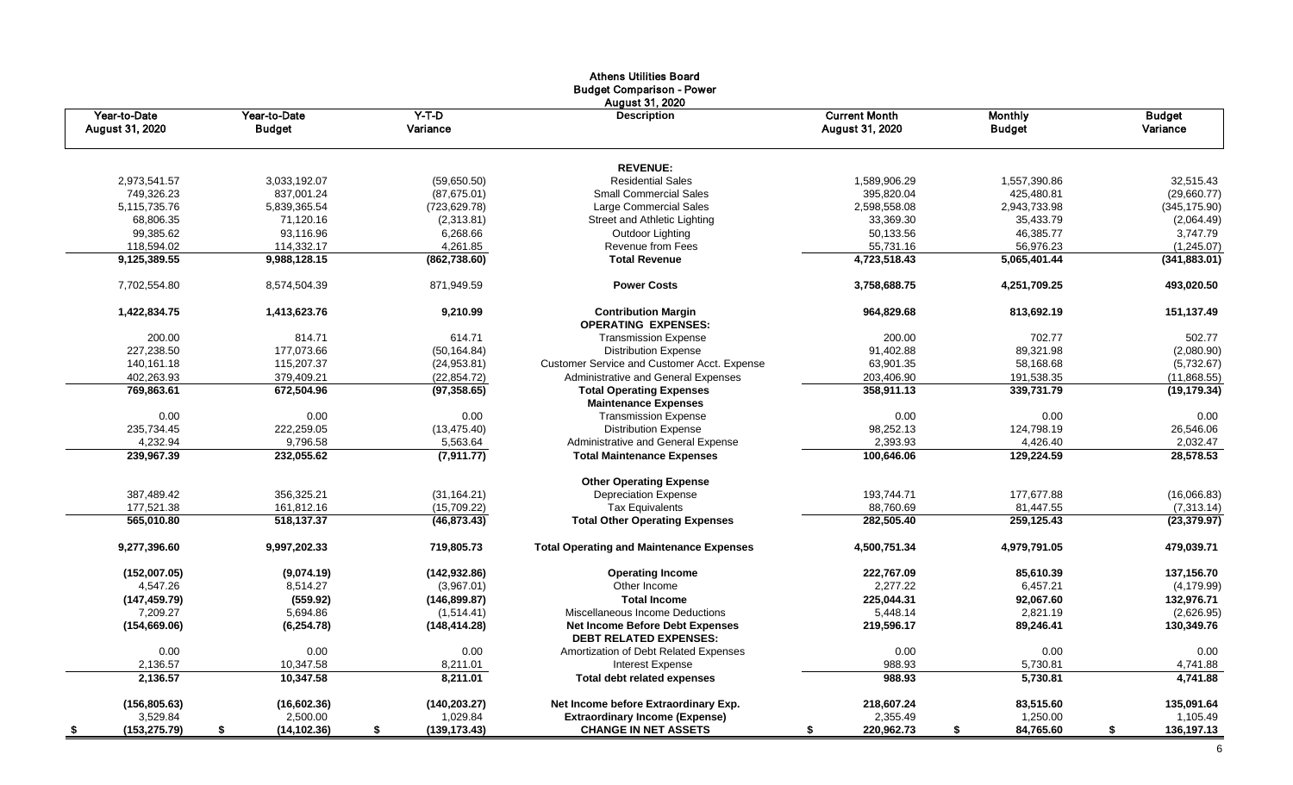|                                 |                               |                     | Athens Utilities board<br><b>Budget Comparison - Power</b>              |                                         |                                 |                           |
|---------------------------------|-------------------------------|---------------------|-------------------------------------------------------------------------|-----------------------------------------|---------------------------------|---------------------------|
| Year-to-Date<br>August 31, 2020 | Year-to-Date<br><b>Budget</b> | $Y-T-D$<br>Variance | August 31, 2020<br><b>Description</b>                                   | <b>Current Month</b><br>August 31, 2020 | <b>Monthly</b><br><b>Budget</b> | <b>Budget</b><br>Variance |
|                                 |                               |                     | <b>REVENUE:</b>                                                         |                                         |                                 |                           |
| 2,973,541.57                    | 3,033,192.07                  | (59,650.50)         | <b>Residential Sales</b>                                                | 1,589,906.29                            | 1,557,390.86                    | 32,515.43                 |
| 749,326.23                      | 837,001.24                    | (87,675.01)         | <b>Small Commercial Sales</b>                                           | 395,820.04                              | 425,480.81                      | (29,660.77)               |
| 5,115,735.76                    | 5,839,365.54                  | (723, 629.78)       | Large Commercial Sales                                                  | 2,598,558.08                            | 2,943,733.98                    | (345, 175.90)             |
| 68,806.35                       | 71,120.16                     | (2,313.81)          | Street and Athletic Lighting                                            | 33,369.30                               | 35,433.79                       | (2,064.49)                |
| 99,385.62                       | 93,116.96                     | 6,268.66            | Outdoor Lighting                                                        | 50,133.56                               | 46,385.77                       | 3,747.79                  |
| 118,594.02                      | 114,332.17                    | 4,261.85            | Revenue from Fees                                                       | 55,731.16                               | 56,976.23                       | (1,245.07)                |
| 9,125,389.55                    | 9,988,128.15                  | (862,738.60)        | <b>Total Revenue</b>                                                    | 4,723,518.43                            | 5,065,401.44                    | (341, 883.01)             |
| 7,702,554.80                    | 8,574,504.39                  | 871,949.59          | <b>Power Costs</b>                                                      | 3,758,688.75                            | 4,251,709.25                    | 493,020.50                |
| 1,422,834.75                    | 1,413,623.76                  | 9,210.99            | <b>Contribution Margin</b><br><b>OPERATING EXPENSES:</b>                | 964,829.68                              | 813,692.19                      | 151,137.49                |
| 200.00                          | 814.71                        | 614.71              | <b>Transmission Expense</b>                                             | 200.00                                  | 702.77                          | 502.77                    |
| 227,238.50                      | 177,073.66                    | (50, 164.84)        | <b>Distribution Expense</b>                                             | 91,402.88                               | 89,321.98                       | (2,080.90)                |
| 140,161.18                      | 115,207.37                    | (24, 953.81)        | Customer Service and Customer Acct. Expense                             | 63,901.35                               | 58,168.68                       | (5,732.67)                |
| 402,263.93                      | 379,409.21                    | (22, 854.72)        | Administrative and General Expenses                                     | 203,406.90                              | 191,538.35                      | (11,868.55)               |
| 769,863.61                      | 672,504.96                    | (97, 358.65)        | <b>Total Operating Expenses</b><br><b>Maintenance Expenses</b>          | 358,911.13                              | 339,731.79                      | (19, 179.34)              |
| 0.00                            | 0.00                          | 0.00                | <b>Transmission Expense</b>                                             | 0.00                                    | 0.00                            | 0.00                      |
| 235,734.45                      | 222,259.05                    | (13, 475.40)        | <b>Distribution Expense</b>                                             | 98,252.13                               | 124,798.19                      | 26,546.06                 |
| 4,232.94                        | 9,796.58                      | 5,563.64            | Administrative and General Expense                                      | 2,393.93                                | 4,426.40                        | 2,032.47                  |
| 239,967.39                      | 232,055.62                    | (7,911.77)          | <b>Total Maintenance Expenses</b>                                       | 100,646.06                              | 129,224.59                      | 28,578.53                 |
|                                 |                               |                     | <b>Other Operating Expense</b>                                          |                                         |                                 |                           |
| 387,489.42                      | 356,325.21                    | (31, 164.21)        | <b>Depreciation Expense</b>                                             | 193,744.71                              | 177,677.88                      | (16,066.83)               |
| 177,521.38                      | 161,812.16                    | (15,709.22)         | <b>Tax Equivalents</b>                                                  | 88,760.69                               | 81,447.55                       | (7,313.14)                |
| 565,010.80                      | 518,137.37                    | (46, 873.43)        | <b>Total Other Operating Expenses</b>                                   | 282,505.40                              | 259,125.43                      | (23, 379.97)              |
| 9,277,396.60                    | 9,997,202.33                  | 719,805.73          | <b>Total Operating and Maintenance Expenses</b>                         | 4,500,751.34                            | 4,979,791.05                    | 479,039.71                |
| (152,007.05)                    | (9,074.19)                    | (142, 932.86)       | <b>Operating Income</b>                                                 | 222,767.09                              | 85,610.39                       | 137,156.70                |
| 4,547.26                        | 8,514.27                      | (3,967.01)          | Other Income                                                            | 2,277.22                                | 6,457.21                        | (4, 179.99)               |
| (147, 459.79)                   | (559.92)                      | (146, 899.87)       | <b>Total Income</b>                                                     | 225,044.31                              | 92,067.60                       | 132,976.71                |
| 7,209.27                        | 5,694.86                      | (1,514.41)          | Miscellaneous Income Deductions                                         | 5,448.14                                | 2,821.19                        | (2,626.95)                |
| (154, 669.06)                   | (6, 254.78)                   | (148, 414.28)       | <b>Net Income Before Debt Expenses</b><br><b>DEBT RELATED EXPENSES:</b> | 219,596.17                              | 89,246.41                       | 130,349.76                |
| 0.00                            | 0.00                          | 0.00                | Amortization of Debt Related Expenses                                   | 0.00                                    | 0.00                            | 0.00                      |
| 2,136.57                        | 10,347.58                     | 8,211.01            | <b>Interest Expense</b>                                                 | 988.93                                  | 5,730.81                        | 4,741.88                  |
| 2,136.57                        | 10,347.58                     | 8,211.01            | <b>Total debt related expenses</b>                                      | 988.93                                  | 5,730.81                        | 4,741.88                  |
| (156, 805.63)                   | (16,602.36)                   | (140, 203.27)       | Net Income before Extraordinary Exp.                                    | 218,607.24                              | 83,515.60                       | 135,091.64                |
| 3,529.84                        | 2,500.00                      | 1,029.84            | <b>Extraordinary Income (Expense)</b>                                   | 2,355.49                                | 1,250.00                        | 1,105.49                  |
| (153, 275.79)<br>\$             | (14, 102.36)<br>\$            | (139, 173.43)<br>\$ | <b>CHANGE IN NET ASSETS</b>                                             | 220,962.73<br>S                         | \$<br>84,765.60                 | 136,197.13<br>\$          |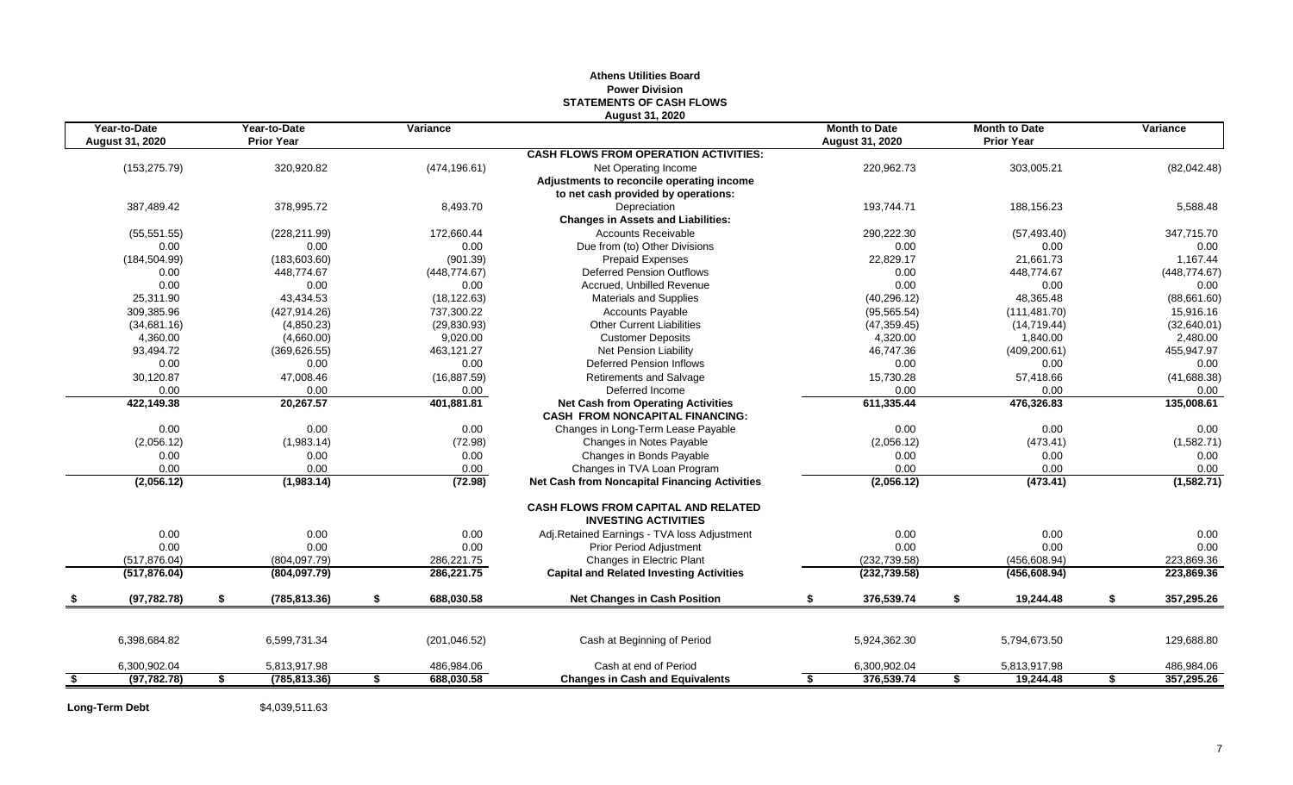|                                        |                                   |                  | August 31, 2020                                                           |                                         |    |                                           |                  |
|----------------------------------------|-----------------------------------|------------------|---------------------------------------------------------------------------|-----------------------------------------|----|-------------------------------------------|------------------|
| Year-to-Date<br><b>August 31, 2020</b> | Year-to-Date<br><b>Prior Year</b> | Variance         |                                                                           | <b>Month to Date</b><br>August 31, 2020 |    | <b>Month to Date</b><br><b>Prior Year</b> | Variance         |
|                                        |                                   |                  | <b>CASH FLOWS FROM OPERATION ACTIVITIES:</b>                              |                                         |    |                                           |                  |
| (153, 275.79)                          | 320,920.82                        | (474, 196.61)    | Net Operating Income                                                      | 220,962.73                              |    | 303,005.21                                | (82,042.48)      |
|                                        |                                   |                  | Adjustments to reconcile operating income                                 |                                         |    |                                           |                  |
|                                        |                                   |                  | to net cash provided by operations:                                       |                                         |    |                                           |                  |
| 387,489.42                             | 378,995.72                        | 8,493.70         | Depreciation                                                              | 193,744.71                              |    | 188,156.23                                | 5,588.48         |
|                                        |                                   |                  | <b>Changes in Assets and Liabilities:</b>                                 |                                         |    |                                           |                  |
| (55, 551.55)                           | (228, 211.99)                     | 172,660.44       | Accounts Receivable                                                       | 290,222.30                              |    | (57, 493.40)                              | 347,715.70       |
| 0.00                                   | 0.00                              | 0.00             | Due from (to) Other Divisions                                             | 0.00                                    |    | 0.00                                      | 0.00             |
| (184, 504.99)                          | (183,603.60)                      | (901.39)         | <b>Prepaid Expenses</b>                                                   | 22,829.17                               |    | 21,661.73                                 | 1,167.44         |
| 0.00                                   | 448,774.67                        | (448, 774.67)    | <b>Deferred Pension Outflows</b>                                          | 0.00                                    |    | 448,774.67                                | (448, 774.67)    |
| 0.00                                   | 0.00                              | 0.00             | Accrued. Unbilled Revenue                                                 | 0.00                                    |    | 0.00                                      | 0.00             |
| 25,311.90                              | 43,434.53                         | (18, 122.63)     | <b>Materials and Supplies</b>                                             | (40, 296.12)                            |    | 48,365.48                                 | (88,661.60)      |
| 309,385.96                             | (427, 914.26)                     | 737,300.22       | <b>Accounts Payable</b>                                                   | (95, 565.54)                            |    | (111, 481.70)                             | 15,916.16        |
| (34,681.16)                            | (4,850.23)                        | (29, 830.93)     | <b>Other Current Liabilities</b>                                          | (47, 359.45)                            |    | (14, 719.44)                              | (32,640.01)      |
| 4,360.00                               | (4,660.00)                        | 9,020.00         | <b>Customer Deposits</b>                                                  | 4,320.00                                |    | 1,840.00                                  | 2,480.00         |
| 93,494.72                              | (369, 626.55)                     | 463,121.27       | Net Pension Liability                                                     | 46,747.36                               |    | (409, 200.61)                             | 455,947.97       |
| 0.00                                   | 0.00                              | 0.00             | <b>Deferred Pension Inflows</b>                                           | 0.00                                    |    | 0.00                                      | 0.00             |
| 30,120.87                              | 47,008.46                         | (16, 887.59)     | <b>Retirements and Salvage</b>                                            | 15,730.28                               |    | 57,418.66                                 | (41, 688.38)     |
| 0.00                                   | 0.00                              | 0.00             | Deferred Income                                                           | 0.00                                    |    | 0.00                                      | 0.00             |
| 422,149.38                             | 20,267.57                         | 401,881.81       | <b>Net Cash from Operating Activities</b>                                 | 611,335.44                              |    | 476,326.83                                | 135,008.61       |
|                                        |                                   |                  | <b>CASH FROM NONCAPITAL FINANCING:</b>                                    |                                         |    |                                           |                  |
| 0.00                                   | 0.00                              | 0.00             | Changes in Long-Term Lease Payable                                        | 0.00                                    |    | 0.00                                      | 0.00             |
| (2,056.12)                             | (1,983.14)                        | (72.98)          | Changes in Notes Payable                                                  | (2,056.12)                              |    | (473.41)                                  | (1,582.71)       |
| 0.00                                   | 0.00                              | 0.00             | Changes in Bonds Payable                                                  | 0.00                                    |    | 0.00                                      | 0.00             |
| 0.00                                   | 0.00                              | 0.00             | Changes in TVA Loan Program                                               | 0.00                                    |    | 0.00                                      | 0.00             |
| (2,056.12)                             | (1,983.14)                        | (72.98)          | <b>Net Cash from Noncapital Financing Activities</b>                      | (2,056.12)                              |    | (473.41)                                  | (1, 582.71)      |
|                                        |                                   |                  | <b>CASH FLOWS FROM CAPITAL AND RELATED</b><br><b>INVESTING ACTIVITIES</b> |                                         |    |                                           |                  |
| 0.00                                   | 0.00                              | 0.00             | Adj.Retained Earnings - TVA loss Adjustment                               | 0.00                                    |    | 0.00                                      | 0.00             |
| 0.00                                   | 0.00                              | 0.00             | <b>Prior Period Adjustment</b>                                            | 0.00                                    |    | 0.00                                      | 0.00             |
| (517, 876.04)                          | (804, 097.79)                     | 286,221.75       | Changes in Electric Plant                                                 | (232, 739.58)                           |    | (456, 608.94)                             | 223,869.36       |
| (517, 876.04)                          | (804,097.79)                      | 286,221.75       | <b>Capital and Related Investing Activities</b>                           | (232, 739.58)                           |    | (456, 608.94)                             | 223,869.36       |
| (97, 782.78)                           | \$<br>(785, 813.36)               | \$<br>688,030.58 | <b>Net Changes in Cash Position</b>                                       | \$<br>376,539.74                        | £. | 19,244.48                                 | \$<br>357,295.26 |
|                                        |                                   |                  |                                                                           |                                         |    |                                           |                  |
| 6,398,684.82                           | 6,599,731.34                      | (201, 046.52)    | Cash at Beginning of Period                                               | 5,924,362.30                            |    | 5,794,673.50                              | 129,688.80       |
| 6,300,902.04                           | 5,813,917.98                      | 486,984.06       | Cash at end of Period                                                     | 6,300,902.04                            |    | 5,813,917.98                              | 486,984.06       |
| \$<br>(97, 782.78)                     | \$<br>(785, 813.36)               | \$<br>688,030.58 | <b>Changes in Cash and Equivalents</b>                                    | \$<br>376,539.74                        | \$ | 19,244.48                                 | \$<br>357,295.26 |
|                                        |                                   |                  |                                                                           |                                         |    |                                           |                  |

# **Athens Utilities Board Power Division STATEMENTS OF CASH FLOWS**

Long-Term Debt \$4,039,511.63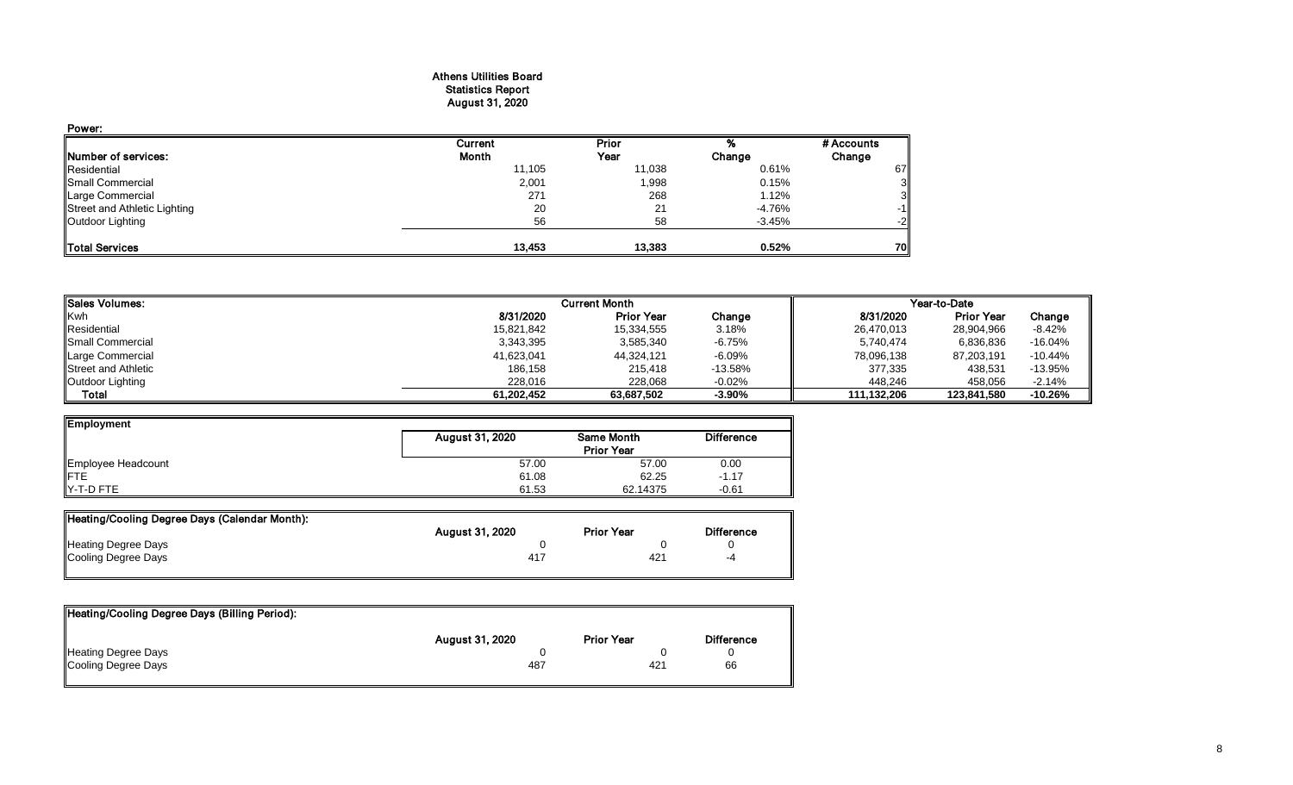#### Athens Utilities Board Statistics Report August 31, 2020

| Power:                       |                |        |          |            |
|------------------------------|----------------|--------|----------|------------|
|                              | <b>Current</b> | Prior  |          | # Accounts |
| Number of services:          | Month          | Year   | Change   | Change     |
| Residential                  | 11,105         | 11,038 | 0.61%    | 67         |
| Small Commercial             | 2,001          | 1,998  | 0.15%    |            |
| Large Commercial             | 271            | 268    | 1.12%    |            |
| Street and Athletic Lighting | 20             | 21     | $-4.76%$ | -1         |
| Outdoor Lighting             | 56             | 58     | $-3.45%$ | -2         |
| <b>Total Services</b>        | 13,453         | 13.383 | 0.52%    | 70         |

| <b>ISales Volumes:</b>     |            | <b>Current Month</b> |           |             | Year-to-Date      |           |
|----------------------------|------------|----------------------|-----------|-------------|-------------------|-----------|
| <b>Kwh</b>                 | 8/31/2020  | <b>Prior Year</b>    | Change    | 8/31/2020   | <b>Prior Year</b> | Change    |
| Residential                | 15,821,842 | 15,334,555           | 3.18%     | 26,470,013  | 28,904,966        | -8.42%    |
| <b>I</b> Small Commercial  | 3,343,395  | 3,585,340            | $-6.75%$  | 5,740,474   | 6,836,836         | $-16.04%$ |
| Large Commercial           | 41,623,041 | 44,324,121           | $-6.09%$  | 78,096,138  | 87,203,191        | $-10.44%$ |
| <b>Street and Athletic</b> | 186,158    | 215,418              | $-13.58%$ | 377,335     | 438,531           | $-13.95%$ |
| Outdoor Lighting           | 228.016    | 228,068              | $-0.02%$  | 448.246     | 458.056           | $-2.14%$  |
| <b>Total</b>               | 61.202.452 | 63.687.502           | $-3.90%$  | 111.132.206 | 123,841,580       | $-10.26%$ |

| Employment                |                 |                   |                   |
|---------------------------|-----------------|-------------------|-------------------|
|                           | August 31, 2020 | Same Month        | <b>Difference</b> |
|                           |                 | <b>Prior Year</b> |                   |
| Employee Headcount<br>FTE | 57.00           | 57.00             | 0.00              |
|                           | 61.08           | 62.25             | $-1.17$           |
| Y-T-D FTE                 | 61.53           | 62.14375          | $-0.61$           |

| Heating/Cooling Degree Days (Calendar Month): |                        |                   |                   |
|-----------------------------------------------|------------------------|-------------------|-------------------|
|                                               | <b>August 31, 2020</b> | <b>Prior Year</b> | <b>Difference</b> |
| <b>Heating Degree Days</b>                    |                        |                   |                   |
| Cooling Degree Days                           | 417                    | 421               | -4                |
|                                               |                        |                   |                   |

| Heating/Cooling Degree Days (Billing Period): |                        |                   |                   |
|-----------------------------------------------|------------------------|-------------------|-------------------|
|                                               | <b>August 31, 2020</b> | <b>Prior Year</b> | <b>Difference</b> |
| Heating Degree Days                           |                        |                   |                   |
| Cooling Degree Days                           | 487                    | 421               | 66                |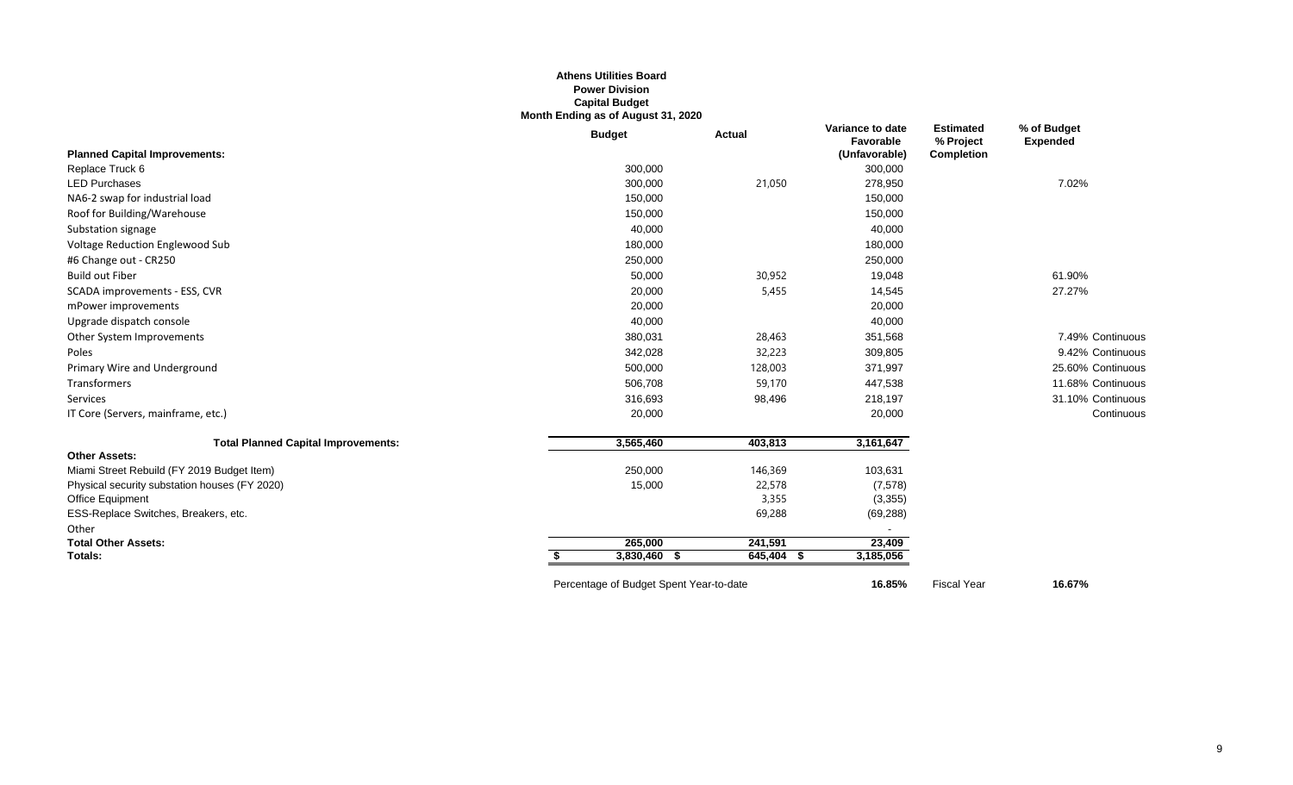#### **Athens Utilities Board Power Division Capital Budget Month Ending as of August 31, 2020**

|                                               | <b>Budget</b>                           | <b>Actual</b> | Variance to date<br>Favorable | <b>Estimated</b><br>% Project | % of Budget<br><b>Expended</b> |
|-----------------------------------------------|-----------------------------------------|---------------|-------------------------------|-------------------------------|--------------------------------|
| <b>Planned Capital Improvements:</b>          |                                         |               | (Unfavorable)                 | Completion                    |                                |
| Replace Truck 6                               | 300,000                                 |               | 300,000                       |                               |                                |
| <b>LED Purchases</b>                          | 300,000                                 | 21,050        | 278,950                       |                               | 7.02%                          |
| NA6-2 swap for industrial load                | 150,000                                 |               | 150,000                       |                               |                                |
| Roof for Building/Warehouse                   | 150,000                                 |               | 150,000                       |                               |                                |
| Substation signage                            | 40,000                                  |               | 40,000                        |                               |                                |
| Voltage Reduction Englewood Sub               | 180,000                                 |               | 180,000                       |                               |                                |
| #6 Change out - CR250                         | 250,000                                 |               | 250,000                       |                               |                                |
| <b>Build out Fiber</b>                        | 50,000                                  | 30,952        | 19,048                        |                               | 61.90%                         |
| SCADA improvements - ESS, CVR                 | 20,000                                  | 5,455         | 14,545                        |                               | 27.27%                         |
| mPower improvements                           | 20,000                                  |               | 20,000                        |                               |                                |
| Upgrade dispatch console                      | 40,000                                  |               | 40,000                        |                               |                                |
| Other System Improvements                     | 380,031                                 | 28,463        | 351,568                       |                               | 7.49% Continuous               |
| Poles                                         | 342,028                                 | 32,223        | 309,805                       |                               | 9.42% Continuous               |
| Primary Wire and Underground                  | 500,000                                 | 128,003       | 371,997                       |                               | 25.60% Continuous              |
| Transformers                                  | 506,708                                 | 59,170        | 447,538                       |                               | 11.68% Continuous              |
| Services                                      | 316,693                                 | 98,496        | 218,197                       |                               | 31.10% Continuous              |
| IT Core (Servers, mainframe, etc.)            | 20,000                                  |               | 20,000                        |                               | Continuous                     |
| <b>Total Planned Capital Improvements:</b>    | 3,565,460                               | 403,813       | 3,161,647                     |                               |                                |
| <b>Other Assets:</b>                          |                                         |               |                               |                               |                                |
| Miami Street Rebuild (FY 2019 Budget Item)    | 250,000                                 | 146,369       | 103,631                       |                               |                                |
| Physical security substation houses (FY 2020) | 15,000                                  | 22,578        | (7, 578)                      |                               |                                |
| Office Equipment                              |                                         | 3,355         | (3,355)                       |                               |                                |
| ESS-Replace Switches, Breakers, etc.          |                                         | 69,288        | (69, 288)                     |                               |                                |
| Other                                         |                                         |               |                               |                               |                                |
| <b>Total Other Assets:</b>                    | 265,000                                 | 241,591       | 23,409                        |                               |                                |
| Totals:                                       | 3,830,460 \$                            | 645,404 \$    | 3,185,056                     |                               |                                |
|                                               | Percentage of Budget Spent Year-to-date |               | 16.85%                        | <b>Fiscal Year</b>            | 16.67%                         |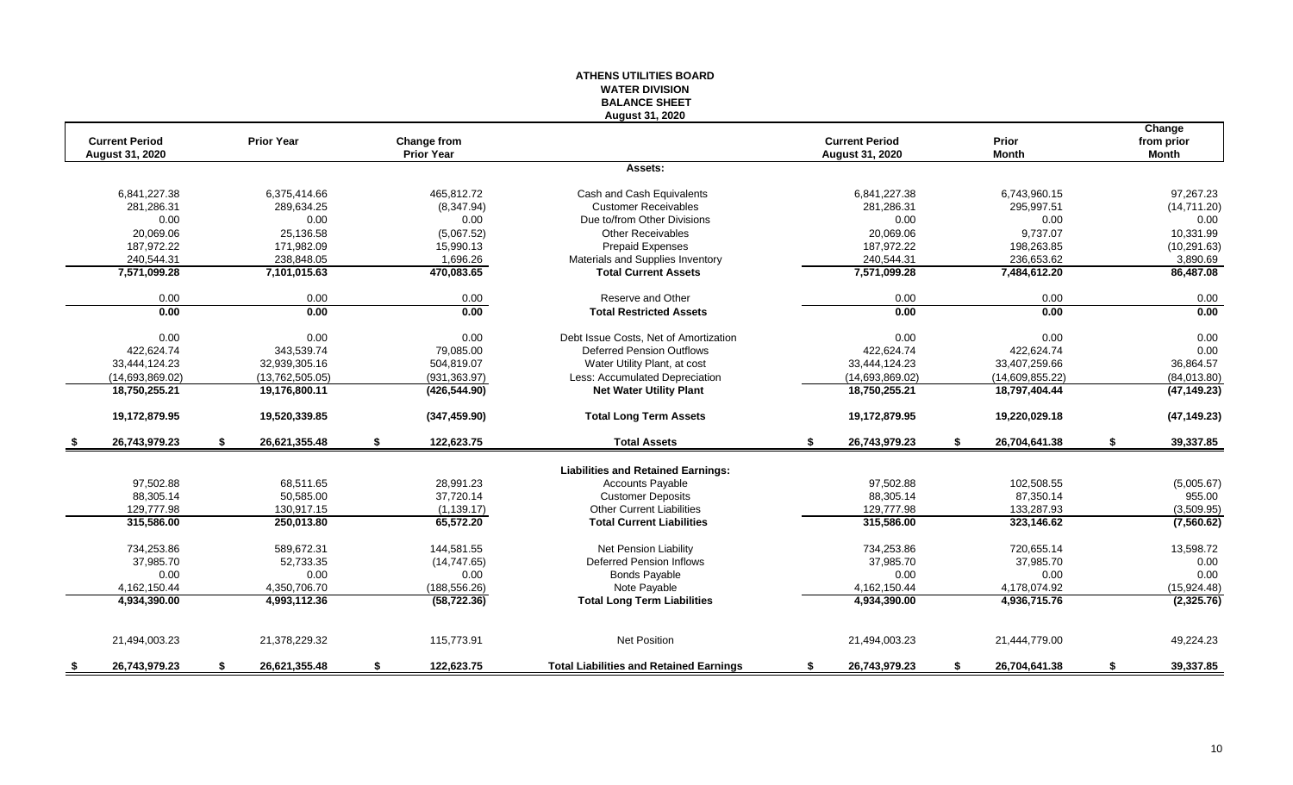# **WATER DIVISION BALANCE SHEET August 31, 2020 Change Current Period Prior Year Change from Current Period Prior from prior August 31, 2020 Prior Year August 31, 2020 Month Month Assets:** 6,841,227.38 6,375,414.66 465,812.72 Cash and Cash Equivalents 6,841,227.38 6,743,960.15 97,267.23 281,286.31 289,634.25 (8,347.94) Customer Receivables 281,286.31 295,997.51 (14,711.20) 0.00 0.00 0.00 Due to/from Other Divisions 0.00 0.00 0.00 20,069.06 25,136.58 (5,067.52) Other Receivables 20,069.06 9,737.07 10,331.99 187,972.22 171,982.09 15,990.13 Prepaid Expenses 187,972.22 198,263.85 (10,291.63) 210,544.31 238,848.05 238,848.05 1,696.26 Materials and Supplies Inventory 240,544.31 236,653.62 236,653.62 3,890.69<br>26,487.08 7,571,099.28 7,484,612.20 201,101,015.63 470,083.65 Total Current Assets 7,571,099.28 7,484,612 **7,571,099.28 7,101,015.63 470,083.65 Total Current Assets 7,571,099.28 7,484,612.20 86,487.08** 0.00 0.00 0.00 Reserve and Other 0.00 0.00 0.00 **0.00 0.00 0.00 Total Restricted Assets 0.00 0.00 0.00** 0.00 0.00 0.00 0.00 0.00 Debt Issue Costs. Net of Amortization 0.00 0.00 0.00 0.00 0.00 0.00 0.00 422,624.74 343,539.74 79,085.00 Deferred Pension Outflows 422,624.74 422,624.74 0.00 33,444,124.23 32,939,305.16 504,819.07 Water Utility Plant, at cost 33,444,124.23 33,407,259.66 36,864.57 (14,693,869.02) (13,762,505.05) (931,363.97) Less: Accumulated Depreciation (14,693,869.02) (14,609,855.22) (84,013.80) **18,750,255.21 19,176,800.11 (426,544.90) Net Water Utility Plant 18,750,255.21 18,797,404.44 (47,149.23) 19,172,879.95 19,520,339.85 (347,459.90) Total Long Term Assets 19,172,879.95 19,220,029.18 (47,149.23) \$ 26,743,979.23 \$ 26,621,355.48 \$ 122,623.75 Total Assets \$ 26,743,979.23 \$ 26,704,641.38 \$ 39,337.85 Liabilities and Retained Earnings:** 97,502.88 68,511.65 28,991.23 Accounts Payable 97,502.88 102,508.55 (5,005.67) 88,305.14 50,585.00 37,720.14 Customer Deposits 88,305.14 87,350.14 955.00 129,777.98 130,917.15 (1,139.17) Other Current Liabilities 129,777.98 133,287.93 (3,509.95) **315,586.00 250,013.80 65,572.20 Total Current Liabilities 315,586.00 323,146.62 (7,560.62)** 734,253.86 589,672.31 144,581.55 Net Pension Liability 734,253.86 720,655.14 13,598.72 37,985.70 52,733.35 (14,747.65) Deferred Pension Inflows 37,985.70 37,985.70 0.00 0.00 0.00 0.00 Bonds Payable 0.00 0.00 0.00 4,162,150.44 4,350,706.70 (188,556.26) 4,162,150.44 4,178,074.92 (15,924.48) **4,934,390.00 4,993,112.36 (58,722.36) Total Long Term Liabilities 4,934,390.00 4,936,715.76 (2,325.76)** 21,494,003.23 21,378,229.32 115,773.91 Net Position 21,494,003.23 21,444,779.00 49,224.23 **\$ 26,743,979.23 \$ 26,621,355.48 \$ 122,623.75 Total Liabilities and Retained Earnings \$ 26,743,979.23 \$ 26,704,641.38 \$ 39,337.85**

**ATHENS UTILITIES BOARD**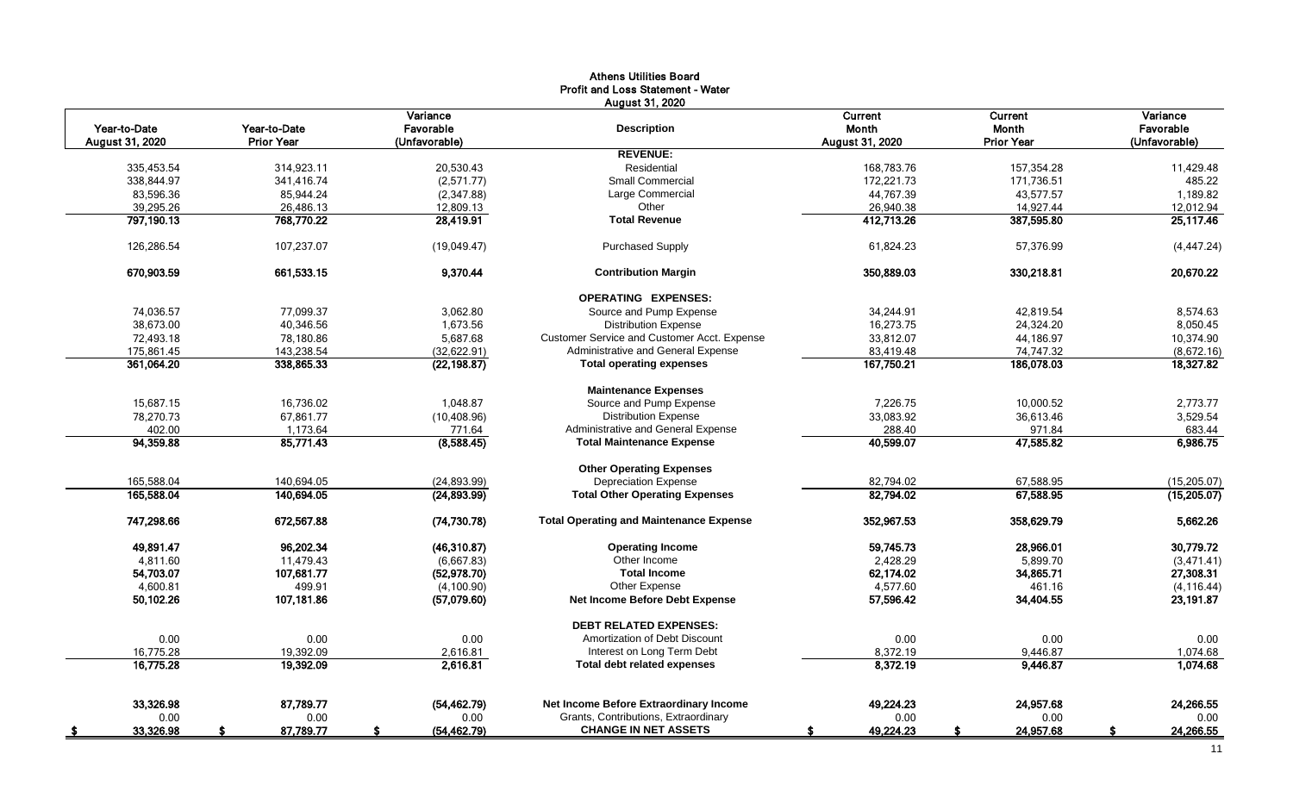|                   |                   |                    | <b>Athens Utilities Board</b>                  |                 |                   |                 |
|-------------------|-------------------|--------------------|------------------------------------------------|-----------------|-------------------|-----------------|
|                   |                   |                    | Profit and Loss Statement - Water              |                 |                   |                 |
|                   |                   |                    | <b>August 31, 2020</b>                         |                 |                   |                 |
|                   |                   | Variance           |                                                | Current         | <b>Current</b>    | Variance        |
| Year-to-Date      | Year-to-Date      | Favorable          | <b>Description</b>                             | Month           | Month             | Favorable       |
| August 31, 2020   | <b>Prior Year</b> | (Unfavorable)      |                                                | August 31, 2020 | <b>Prior Year</b> | (Unfavorable)   |
|                   |                   |                    | <b>REVENUE:</b>                                |                 |                   |                 |
| 335,453.54        | 314,923.11        | 20,530.43          | Residential                                    | 168,783.76      | 157,354.28        | 11,429.48       |
| 338,844.97        | 341,416.74        | (2,571.77)         | <b>Small Commercial</b>                        | 172,221.73      | 171,736.51        | 485.22          |
| 83,596.36         | 85,944.24         | (2,347.88)         | Large Commercial                               | 44,767.39       | 43,577.57         | 1,189.82        |
| 39,295.26         | 26,486.13         | 12,809.13          | Other                                          | 26,940.38       | 14,927.44         | 12,012.94       |
| 797,190.13        | 768,770.22        | 28,419.91          | <b>Total Revenue</b>                           | 412,713.26      | 387,595.80        | 25,117.46       |
| 126.286.54        | 107,237.07        | (19,049.47)        | <b>Purchased Supply</b>                        | 61.824.23       | 57.376.99         | (4, 447.24)     |
| 670,903.59        | 661,533.15        | 9,370.44           | <b>Contribution Margin</b>                     | 350,889.03      | 330,218.81        | 20,670.22       |
|                   |                   |                    | <b>OPERATING EXPENSES:</b>                     |                 |                   |                 |
| 74,036.57         | 77.099.37         | 3,062.80           | Source and Pump Expense                        | 34,244.91       | 42.819.54         | 8,574.63        |
| 38,673.00         | 40,346.56         | 1,673.56           | <b>Distribution Expense</b>                    | 16,273.75       | 24,324.20         | 8,050.45        |
| 72,493.18         | 78,180.86         | 5,687.68           | Customer Service and Customer Acct. Expense    | 33,812.07       | 44,186.97         | 10,374.90       |
| 175,861.45        | 143,238.54        | (32,622.91)        | Administrative and General Expense             | 83,419.48       | 74,747.32         | (8,672.16)      |
| 361,064.20        | 338,865.33        | (22, 198.87)       | <b>Total operating expenses</b>                | 167,750.21      | 186,078.03        | 18,327.82       |
|                   |                   |                    | <b>Maintenance Expenses</b>                    |                 |                   |                 |
| 15.687.15         | 16.736.02         | 1.048.87           | Source and Pump Expense                        | 7.226.75        | 10.000.52         | 2,773.77        |
| 78,270.73         | 67.861.77         | (10, 408.96)       | <b>Distribution Expense</b>                    | 33,083.92       | 36.613.46         | 3.529.54        |
| 402.00            | 1,173.64          | 771.64             | Administrative and General Expense             | 288.40          | 971.84            | 683.44          |
| 94,359.88         | 85,771.43         | (8,588.45)         | <b>Total Maintenance Expense</b>               | 40,599.07       | 47,585.82         | 6,986.75        |
|                   |                   |                    | <b>Other Operating Expenses</b>                |                 |                   |                 |
| 165,588.04        | 140,694.05        | (24, 893.99)       | <b>Depreciation Expense</b>                    | 82,794.02       | 67,588.95         | (15, 205.07)    |
| 165,588.04        | 140,694.05        | (24, 893.99)       | <b>Total Other Operating Expenses</b>          | 82,794.02       | 67,588.95         | (15,205.07)     |
| 747,298.66        | 672,567.88        | (74, 730.78)       | <b>Total Operating and Maintenance Expense</b> | 352,967.53      | 358,629.79        | 5,662.26        |
| 49,891.47         | 96,202.34         | (46,310.87)        | <b>Operating Income</b>                        | 59,745.73       | 28,966.01         | 30,779.72       |
| 4,811.60          | 11,479.43         | (6,667.83)         | Other Income                                   | 2,428.29        | 5,899.70          | (3,471.41)      |
| 54,703.07         | 107,681.77        | (52, 978.70)       | <b>Total Income</b>                            | 62,174.02       | 34,865.71         | 27,308.31       |
| 4.600.81          | 499.91            | (4, 100.90)        | Other Expense                                  | 4,577.60        | 461.16            | (4, 116.44)     |
| 50,102.26         | 107,181.86        | (57,079.60)        | Net Income Before Debt Expense                 | 57,596.42       | 34,404.55         | 23,191.87       |
|                   |                   |                    | <b>DEBT RELATED EXPENSES:</b>                  |                 |                   |                 |
| 0.00              | 0.00              | 0.00               | Amortization of Debt Discount                  | 0.00            | 0.00              | 0.00            |
| 16,775.28         | 19,392.09         | 2,616.81           | Interest on Long Term Debt                     | 8,372.19        | 9,446.87          | 1,074.68        |
| 16,775.28         | 19,392.09         | 2,616.81           | <b>Total debt related expenses</b>             | 8,372.19        | 9,446.87          | 1,074.68        |
| 33,326.98         | 87.789.77         | (54, 462.79)       | Net Income Before Extraordinary Income         | 49,224.23       | 24,957.68         | 24,266.55       |
| 0.00              | 0.00              | 0.00               | Grants, Contributions, Extraordinary           | 0.00            | 0.00              | 0.00            |
|                   |                   |                    | <b>CHANGE IN NET ASSETS</b>                    |                 |                   |                 |
| 33,326.98<br>- \$ | 87,789.77<br>\$.  | (54, 462.79)<br>\$ |                                                | 49,224.23<br>-S | 24,957.68<br>\$   | \$<br>24,266.55 |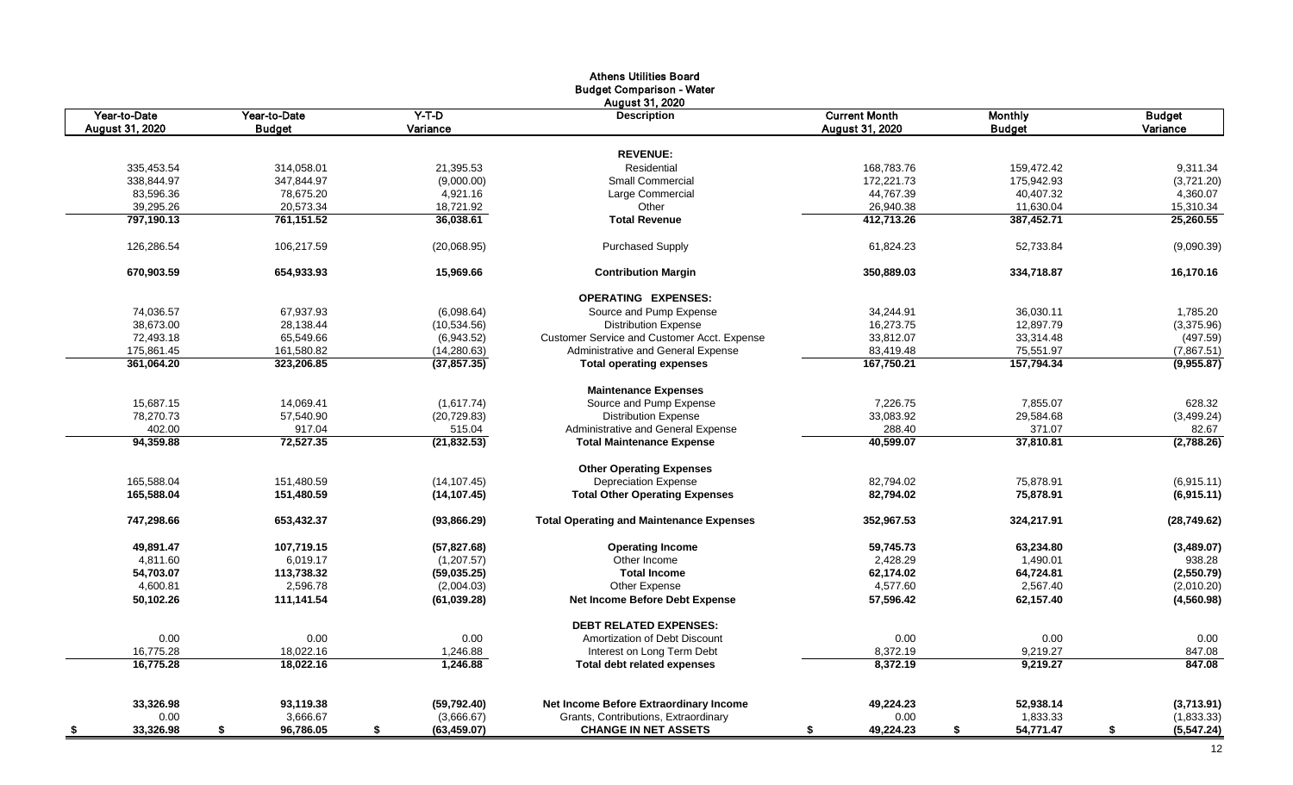|                        |                 |                    | <b>Athens Utilities Board</b>                   |                      |                 |                   |
|------------------------|-----------------|--------------------|-------------------------------------------------|----------------------|-----------------|-------------------|
|                        |                 |                    | <b>Budget Comparison - Water</b>                |                      |                 |                   |
|                        |                 |                    | August 31, 2020                                 |                      |                 |                   |
| Year-to-Date           | Year-to-Date    | $Y-T-D$            | <b>Description</b>                              | <b>Current Month</b> | <b>Monthly</b>  | <b>Budget</b>     |
| <b>August 31, 2020</b> | <b>Budget</b>   | Variance           |                                                 | August 31, 2020      | <b>Budget</b>   | Variance          |
|                        |                 |                    |                                                 |                      |                 |                   |
|                        |                 |                    | <b>REVENUE:</b>                                 |                      |                 |                   |
| 335,453.54             | 314,058.01      | 21,395.53          | Residential                                     | 168,783.76           | 159,472.42      | 9,311.34          |
| 338,844.97             | 347,844.97      | (9,000.00)         | <b>Small Commercial</b>                         | 172,221.73           | 175,942.93      | (3,721.20)        |
| 83,596.36              | 78,675.20       | 4,921.16           | Large Commercial                                | 44,767.39            | 40,407.32       | 4,360.07          |
| 39,295.26              | 20,573.34       | 18,721.92          | Other                                           | 26,940.38            | 11,630.04       | 15,310.34         |
| 797,190.13             | 761,151.52      | 36,038.61          | <b>Total Revenue</b>                            | 412,713.26           | 387,452.71      | 25,260.55         |
| 126,286.54             | 106,217.59      | (20,068.95)        | <b>Purchased Supply</b>                         | 61,824.23            | 52,733.84       | (9,090.39)        |
| 670,903.59             | 654,933.93      | 15,969.66          | <b>Contribution Margin</b>                      | 350,889.03           | 334,718.87      | 16,170.16         |
|                        |                 |                    |                                                 |                      |                 |                   |
|                        |                 |                    | <b>OPERATING EXPENSES:</b>                      |                      |                 |                   |
| 74,036.57              | 67,937.93       | (6,098.64)         | Source and Pump Expense                         | 34,244.91            | 36,030.11       | 1,785.20          |
| 38,673.00              | 28,138.44       | (10,534.56)        | <b>Distribution Expense</b>                     | 16,273.75            | 12,897.79       | (3,375.96)        |
| 72,493.18              | 65,549.66       | (6,943.52)         | Customer Service and Customer Acct. Expense     | 33,812.07            | 33,314.48       | (497.59)          |
| 175,861.45             | 161,580.82      | (14, 280.63)       | Administrative and General Expense              | 83,419.48            | 75,551.97       | (7,867.51)        |
| 361,064.20             | 323,206.85      | (37, 857.35)       | <b>Total operating expenses</b>                 | 167,750.21           | 157,794.34      | (9,955.87)        |
|                        |                 |                    | <b>Maintenance Expenses</b>                     |                      |                 |                   |
| 15,687.15              | 14,069.41       | (1,617.74)         | Source and Pump Expense                         | 7,226.75             | 7,855.07        | 628.32            |
| 78,270.73              | 57,540.90       | (20, 729.83)       | <b>Distribution Expense</b>                     | 33,083.92            | 29,584.68       | (3,499.24)        |
| 402.00                 | 917.04          | 515.04             | Administrative and General Expense              | 288.40               | 371.07          | 82.67             |
| 94,359.88              | 72,527.35       | (21, 832.53)       | <b>Total Maintenance Expense</b>                | 40,599.07            | 37,810.81       | (2,788.26)        |
|                        |                 |                    | <b>Other Operating Expenses</b>                 |                      |                 |                   |
| 165,588.04             | 151.480.59      | (14, 107.45)       | <b>Depreciation Expense</b>                     | 82.794.02            | 75.878.91       | (6,915.11)        |
| 165,588.04             | 151,480.59      | (14, 107.45)       | <b>Total Other Operating Expenses</b>           | 82,794.02            | 75,878.91       | (6,915.11)        |
| 747,298.66             | 653,432.37      | (93,866.29)        | <b>Total Operating and Maintenance Expenses</b> | 352,967.53           | 324,217.91      | (28, 749.62)      |
| 49,891.47              | 107,719.15      | (57, 827.68)       | <b>Operating Income</b>                         | 59,745.73            | 63,234.80       | (3,489.07)        |
| 4,811.60               | 6,019.17        | (1,207.57)         | Other Income                                    | 2,428.29             | 1,490.01        | 938.28            |
| 54,703.07              | 113,738.32      | (59,035.25)        | <b>Total Income</b>                             | 62,174.02            | 64,724.81       | (2,550.79)        |
| 4,600.81               | 2,596.78        | (2,004.03)         | Other Expense                                   | 4,577.60             | 2.567.40        | (2,010.20)        |
| 50,102.26              | 111,141.54      | (61, 039.28)       | Net Income Before Debt Expense                  | 57,596.42            | 62,157.40       | (4,560.98)        |
|                        |                 |                    | <b>DEBT RELATED EXPENSES:</b>                   |                      |                 |                   |
| 0.00                   | 0.00            | 0.00               | Amortization of Debt Discount                   | 0.00                 | 0.00            | 0.00              |
| 16,775.28              | 18,022.16       | 1,246.88           | Interest on Long Term Debt                      | 8,372.19             | 9,219.27        | 847.08            |
| 16,775.28              | 18,022.16       | 1.246.88           | <b>Total debt related expenses</b>              | 8,372.19             | 9,219.27        | 847.08            |
|                        |                 |                    |                                                 |                      |                 |                   |
| 33,326.98              | 93,119.38       | (59, 792.40)       | Net Income Before Extraordinary Income          | 49,224.23            | 52,938.14       | (3,713.91)        |
| 0.00                   | 3,666.67        | (3,666.67)         | Grants, Contributions, Extraordinary            | 0.00                 | 1,833.33        | (1,833.33)        |
| 33,326.98<br>- \$      | 96,786.05<br>\$ | \$<br>(63, 459.07) | <b>CHANGE IN NET ASSETS</b>                     | 49,224.23<br>\$      | 54,771.47<br>\$ | \$<br>(5, 547.24) |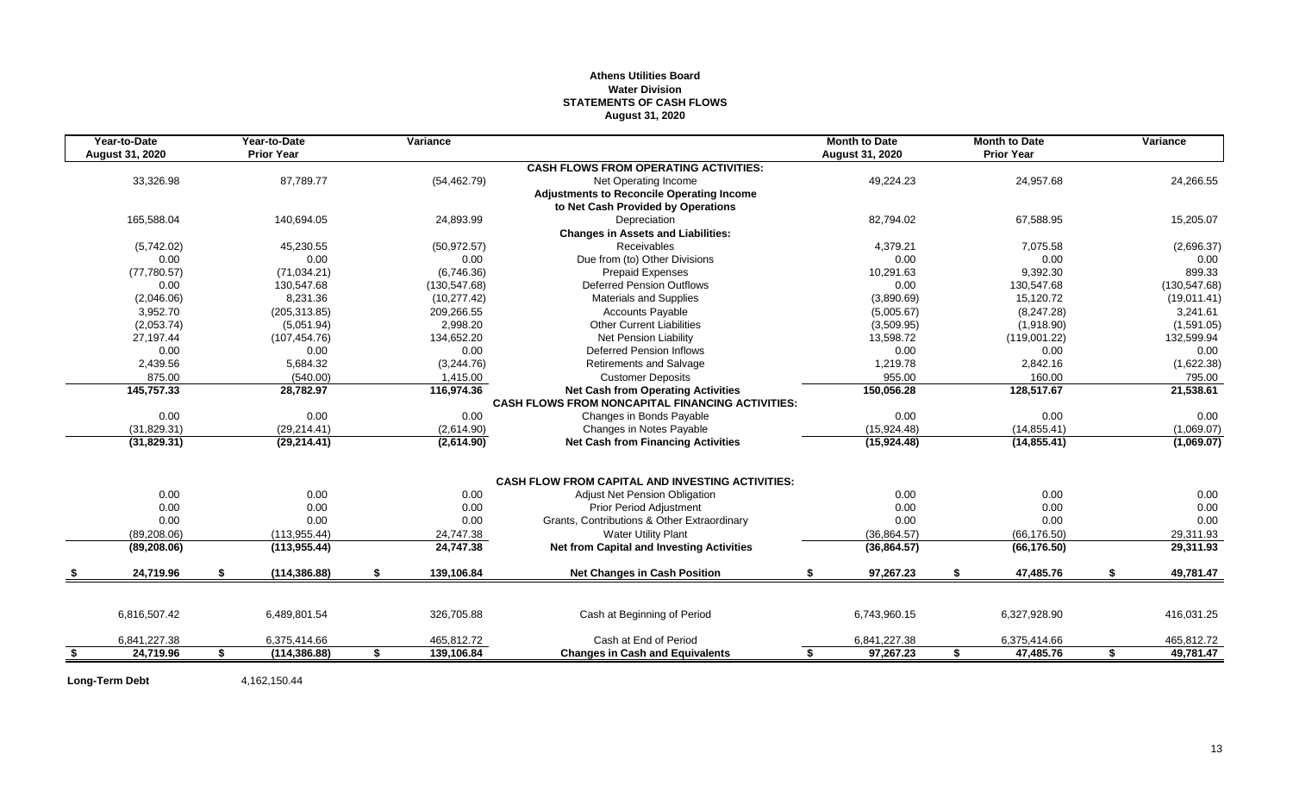# **Athens Utilities Board Water Division STATEMENTS OF CASH FLOWS August 31, 2020**

|      | Year-to-Date    | Year-to-Date        | Variance         |                                                         | <b>Month to Date</b> | <b>Month to Date</b> | Variance        |
|------|-----------------|---------------------|------------------|---------------------------------------------------------|----------------------|----------------------|-----------------|
|      | August 31, 2020 | <b>Prior Year</b>   |                  |                                                         | August 31, 2020      | <b>Prior Year</b>    |                 |
|      |                 |                     |                  | <b>CASH FLOWS FROM OPERATING ACTIVITIES:</b>            |                      |                      |                 |
|      | 33,326.98       | 87,789.77           | (54, 462.79)     | Net Operating Income                                    | 49,224.23            | 24,957.68            | 24,266.55       |
|      |                 |                     |                  | <b>Adjustments to Reconcile Operating Income</b>        |                      |                      |                 |
|      |                 |                     |                  | to Net Cash Provided by Operations                      |                      |                      |                 |
|      | 165,588.04      | 140,694.05          | 24,893.99        | Depreciation                                            | 82,794.02            | 67,588.95            | 15,205.07       |
|      |                 |                     |                  | <b>Changes in Assets and Liabilities:</b>               |                      |                      |                 |
|      | (5,742.02)      | 45,230.55           | (50, 972.57)     | <b>Receivables</b>                                      | 4,379.21             | 7,075.58             | (2,696.37)      |
|      | 0.00            | 0.00                | 0.00             | Due from (to) Other Divisions                           | 0.00                 | 0.00                 | 0.00            |
|      | (77, 780.57)    | (71, 034.21)        | (6,746.36)       | <b>Prepaid Expenses</b>                                 | 10.291.63            | 9,392.30             | 899.33          |
|      | 0.00            | 130.547.68          | (130, 547.68)    | Deferred Pension Outflows                               | 0.00                 | 130.547.68           | (130, 547.68)   |
|      | (2,046.06)      | 8,231.36            | (10, 277.42)     | <b>Materials and Supplies</b>                           | (3,890.69)           | 15,120.72            | (19,011.41)     |
|      | 3,952.70        | (205, 313.85)       | 209,266.55       | <b>Accounts Payable</b>                                 | (5,005.67)           | (8,247.28)           | 3,241.61        |
|      | (2,053.74)      | (5,051.94)          | 2,998.20         | <b>Other Current Liabilities</b>                        | (3,509.95)           | (1,918.90)           | (1,591.05)      |
|      | 27,197.44       | (107, 454.76)       | 134,652.20       | <b>Net Pension Liability</b>                            | 13,598.72            | (119,001.22)         | 132,599.94      |
|      | 0.00            | 0.00                | 0.00             | <b>Deferred Pension Inflows</b>                         | 0.00                 | 0.00                 | 0.00            |
|      | 2,439.56        | 5,684.32            | (3,244.76)       | Retirements and Salvage                                 | 1,219.78             | 2,842.16             | (1,622.38)      |
|      | 875.00          | (540.00)            | 1,415.00         | <b>Customer Deposits</b>                                | 955.00               | 160.00               | 795.00          |
|      | 145,757.33      | 28,782.97           | 116,974.36       | <b>Net Cash from Operating Activities</b>               | 150,056.28           | 128,517.67           | 21,538.61       |
|      |                 |                     |                  | <b>CASH FLOWS FROM NONCAPITAL FINANCING ACTIVITIES:</b> |                      |                      |                 |
|      | 0.00            | 0.00                | 0.00             | Changes in Bonds Payable                                | 0.00                 | 0.00                 | 0.00            |
|      | (31, 829.31)    | (29, 214.41)        | (2,614.90)       | Changes in Notes Payable                                | (15,924.48)          | (14, 855.41)         | (1,069.07)      |
|      | (31,829.31)     | (29, 214.41)        | (2,614.90)       | <b>Net Cash from Financing Activities</b>               | (15, 924.48)         | (14, 855.41)         | (1,069.07)      |
|      |                 |                     |                  | <b>CASH FLOW FROM CAPITAL AND INVESTING ACTIVITIES:</b> |                      |                      |                 |
|      | 0.00            | 0.00                | 0.00             | <b>Adjust Net Pension Obligation</b>                    | 0.00                 | 0.00                 | 0.00            |
|      | 0.00            | 0.00                | 0.00             | <b>Prior Period Adjustment</b>                          | 0.00                 | 0.00                 | 0.00            |
|      | 0.00            | 0.00                | 0.00             | Grants, Contributions & Other Extraordinary             | 0.00                 | 0.00                 | 0.00            |
|      | (89, 208.06)    | (113, 955.44)       | 24,747.38        | <b>Water Utility Plant</b>                              | (36, 864.57)         | (66, 176.50)         | 29,311.93       |
|      | (89, 208.06)    | (113, 955.44)       | 24,747.38        | <b>Net from Capital and Investing Activities</b>        | (36, 864.57)         | (66, 176.50)         | 29,311.93       |
|      | 24,719.96       | \$<br>(114, 386.88) | \$<br>139,106.84 | <b>Net Changes in Cash Position</b>                     | \$<br>97,267.23      | \$<br>47,485.76      | \$<br>49,781.47 |
|      |                 |                     |                  |                                                         |                      |                      |                 |
|      | 6,816,507.42    | 6,489,801.54        | 326,705.88       | Cash at Beginning of Period                             | 6,743,960.15         | 6,327,928.90         | 416,031.25      |
|      | 6,841,227.38    | 6,375,414.66        | 465,812.72       | Cash at End of Period                                   | 6,841,227.38         | 6,375,414.66         | 465,812.72      |
| - \$ | 24,719.96       | \$<br>(114, 386.88) | \$<br>139,106.84 | <b>Changes in Cash and Equivalents</b>                  | \$<br>97,267.23      | \$<br>47,485.76      | \$<br>49,781.47 |

**Long-Term Debt** 4,162,150.44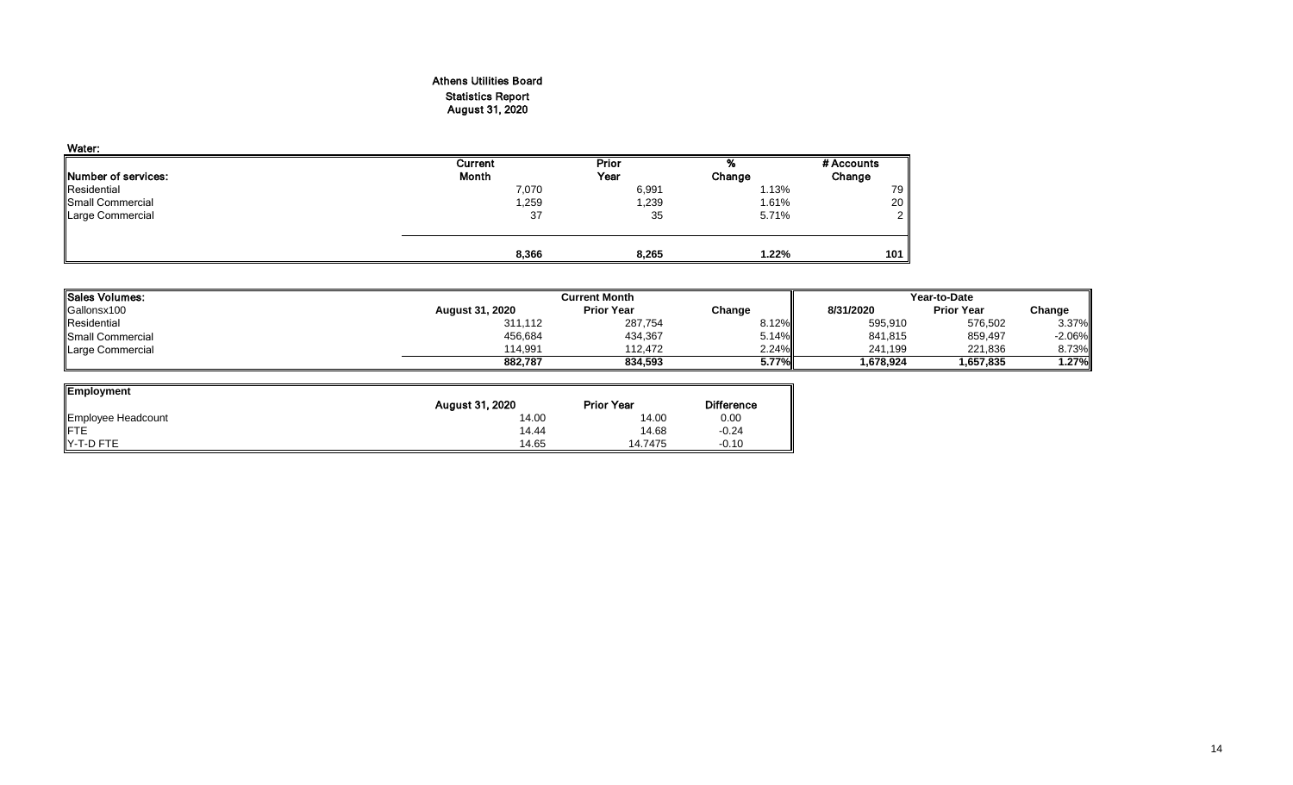# Athens Utilities Board Statistics Report August 31, 2020

| Water:                      |         |       |        |                |
|-----------------------------|---------|-------|--------|----------------|
|                             | Current | Prior | %      | # Accounts     |
| <b>INumber of services:</b> | Month   | Year  | Change | Change         |
| Residential                 | 7,070   | 6,991 | 1.13%  | 79             |
| Small Commercial            | 1,259   | 1,239 | 1.61%  | 20             |
| Large Commercial            | 37      | 35    | 5.71%  | 2 <sub>1</sub> |
|                             |         |       |        |                |
|                             | 8,366   | 8,265 | 1.22%  | 101            |

| Sales Volumes:          |                        | <b>Current Month</b> |          | Year-to-Date |                   |           |  |
|-------------------------|------------------------|----------------------|----------|--------------|-------------------|-----------|--|
| Gallonsx100             | <b>August 31, 2020</b> | <b>Prior Year</b>    | Change   | 8/31/2020    | <b>Prior Year</b> | Change    |  |
| Residential             | 311,112                | 287,754              | $8.12\%$ | 595,910      | 576,502           | $3.37\%$  |  |
| <b>Small Commercial</b> | 456,684                | 434,367              | 5.14%    | 841,815      | 859,497           | $-2.06\%$ |  |
| Large Commercial        | 114.991                | 112.472              | 2.24%    | 241,199      | 221,836           | 8.73%     |  |
|                         | 882,787                | 834.593              | $5.77\%$ | 1,678,924    | 1,657,835         | 1.27%     |  |

| <b>Employment</b>  |                 |                   |                   |
|--------------------|-----------------|-------------------|-------------------|
|                    | August 31, 2020 | <b>Prior Year</b> | <b>Difference</b> |
| Employee Headcount | 14.00           | 14.00             | 0.00              |
| <b>IFTE</b>        | 14.44           | 14.68             | $-0.24$           |
| Y-T-D FTE          | 14.65           | 14.7475           | $-0.10$           |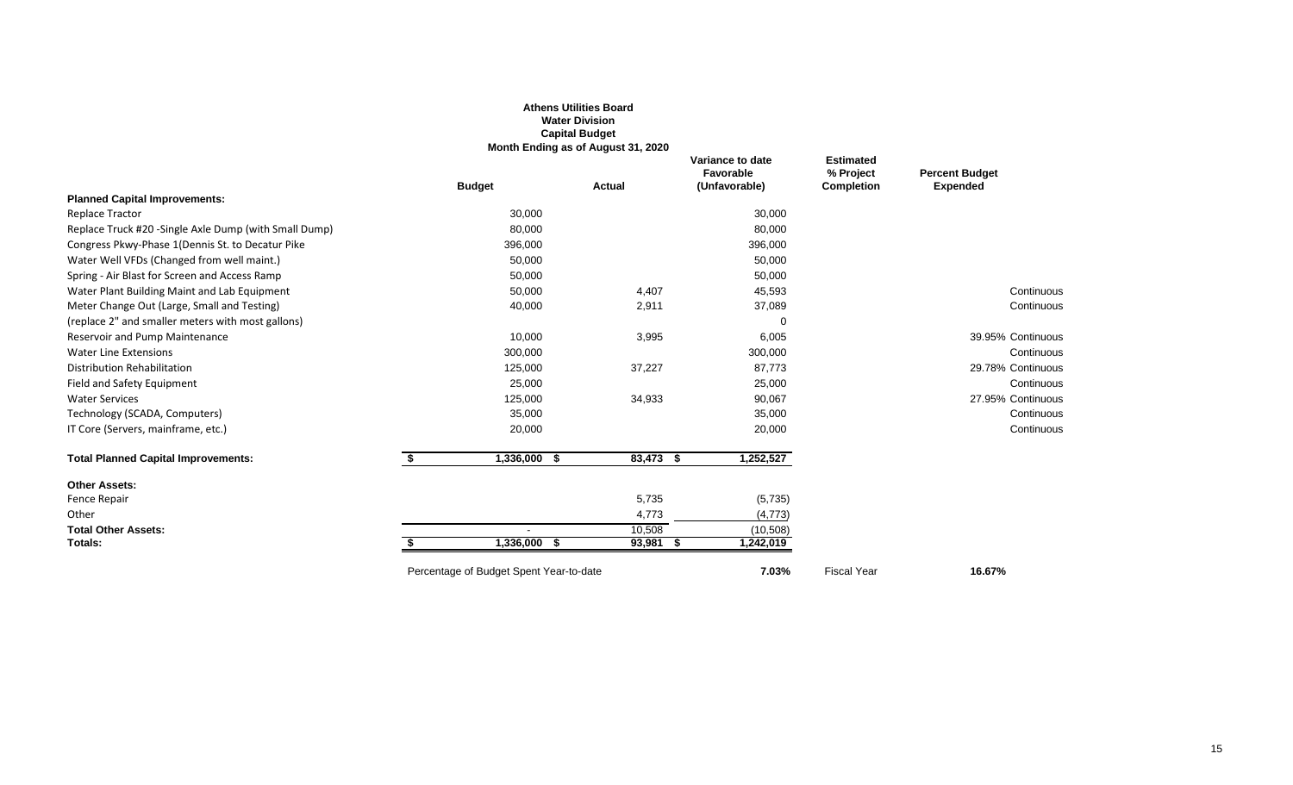|                                                       |                                         | <b>Athens Utilities Board</b><br><b>Water Division</b><br><b>Capital Budget</b><br>Month Ending as of August 31, 2020 |                                                |                                                    |                                          |
|-------------------------------------------------------|-----------------------------------------|-----------------------------------------------------------------------------------------------------------------------|------------------------------------------------|----------------------------------------------------|------------------------------------------|
|                                                       | <b>Budget</b>                           | <b>Actual</b>                                                                                                         | Variance to date<br>Favorable<br>(Unfavorable) | <b>Estimated</b><br>% Project<br><b>Completion</b> | <b>Percent Budget</b><br><b>Expended</b> |
| <b>Planned Capital Improvements:</b>                  |                                         |                                                                                                                       |                                                |                                                    |                                          |
| <b>Replace Tractor</b>                                | 30,000                                  |                                                                                                                       | 30,000                                         |                                                    |                                          |
| Replace Truck #20 -Single Axle Dump (with Small Dump) | 80,000                                  |                                                                                                                       | 80,000                                         |                                                    |                                          |
| Congress Pkwy-Phase 1(Dennis St. to Decatur Pike      | 396,000                                 |                                                                                                                       | 396,000                                        |                                                    |                                          |
| Water Well VFDs (Changed from well maint.)            | 50,000                                  |                                                                                                                       | 50,000                                         |                                                    |                                          |
| Spring - Air Blast for Screen and Access Ramp         | 50,000                                  |                                                                                                                       | 50,000                                         |                                                    |                                          |
| Water Plant Building Maint and Lab Equipment          | 50,000                                  | 4,407                                                                                                                 | 45,593                                         |                                                    | Continuous                               |
| Meter Change Out (Large, Small and Testing)           | 40,000                                  | 2,911                                                                                                                 | 37,089                                         |                                                    | Continuous                               |
| (replace 2" and smaller meters with most gallons)     |                                         |                                                                                                                       | $\Omega$                                       |                                                    |                                          |
| Reservoir and Pump Maintenance                        | 10,000                                  | 3,995                                                                                                                 | 6,005                                          |                                                    | 39.95% Continuous                        |
| <b>Water Line Extensions</b>                          | 300,000                                 |                                                                                                                       | 300,000                                        |                                                    | Continuous                               |
| <b>Distribution Rehabilitation</b>                    | 125,000                                 | 37,227                                                                                                                | 87,773                                         |                                                    | 29.78% Continuous                        |
| Field and Safety Equipment                            | 25,000                                  |                                                                                                                       | 25,000                                         |                                                    | Continuous                               |
| <b>Water Services</b>                                 | 125,000                                 | 34,933                                                                                                                | 90,067                                         |                                                    | 27.95% Continuous                        |
| Technology (SCADA, Computers)                         | 35,000                                  |                                                                                                                       | 35,000                                         |                                                    | Continuous                               |
| IT Core (Servers, mainframe, etc.)                    | 20,000                                  |                                                                                                                       | 20,000                                         |                                                    | Continuous                               |
| <b>Total Planned Capital Improvements:</b>            | \$<br>1,336,000 \$                      | $83,473$ \$                                                                                                           | 1,252,527                                      |                                                    |                                          |
| <b>Other Assets:</b>                                  |                                         |                                                                                                                       |                                                |                                                    |                                          |
| Fence Repair                                          |                                         | 5,735                                                                                                                 | (5,735)                                        |                                                    |                                          |
| Other                                                 |                                         | 4,773                                                                                                                 | (4, 773)                                       |                                                    |                                          |
| <b>Total Other Assets:</b>                            |                                         | 10.508                                                                                                                | (10,508)                                       |                                                    |                                          |
| <b>Totals:</b>                                        | \$<br>1,336,000 \$                      | 93,981 \$                                                                                                             | 1,242,019                                      |                                                    |                                          |
|                                                       | Percentage of Budget Spent Year-to-date |                                                                                                                       | 7.03%                                          | <b>Fiscal Year</b>                                 | 16.67%                                   |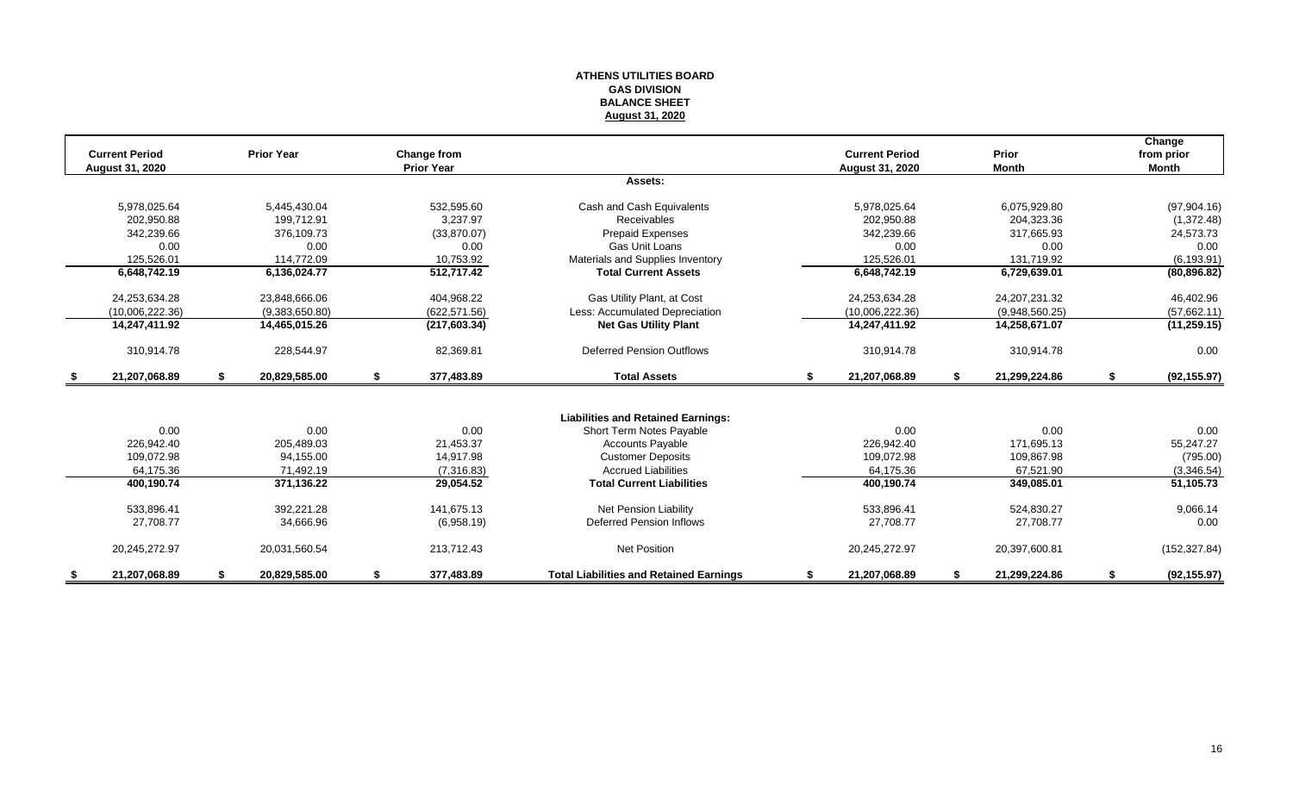#### **ATHENS UTILITIES BOARD GAS DIVISION BALANCE SHEET August 31, 2020**

| <b>Current Period</b><br>August 31, 2020 |    | <b>Prior Year</b> |    | <b>Change from</b><br><b>Prior Year</b> |                                                |    | <b>Current Period</b><br>August 31, 2020 |     | Prior<br><b>Month</b> | Change<br>from prior<br><b>Month</b> |
|------------------------------------------|----|-------------------|----|-----------------------------------------|------------------------------------------------|----|------------------------------------------|-----|-----------------------|--------------------------------------|
|                                          |    |                   |    |                                         | Assets:                                        |    |                                          |     |                       |                                      |
| 5,978,025.64                             |    | 5,445,430.04      |    | 532,595.60                              | Cash and Cash Equivalents                      |    | 5,978,025.64                             |     | 6,075,929.80          | (97,904.16)                          |
| 202,950.88                               |    | 199.712.91        |    | 3.237.97                                | Receivables                                    |    | 202,950.88                               |     | 204,323.36            | (1,372.48)                           |
| 342,239.66                               |    | 376,109.73        |    | (33,870.07)                             | <b>Prepaid Expenses</b>                        |    | 342,239.66                               |     | 317,665.93            | 24,573.73                            |
| 0.00                                     |    | 0.00              |    | 0.00                                    | Gas Unit Loans                                 |    | 0.00                                     |     | 0.00                  | 0.00                                 |
| 125,526.01                               |    | 114,772.09        |    | 10,753.92                               | Materials and Supplies Inventory               |    | 125,526.01                               |     | 131,719.92            | (6, 193.91)                          |
| 6,648,742.19                             |    | 6,136,024.77      |    | 512,717.42                              | <b>Total Current Assets</b>                    |    | 6,648,742.19                             |     | 6,729,639.01          | (80, 896.82)                         |
| 24,253,634.28                            |    | 23,848,666.06     |    | 404,968.22                              | Gas Utility Plant, at Cost                     |    | 24,253,634.28                            |     | 24, 207, 231. 32      | 46,402.96                            |
| (10,006,222.36)                          |    | (9,383,650.80)    |    | (622.571.56)                            | Less: Accumulated Depreciation                 |    | (10,006,222.36)                          |     | (9,948,560.25)        | (57,662.11)                          |
| 14,247,411.92                            |    | 14,465,015.26     |    | (217, 603.34)                           | <b>Net Gas Utility Plant</b>                   |    | 14,247,411.92                            |     | 14,258,671.07         | (11, 259.15)                         |
| 310,914.78                               |    | 228,544.97        |    | 82,369.81                               | <b>Deferred Pension Outflows</b>               |    | 310,914.78                               |     | 310,914.78            | 0.00                                 |
| \$<br>21,207,068.89                      | S. | 20,829,585.00     | \$ | 377,483.89                              | <b>Total Assets</b>                            | \$ | 21,207,068.89                            | -\$ | 21,299,224.86         | \$<br>(92, 155.97)                   |
|                                          |    |                   |    |                                         |                                                |    |                                          |     |                       |                                      |
|                                          |    |                   |    |                                         | <b>Liabilities and Retained Earnings:</b>      |    |                                          |     |                       |                                      |
| 0.00                                     |    | 0.00              |    | 0.00                                    | Short Term Notes Payable                       |    | 0.00                                     |     | 0.00                  | 0.00                                 |
| 226,942.40                               |    | 205,489.03        |    | 21,453.37                               | <b>Accounts Payable</b>                        |    | 226,942.40                               |     | 171,695.13            | 55,247.27                            |
| 109.072.98                               |    | 94.155.00         |    | 14,917.98                               | <b>Customer Deposits</b>                       |    | 109,072.98                               |     | 109,867.98            | (795.00)                             |
| 64,175.36                                |    | 71,492.19         |    | (7,316.83)                              | <b>Accrued Liabilities</b>                     |    | 64,175.36                                |     | 67,521.90             | (3,346.54)                           |
| 400,190.74                               |    | 371,136.22        |    | 29,054.52                               | <b>Total Current Liabilities</b>               |    | 400,190.74                               |     | 349,085.01            | 51,105.73                            |
| 533,896.41                               |    | 392,221.28        |    | 141,675.13                              | <b>Net Pension Liability</b>                   |    | 533,896.41                               |     | 524,830.27            | 9,066.14                             |
| 27,708.77                                |    | 34,666.96         |    | (6,958.19)                              | Deferred Pension Inflows                       |    | 27,708.77                                |     | 27,708.77             | 0.00                                 |
| 20,245,272.97                            |    | 20,031,560.54     |    | 213,712.43                              | <b>Net Position</b>                            |    | 20,245,272.97                            |     | 20,397,600.81         | (152, 327.84)                        |
| 21.207.068.89                            |    | 20,829,585.00     | S  | 377,483.89                              | <b>Total Liabilities and Retained Earnings</b> | S  | 21,207,068.89                            |     | 21,299,224.86         | (92, 155.97)                         |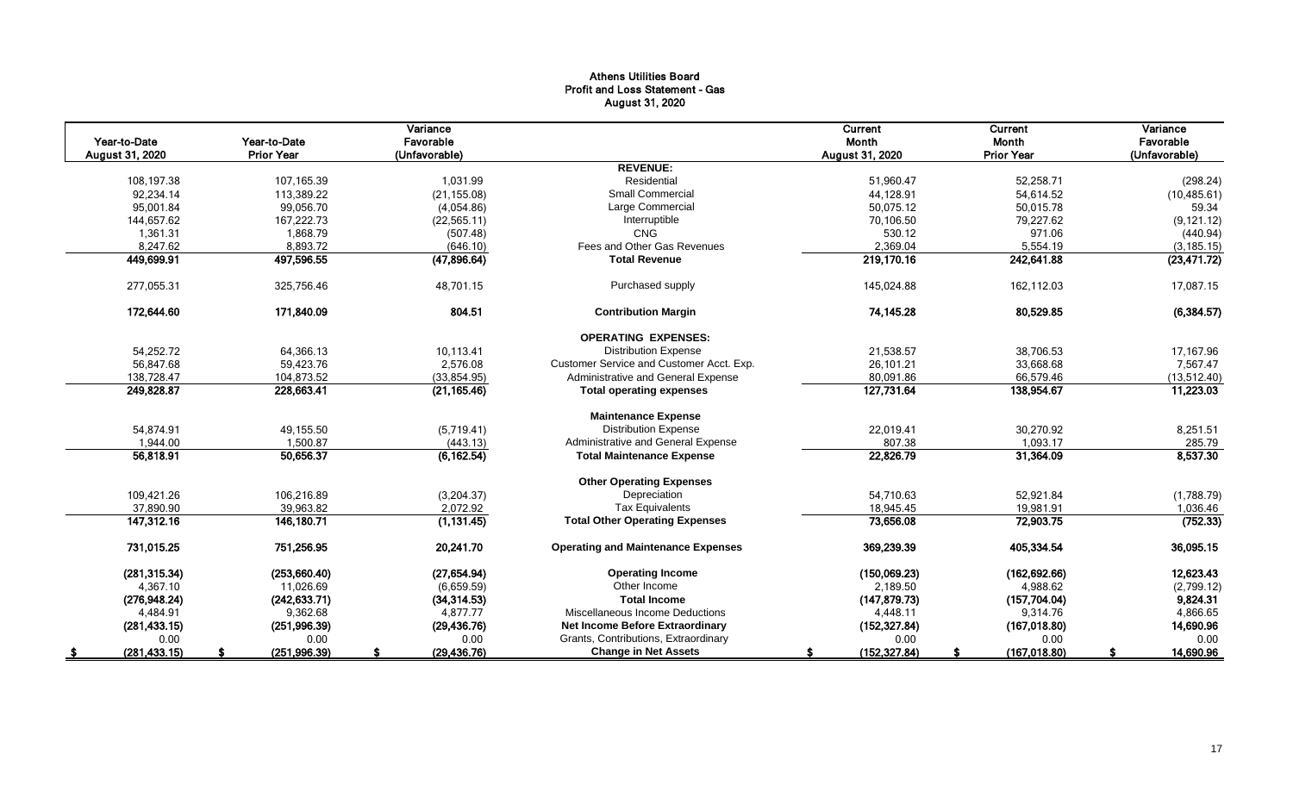# Athens Utilities Board Profit and Loss Statement - Gas August 31, 2020

|                 |                   | Variance      |                                           | Current         | Current           | Variance      |
|-----------------|-------------------|---------------|-------------------------------------------|-----------------|-------------------|---------------|
| Year-to-Date    | Year-to-Date      | Favorable     |                                           | Month           | Month             | Favorable     |
| August 31, 2020 | <b>Prior Year</b> | (Unfavorable) |                                           | August 31, 2020 | <b>Prior Year</b> | (Unfavorable) |
|                 |                   |               | <b>REVENUE:</b>                           |                 |                   |               |
| 108,197.38      | 107,165.39        | 1,031.99      | Residential                               | 51,960.47       | 52,258.71         | (298.24)      |
| 92,234.14       | 113,389.22        | (21, 155.08)  | Small Commercial                          | 44,128.91       | 54,614.52         | (10, 485.61)  |
| 95,001.84       | 99,056.70         | (4,054.86)    | Large Commercial                          | 50,075.12       | 50,015.78         | 59.34         |
| 144,657.62      | 167,222.73        | (22, 565.11)  | Interruptible                             | 70.106.50       | 79,227.62         | (9, 121.12)   |
| 1,361.31        | 1,868.79          | (507.48)      | <b>CNG</b>                                | 530.12          | 971.06            | (440.94)      |
| 8,247.62        | 8,893.72          | (646.10)      | Fees and Other Gas Revenues               | 2,369.04        | 5,554.19          | (3, 185.15)   |
| 449,699.91      | 497,596.55        | (47, 896.64)  | <b>Total Revenue</b>                      | 219,170.16      | 242,641.88        | (23, 471.72)  |
| 277,055.31      | 325,756.46        | 48,701.15     | Purchased supply                          | 145,024.88      | 162,112.03        | 17,087.15     |
| 172,644.60      | 171.840.09        | 804.51        | <b>Contribution Margin</b>                | 74,145.28       | 80,529.85         | (6, 384.57)   |
|                 |                   |               | <b>OPERATING EXPENSES:</b>                |                 |                   |               |
| 54,252.72       | 64,366.13         | 10,113.41     | <b>Distribution Expense</b>               | 21,538.57       | 38,706.53         | 17,167.96     |
| 56,847.68       | 59,423.76         | 2.576.08      | Customer Service and Customer Acct. Exp.  | 26,101.21       | 33,668.68         | 7,567.47      |
| 138,728.47      | 104,873.52        | (33, 854.95)  | Administrative and General Expense        | 80,091.86       | 66,579.46         | (13,512.40)   |
| 249,828.87      | 228,663.41        | (21, 165.46)  | <b>Total operating expenses</b>           | 127,731.64      | 138,954.67        | 11,223.03     |
|                 |                   |               | <b>Maintenance Expense</b>                |                 |                   |               |
| 54,874.91       | 49,155.50         | (5,719.41)    | <b>Distribution Expense</b>               | 22,019.41       | 30,270.92         | 8,251.51      |
| 1,944.00        | 1,500.87          | (443.13)      | Administrative and General Expense        | 807.38          | 1,093.17          | 285.79        |
| 56,818.91       | 50,656.37         | (6, 162.54)   | <b>Total Maintenance Expense</b>          | 22,826.79       | 31,364.09         | 8,537.30      |
|                 |                   |               | <b>Other Operating Expenses</b>           |                 |                   |               |
| 109,421.26      | 106,216.89        | (3,204.37)    | Depreciation                              | 54,710.63       | 52,921.84         | (1,788.79)    |
| 37.890.90       | 39.963.82         | 2,072.92      | <b>Tax Equivalents</b>                    | 18.945.45       | 19,981.91         | 1.036.46      |
| 147,312.16      | 146,180.71        | (1, 131.45)   | <b>Total Other Operating Expenses</b>     | 73,656.08       | 72,903.75         | (752.33)      |
| 731,015.25      | 751,256.95        | 20,241.70     | <b>Operating and Maintenance Expenses</b> | 369,239.39      | 405,334.54        | 36,095.15     |
| (281, 315.34)   | (253,660.40)      | (27, 654.94)  | <b>Operating Income</b>                   | (150,069.23)    | (162, 692.66)     | 12,623.43     |
| 4,367.10        | 11,026.69         | (6,659.59)    | Other Income                              | 2,189.50        | 4,988.62          | (2,799.12)    |
| (276, 948.24)   | (242, 633.71)     | (34, 314.53)  | <b>Total Income</b>                       | (147, 879.73)   | (157, 704.04)     | 9,824.31      |
| 4,484.91        | 9,362.68          | 4.877.77      | Miscellaneous Income Deductions           | 4,448.11        | 9,314.76          | 4,866.65      |
| (281, 433.15)   | (251, 996.39)     | (29, 436.76)  | <b>Net Income Before Extraordinary</b>    | (152, 327.84)   | (167, 018.80)     | 14,690.96     |
| 0.00            | 0.00              | 0.00          | Grants, Contributions, Extraordinary      | 0.00            | 0.00              | 0.00          |
| (281, 433.15)   | (251, 996.39)     | (29, 436.76)  | <b>Change in Net Assets</b>               | (152, 327.84)   | (167, 018.80)     | 14,690.96     |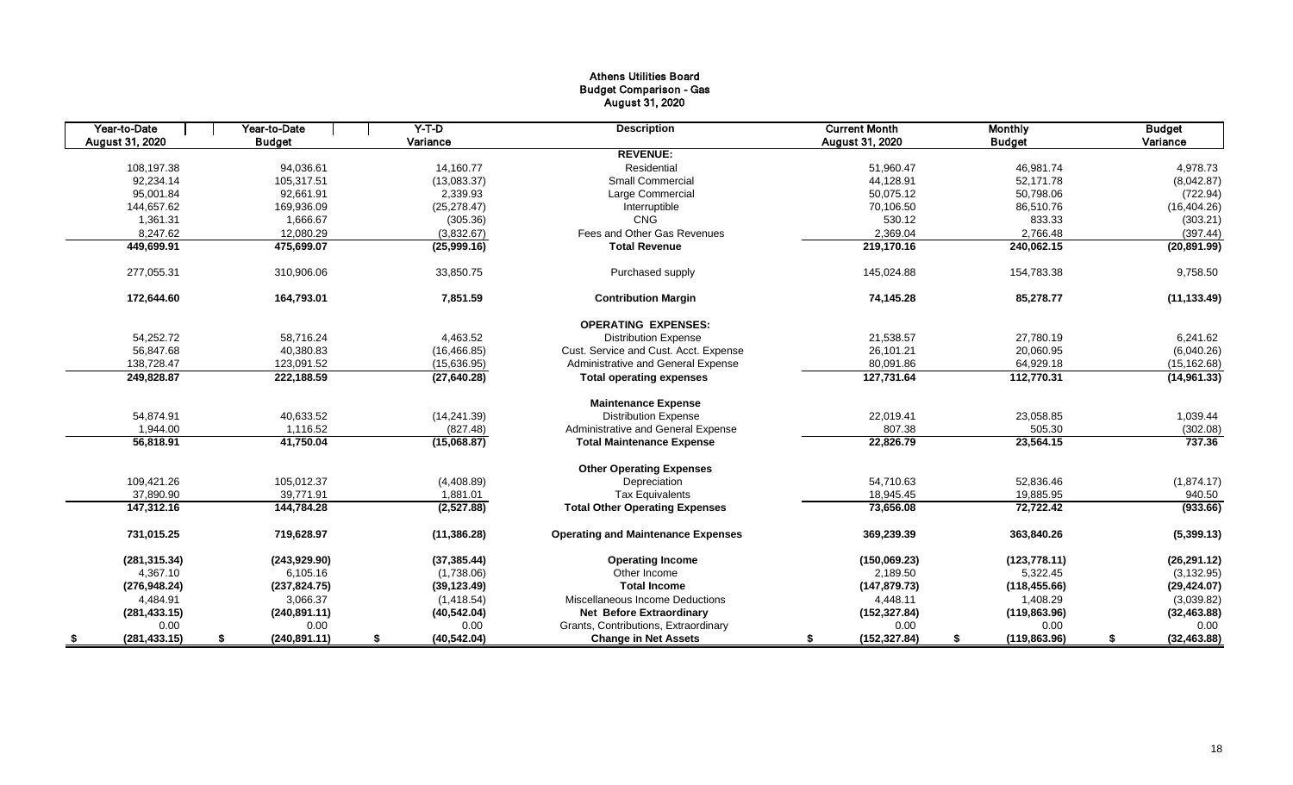# Athens Utilities Board Budget Comparison - Gas August 31, 2020

|     | Year-to-Date    | Year-to-Date       | $Y-T-D$            | <b>Description</b>                        | <b>Current Month</b> | <b>Monthly</b>      | <b>Budget</b> |              |
|-----|-----------------|--------------------|--------------------|-------------------------------------------|----------------------|---------------------|---------------|--------------|
|     | August 31, 2020 | <b>Budget</b>      | Variance           |                                           | August 31, 2020      | <b>Budget</b>       | Variance      |              |
|     |                 |                    |                    | <b>REVENUE:</b>                           |                      |                     |               |              |
|     | 108,197.38      | 94,036.61          | 14,160.77          | Residential                               | 51,960.47            | 46,981.74           |               | 4,978.73     |
|     | 92,234.14       | 105,317.51         | (13,083.37)        | <b>Small Commercial</b>                   | 44,128.91            | 52,171.78           |               | (8,042.87)   |
|     | 95,001.84       | 92.661.91          | 2,339.93           | Large Commercial                          | 50,075.12            | 50,798.06           |               | (722.94)     |
|     | 144,657.62      | 169,936.09         | (25, 278.47)       | Interruptible                             | 70,106.50            | 86,510.76           |               | (16, 404.26) |
|     | 1,361.31        | 1,666.67           | (305.36)           | <b>CNG</b>                                | 530.12               | 833.33              |               | (303.21)     |
|     | 8,247.62        | 12,080.29          | (3,832.67)         | Fees and Other Gas Revenues               | 2,369.04             | 2,766.48            |               | (397.44)     |
|     | 449,699.91      | 475,699.07         | (25,999.16)        | <b>Total Revenue</b>                      | 219,170.16           | 240,062.15          |               | (20, 891.99) |
|     | 277,055.31      | 310,906.06         | 33,850.75          | Purchased supply                          | 145,024.88           | 154,783.38          |               | 9,758.50     |
|     | 172,644.60      | 164,793.01         | 7,851.59           | <b>Contribution Margin</b>                | 74,145.28            | 85,278.77           |               | (11, 133.49) |
|     |                 |                    |                    | <b>OPERATING EXPENSES:</b>                |                      |                     |               |              |
|     | 54,252.72       | 58,716.24          | 4,463.52           | <b>Distribution Expense</b>               | 21,538.57            | 27,780.19           |               | 6,241.62     |
|     | 56,847.68       | 40,380.83          | (16, 466.85)       | Cust. Service and Cust. Acct. Expense     | 26,101.21            | 20,060.95           |               | (6,040.26)   |
|     | 138,728.47      | 123,091.52         | (15,636.95)        | Administrative and General Expense        | 80,091.86            | 64,929.18           |               | (15, 162.68) |
|     | 249,828.87      | 222,188.59         | (27, 640.28)       | <b>Total operating expenses</b>           | 127,731.64           | 112,770.31          |               | (14,961.33)  |
|     |                 |                    |                    | <b>Maintenance Expense</b>                |                      |                     |               |              |
|     | 54,874.91       | 40,633.52          | (14, 241.39)       | <b>Distribution Expense</b>               | 22,019.41            | 23,058.85           |               | 1,039.44     |
|     | 1,944.00        | 1,116.52           | (827.48)           | Administrative and General Expense        | 807.38               | 505.30              |               | (302.08)     |
|     | 56,818.91       | 41,750.04          | (15,068.87)        | <b>Total Maintenance Expense</b>          | 22,826.79            | 23,564.15           |               | 737.36       |
|     |                 |                    |                    | <b>Other Operating Expenses</b>           |                      |                     |               |              |
|     | 109,421.26      | 105,012.37         | (4,408.89)         | Depreciation                              | 54,710.63            | 52,836.46           |               | (1,874.17)   |
|     | 37,890.90       | 39,771.91          | 1,881.01           | <b>Tax Equivalents</b>                    | 18,945.45            | 19,885.95           |               | 940.50       |
|     | 147,312.16      | 144,784.28         | (2,527.88)         | <b>Total Other Operating Expenses</b>     | 73,656.08            | 72,722.42           |               | (933.66)     |
|     | 731,015.25      | 719.628.97         | (11, 386.28)       | <b>Operating and Maintenance Expenses</b> | 369,239.39           | 363,840.26          |               | (5,399.13)   |
|     | (281, 315.34)   | (243, 929.90)      | (37, 385.44)       | <b>Operating Income</b>                   | (150,069.23)         | (123, 778.11)       |               | (26, 291.12) |
|     | 4,367.10        | 6,105.16           | (1,738.06)         | Other Income                              | 2,189.50             | 5,322.45            |               | (3, 132.95)  |
|     | (276, 948.24)   | (237, 824.75)      | (39, 123.49)       | <b>Total Income</b>                       | (147, 879.73)        | (118, 455.66)       |               | (29, 424.07) |
|     | 4,484.91        | 3,066.37           | (1,418.54)         | Miscellaneous Income Deductions           | 4,448.11             | 1,408.29            |               | (3,039.82)   |
|     | (281, 433.15)   | (240, 891.11)      | (40, 542.04)       | <b>Net Before Extraordinary</b>           | (152, 327.84)        | (119, 863.96)       |               | (32, 463.88) |
|     | 0.00            | 0.00               | 0.00               | Grants, Contributions, Extraordinary      | 0.00                 | 0.00                |               | 0.00         |
| - 5 | (281, 433.15)   | \$<br>(240.891.11) | \$<br>(40, 542.04) | <b>Change in Net Assets</b>               | (152, 327.84)<br>\$  | (119, 863.96)<br>\$ | \$            | (32, 463.88) |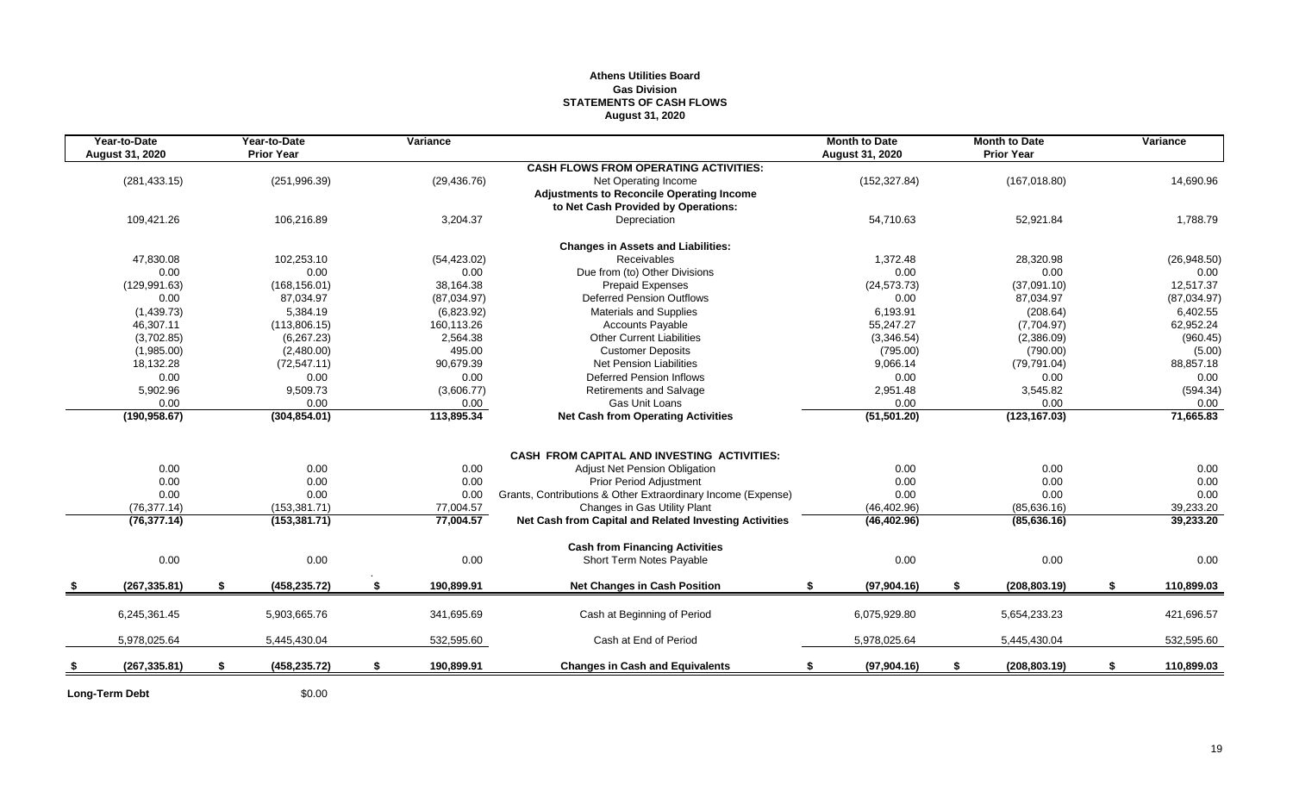### **Athens Utilities Board Gas Division STATEMENTS OF CASH FLOWS August 31, 2020**

| Year-to-Date<br><b>August 31, 2020</b> |    | Year-to-Date<br><b>Prior Year</b> | Variance         |                                                              | <b>Month to Date</b><br>August 31, 2020 | <b>Month to Date</b><br><b>Prior Year</b> | Variance         |
|----------------------------------------|----|-----------------------------------|------------------|--------------------------------------------------------------|-----------------------------------------|-------------------------------------------|------------------|
|                                        |    |                                   |                  | <b>CASH FLOWS FROM OPERATING ACTIVITIES:</b>                 |                                         |                                           |                  |
| (281, 433.15)                          |    | (251, 996.39)                     | (29, 436.76)     | Net Operating Income                                         | (152, 327.84)                           | (167, 018.80)                             | 14,690.96        |
|                                        |    |                                   |                  | <b>Adjustments to Reconcile Operating Income</b>             |                                         |                                           |                  |
|                                        |    |                                   |                  | to Net Cash Provided by Operations:                          |                                         |                                           |                  |
| 109,421.26                             |    | 106,216.89                        | 3,204.37         | Depreciation                                                 | 54,710.63                               | 52,921.84                                 | 1,788.79         |
|                                        |    |                                   |                  | <b>Changes in Assets and Liabilities:</b>                    |                                         |                                           |                  |
| 47,830.08                              |    | 102,253.10                        | (54, 423.02)     | Receivables                                                  | 1,372.48                                | 28,320.98                                 | (26,948.50)      |
| 0.00                                   |    | 0.00                              | 0.00             | Due from (to) Other Divisions                                | 0.00                                    | 0.00                                      | 0.00             |
| (129, 991.63)                          |    | (168, 156.01)                     | 38,164.38        | <b>Prepaid Expenses</b>                                      | (24, 573.73)                            | (37,091.10)                               | 12,517.37        |
| 0.00                                   |    | 87,034.97                         | (87,034.97)      | <b>Deferred Pension Outflows</b>                             | 0.00                                    | 87,034.97                                 | (87,034.97)      |
| (1,439.73)                             |    | 5,384.19                          | (6,823.92)       | <b>Materials and Supplies</b>                                | 6,193.91                                | (208.64)                                  | 6,402.55         |
| 46,307.11                              |    | (113,806.15)                      | 160,113.26       | Accounts Payable                                             | 55,247.27                               | (7,704.97)                                | 62,952.24        |
| (3,702.85)                             |    | (6, 267.23)                       | 2,564.38         | <b>Other Current Liabilities</b>                             | (3,346.54)                              | (2,386.09)                                | (960.45)         |
| (1,985.00)                             |    | (2,480.00)                        | 495.00           | <b>Customer Deposits</b>                                     | (795.00)                                | (790.00)                                  | (5.00)           |
| 18,132.28                              |    | (72, 547.11)                      | 90,679.39        | <b>Net Pension Liabilities</b>                               | 9,066.14                                | (79, 791.04)                              | 88,857.18        |
| 0.00                                   |    | 0.00                              | 0.00             | <b>Deferred Pension Inflows</b>                              | 0.00                                    | 0.00                                      | 0.00             |
| 5,902.96                               |    | 9,509.73                          | (3,606.77)       | Retirements and Salvage                                      | 2,951.48                                | 3,545.82                                  | (594.34)         |
| 0.00                                   |    | 0.00                              | $0.00\,$         | Gas Unit Loans                                               | 0.00                                    | 0.00                                      | 0.00             |
| (190, 958.67)                          |    | (304, 854.01)                     | 113,895.34       | <b>Net Cash from Operating Activities</b>                    | (51, 501.20)                            | (123, 167.03)                             | 71,665.83        |
|                                        |    |                                   |                  |                                                              |                                         |                                           |                  |
|                                        |    |                                   |                  | <b>CASH FROM CAPITAL AND INVESTING ACTIVITIES:</b>           |                                         |                                           |                  |
| 0.00                                   |    | 0.00                              | 0.00             | Adjust Net Pension Obligation                                | 0.00                                    | 0.00                                      | 0.00             |
| 0.00                                   |    | 0.00                              | 0.00             | <b>Prior Period Adjustment</b>                               | 0.00                                    | 0.00                                      | 0.00             |
| 0.00                                   |    | 0.00                              | 0.00             | Grants, Contributions & Other Extraordinary Income (Expense) | 0.00                                    | 0.00                                      | 0.00             |
| (76, 377.14)                           |    | (153, 381.71)                     | 77,004.57        | Changes in Gas Utility Plant                                 | (46, 402.96)                            | (85, 636.16)                              | 39,233.20        |
| (76, 377.14)                           |    | (153, 381.71)                     | 77,004.57        | Net Cash from Capital and Related Investing Activities       | (46, 402.96)                            | (85, 636.16)                              | 39,233.20        |
|                                        |    |                                   |                  | <b>Cash from Financing Activities</b>                        |                                         |                                           |                  |
| 0.00                                   |    | 0.00                              | 0.00             | Short Term Notes Payable                                     | 0.00                                    | 0.00                                      | 0.00             |
| (267, 335.81)                          | S. | (458, 235.72)                     | \$<br>190,899.91 | <b>Net Changes in Cash Position</b>                          | (97,904.16)<br>\$.                      | \$<br>(208, 803.19)                       | \$<br>110,899.03 |
| 6,245,361.45                           |    | 5,903,665.76                      | 341,695.69       | Cash at Beginning of Period                                  | 6,075,929.80                            | 5,654,233.23                              | 421,696.57       |
|                                        |    |                                   |                  |                                                              |                                         |                                           |                  |
| 5,978,025.64                           |    | 5,445,430.04                      | 532,595.60       | Cash at End of Period                                        | 5,978,025.64                            | 5,445,430.04                              | 532,595.60       |
| (267, 335.81)                          | \$ | (458, 235.72)                     | \$<br>190,899.91 | <b>Changes in Cash and Equivalents</b>                       | \$<br>(97,904.16)                       | \$<br>(208, 803.19)                       | \$<br>110,899.03 |
|                                        |    |                                   |                  |                                                              |                                         |                                           |                  |

Long-Term Debt \$0.00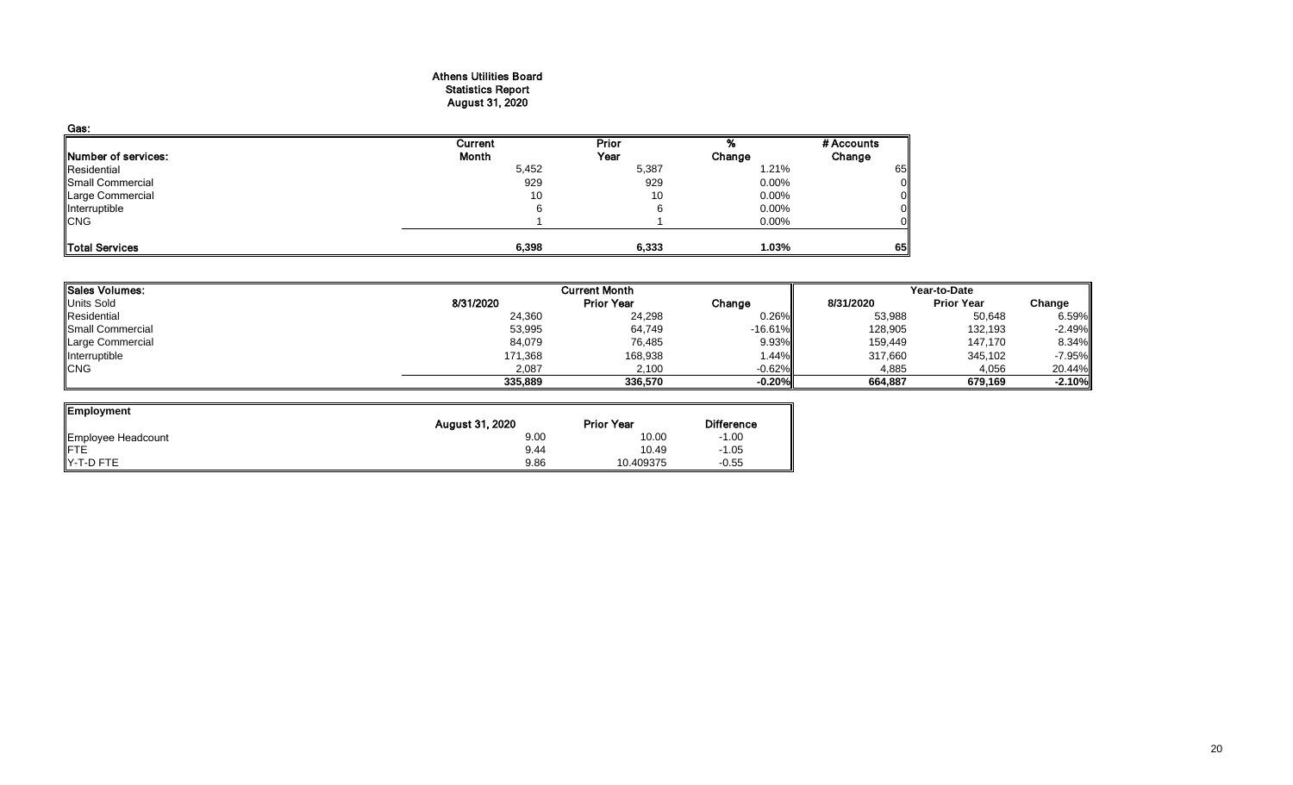#### Athens Utilities Board Statistics Report August 31, 2020

| Gas:                       |         |       |          |            |
|----------------------------|---------|-------|----------|------------|
|                            | Current | Prior |          | # Accounts |
| <b>Number of services:</b> | Month   | Year  | Change   | Change     |
| Residential                | 5,452   | 5,387 | 1.21%    | 65         |
| Small Commercial           | 929     | 929   | $0.00\%$ |            |
| Large Commercial           | 10      | 10    | $0.00\%$ |            |
| Interruptible              | 6       |       | $0.00\%$ |            |
| <b>CNG</b>                 |         |       | $0.00\%$ |            |
| Total Services             | 6,398   | 6,333 | 1.03%    | 65         |

| Sales Volumes:    |           | <b>Current Month</b> |            | Year-to-Date |                   |          |  |
|-------------------|-----------|----------------------|------------|--------------|-------------------|----------|--|
| <b>Units Sold</b> | 8/31/2020 | <b>Prior Year</b>    | Change     | 8/31/2020    | <b>Prior Year</b> | Change   |  |
| Residential       | 24,360    | 24,298               | 0.26%      | 53,988       | 50,648            | 6.59%    |  |
| Small Commercial  | 53,995    | 64,749               | $-16.61\%$ | 128,905      | 132,193           | $-2.49%$ |  |
| Large Commercial  | 84,079    | 76,485               | 9.93%      | 159,449      | 147,170           | 8.34%    |  |
| Interruptible     | 171,368   | 168,938              | .44%       | 317,660      | 345,102           | $-7.95%$ |  |
| <b>CNG</b>        | 2,087     | 2.100                | $-0.62\%$  | 4,885        | 4,056             | 20.44%   |  |
|                   | 335,889   | 336,570              | $-0.20%$   | 664.887      | 679.169           | $-2.10%$ |  |

| Employment         | August 31, 2020 | <b>Prior Year</b> | <b>Difference</b> |
|--------------------|-----------------|-------------------|-------------------|
| Employee Headcount | 9.00            | 10.00             | $-1.00$           |
| <b>IFTE</b>        | 9.44            | 10.49             | $-1.05$           |
| Y-T-D FTE          | 9.86            | 10.409375         | $-0.55$           |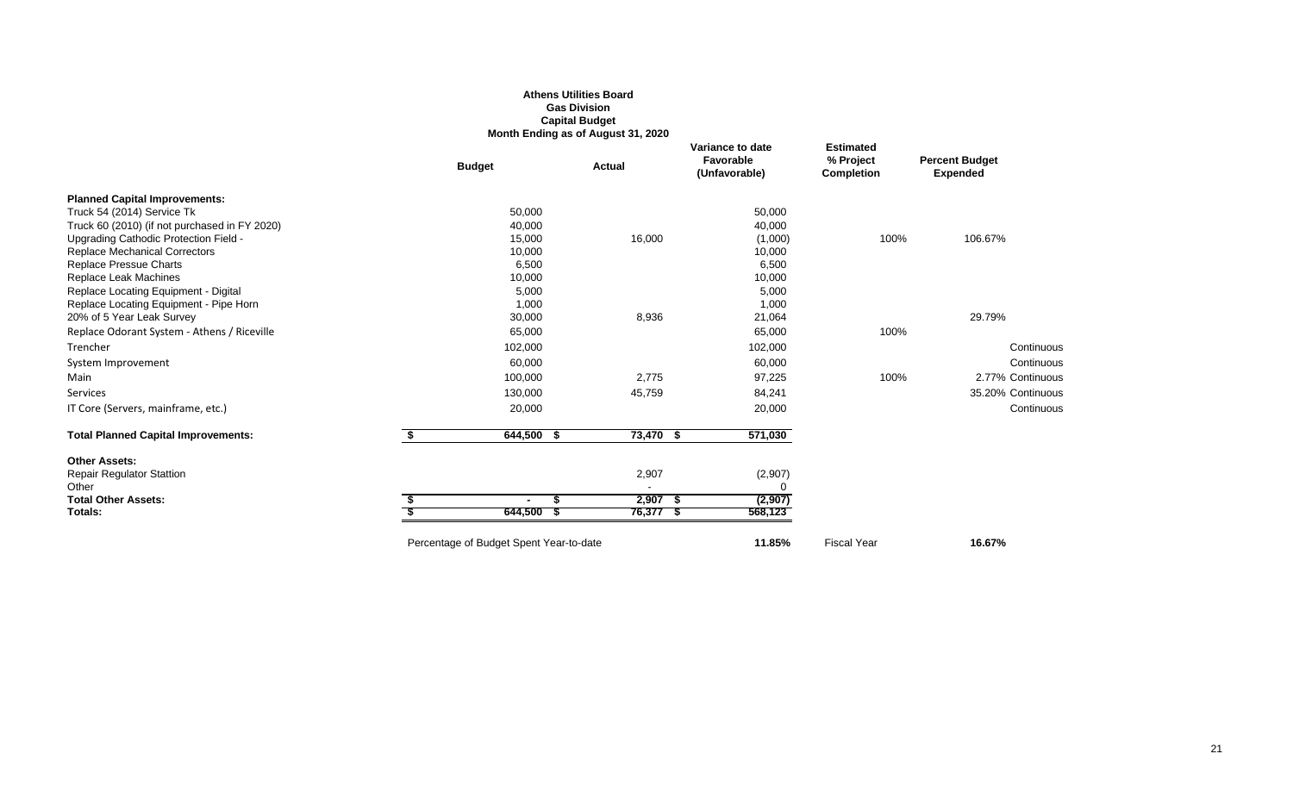#### **Athens Utilities Board Gas Division Capital Budget Month Ending as of August 31, 2020**

|            | <b>Actual</b>                                                                                         | Variance to date<br>Favorable<br>(Unfavorable)                      | <b>Estimated</b><br>% Project<br><b>Completion</b>                                                       | <b>Percent Budget</b><br><b>Expended</b> |
|------------|-------------------------------------------------------------------------------------------------------|---------------------------------------------------------------------|----------------------------------------------------------------------------------------------------------|------------------------------------------|
|            |                                                                                                       |                                                                     |                                                                                                          |                                          |
| 50,000     |                                                                                                       | 50,000                                                              |                                                                                                          |                                          |
| 40,000     |                                                                                                       | 40,000                                                              |                                                                                                          |                                          |
|            |                                                                                                       | (1,000)                                                             |                                                                                                          | 106.67%                                  |
|            |                                                                                                       | 10,000                                                              |                                                                                                          |                                          |
|            |                                                                                                       |                                                                     |                                                                                                          |                                          |
|            |                                                                                                       |                                                                     |                                                                                                          |                                          |
|            |                                                                                                       |                                                                     |                                                                                                          |                                          |
|            |                                                                                                       |                                                                     |                                                                                                          |                                          |
|            |                                                                                                       |                                                                     |                                                                                                          | 29.79%                                   |
|            |                                                                                                       |                                                                     |                                                                                                          |                                          |
|            |                                                                                                       | 102,000                                                             |                                                                                                          | Continuous                               |
| 60,000     |                                                                                                       | 60,000                                                              |                                                                                                          | Continuous                               |
| 100,000    | 2,775                                                                                                 | 97,225                                                              | 100%                                                                                                     | 2.77% Continuous                         |
| 130,000    | 45,759                                                                                                | 84,241                                                              |                                                                                                          | 35.20% Continuous                        |
| 20,000     |                                                                                                       | 20,000                                                              |                                                                                                          | Continuous                               |
| 644,500 \$ |                                                                                                       | 571,030                                                             |                                                                                                          |                                          |
|            |                                                                                                       |                                                                     |                                                                                                          |                                          |
|            |                                                                                                       |                                                                     |                                                                                                          |                                          |
|            |                                                                                                       |                                                                     |                                                                                                          |                                          |
| \$         |                                                                                                       | (2,907)                                                             |                                                                                                          |                                          |
| 644,500 \$ |                                                                                                       | 568,123                                                             |                                                                                                          |                                          |
|            |                                                                                                       | 11.85%                                                              | <b>Fiscal Year</b>                                                                                       | 16.67%                                   |
|            | <b>Budget</b><br>15,000<br>10,000<br>6,500<br>10,000<br>5,000<br>1,000<br>30,000<br>65,000<br>102,000 | 16,000<br>8,936<br>2,907<br>Percentage of Budget Spent Year-to-date | 6,500<br>10,000<br>5,000<br>1,000<br>21,064<br>65,000<br>73,470 \$<br>(2,907)<br>$2,907$ \$<br>76,377 \$ | 100%<br>100%                             |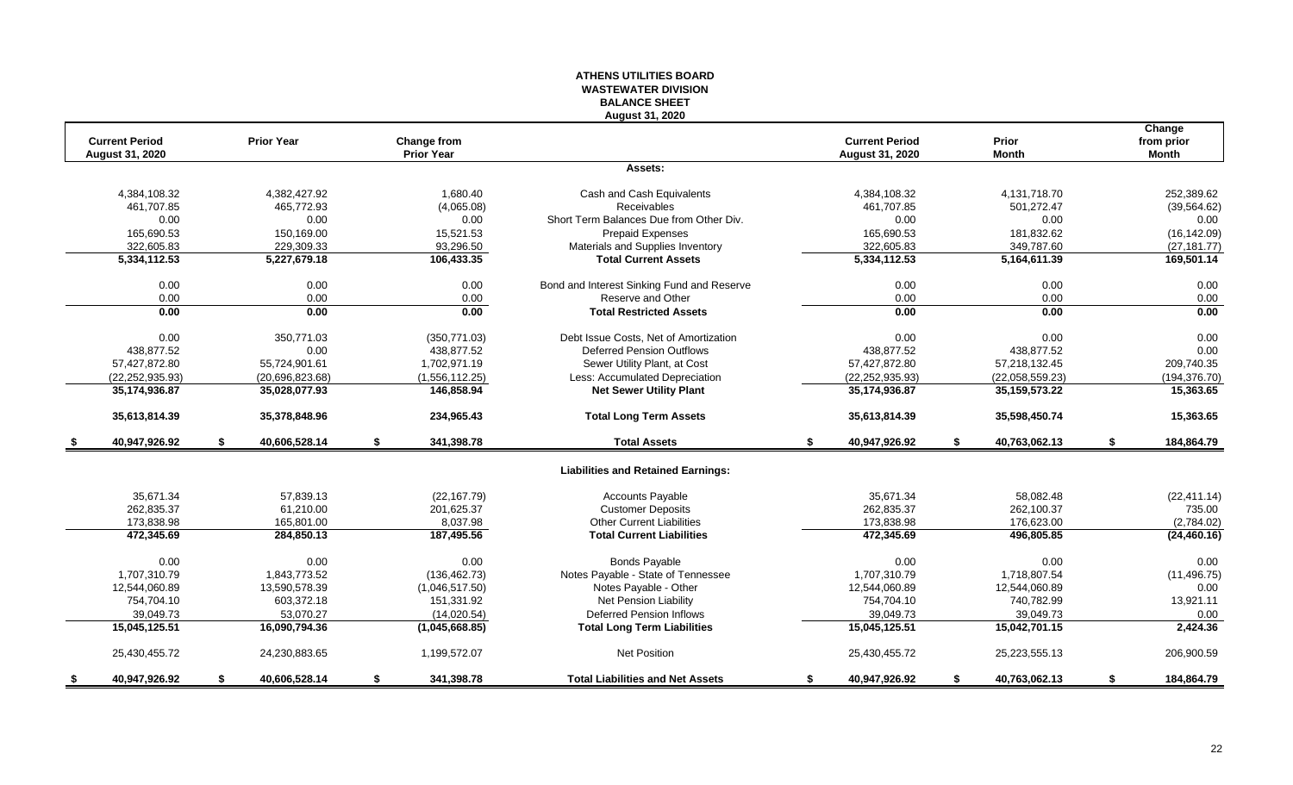#### **ATHENS UTILITIES BOARD WASTEWATER DIVISION BALANCE SHEET August 31, 2020**

|     | <b>Current Period</b><br><b>August 31, 2020</b> |    | <b>Prior Year</b> | <b>Change from</b><br><b>Prior Year</b> |                                            | <b>Current Period</b><br><b>August 31, 2020</b> |    | Prior<br><b>Month</b> | Change<br>from prior<br><b>Month</b> |
|-----|-------------------------------------------------|----|-------------------|-----------------------------------------|--------------------------------------------|-------------------------------------------------|----|-----------------------|--------------------------------------|
|     |                                                 |    |                   |                                         | Assets:                                    |                                                 |    |                       |                                      |
|     | 4,384,108.32                                    |    | 4,382,427.92      | 1,680.40                                | Cash and Cash Equivalents                  | 4,384,108.32                                    |    | 4,131,718.70          | 252,389.62                           |
|     | 461,707.85                                      |    | 465,772.93        | (4,065.08)                              | <b>Receivables</b>                         | 461,707.85                                      |    | 501,272.47            | (39, 564.62)                         |
|     | 0.00                                            |    | 0.00              | 0.00                                    | Short Term Balances Due from Other Div.    | 0.00                                            |    | 0.00                  | 0.00                                 |
|     | 165,690.53                                      |    | 150,169.00        | 15,521.53                               | Prepaid Expenses                           | 165,690.53                                      |    | 181,832.62            | (16, 142.09)                         |
|     | 322,605.83                                      |    | 229,309.33        | 93,296.50                               | Materials and Supplies Inventory           | 322,605.83                                      |    | 349,787.60            | (27, 181.77)                         |
|     | 5,334,112.53                                    |    | 5,227,679.18      | 106,433.35                              | <b>Total Current Assets</b>                | 5,334,112.53                                    |    | 5,164,611.39          | 169,501.14                           |
|     | 0.00                                            |    | 0.00              | 0.00                                    | Bond and Interest Sinking Fund and Reserve | 0.00                                            |    | 0.00                  | 0.00                                 |
|     | 0.00                                            |    | 0.00              | 0.00                                    | Reserve and Other                          | 0.00                                            |    | 0.00                  | 0.00                                 |
|     | 0.00                                            |    | 0.00              | 0.00                                    | <b>Total Restricted Assets</b>             | 0.00                                            |    | 0.00                  | 0.00                                 |
|     | 0.00                                            |    | 350,771.03        | (350, 771.03)                           | Debt Issue Costs, Net of Amortization      | 0.00                                            |    | 0.00                  | 0.00                                 |
|     | 438,877.52                                      |    | 0.00              | 438,877.52                              | <b>Deferred Pension Outflows</b>           | 438,877.52                                      |    | 438,877.52            | 0.00                                 |
|     | 57,427,872.80                                   |    | 55,724,901.61     | 1,702,971.19                            | Sewer Utility Plant, at Cost               | 57,427,872.80                                   |    | 57,218,132.45         | 209,740.35                           |
|     | (22, 252, 935.93)                               |    | (20,696,823.68)   | (1,556,112.25)                          | Less: Accumulated Depreciation             | (22, 252, 935.93)                               |    | (22,058,559.23)       | (194, 376.70)                        |
|     | 35,174,936.87                                   |    | 35,028,077.93     | 146,858.94                              | <b>Net Sewer Utility Plant</b>             | 35,174,936.87                                   |    | 35, 159, 573. 22      | 15,363.65                            |
|     | 35,613,814.39                                   |    | 35,378,848.96     | 234,965.43                              | <b>Total Long Term Assets</b>              | 35,613,814.39                                   |    | 35,598,450.74         | 15,363.65                            |
| - 5 | 40,947,926.92                                   | \$ | 40,606,528.14     | \$<br>341,398.78                        | <b>Total Assets</b>                        | \$<br>40,947,926.92                             | S. | 40,763,062.13         | \$<br>184,864.79                     |
|     |                                                 |    |                   |                                         | <b>Liabilities and Retained Earnings:</b>  |                                                 |    |                       |                                      |
|     | 35,671.34                                       |    | 57,839.13         | (22, 167.79)                            | <b>Accounts Payable</b>                    | 35,671.34                                       |    | 58,082.48             | (22, 411.14)                         |
|     | 262,835.37                                      |    | 61,210.00         | 201,625.37                              | <b>Customer Deposits</b>                   | 262,835.37                                      |    | 262,100.37            | 735.00                               |
|     | 173,838.98                                      |    | 165,801.00        | 8,037.98                                | <b>Other Current Liabilities</b>           | 173,838.98                                      |    | 176,623.00            | (2,784.02)                           |
|     | 472,345.69                                      |    | 284,850.13        | 187,495.56                              | <b>Total Current Liabilities</b>           | 472,345.69                                      |    | 496,805.85            | (24, 460.16)                         |
|     | 0.00                                            |    | 0.00              | 0.00                                    | <b>Bonds Payable</b>                       | 0.00                                            |    | 0.00                  | 0.00                                 |
|     | 1.707.310.79                                    |    | 1,843,773.52      | (136, 462.73)                           | Notes Payable - State of Tennessee         | 1,707,310.79                                    |    | 1,718,807.54          | (11, 496.75)                         |
|     | 12,544,060.89                                   |    | 13,590,578.39     | (1,046,517.50)                          | Notes Payable - Other                      | 12,544,060.89                                   |    | 12,544,060.89         | 0.00                                 |
|     | 754,704.10                                      |    | 603,372.18        | 151,331.92                              | Net Pension Liability                      | 754,704.10                                      |    | 740,782.99            | 13,921.11                            |
|     | 39,049.73                                       |    | 53,070.27         | (14,020.54)                             | <b>Deferred Pension Inflows</b>            | 39,049.73                                       |    | 39,049.73             | 0.00                                 |
|     | 15,045,125.51                                   |    | 16,090,794.36     | (1,045,668.85)                          | <b>Total Long Term Liabilities</b>         | 15,045,125.51                                   |    | 15,042,701.15         | 2,424.36                             |
|     | 25,430,455.72                                   |    | 24,230,883.65     | 1,199,572.07                            | Net Position                               | 25,430,455.72                                   |    | 25,223,555.13         | 206,900.59                           |
|     | 40,947,926.92                                   | S. | 40,606,528.14     | \$<br>341,398.78                        | <b>Total Liabilities and Net Assets</b>    | \$<br>40,947,926.92                             | \$ | 40,763,062.13         | \$<br>184,864.79                     |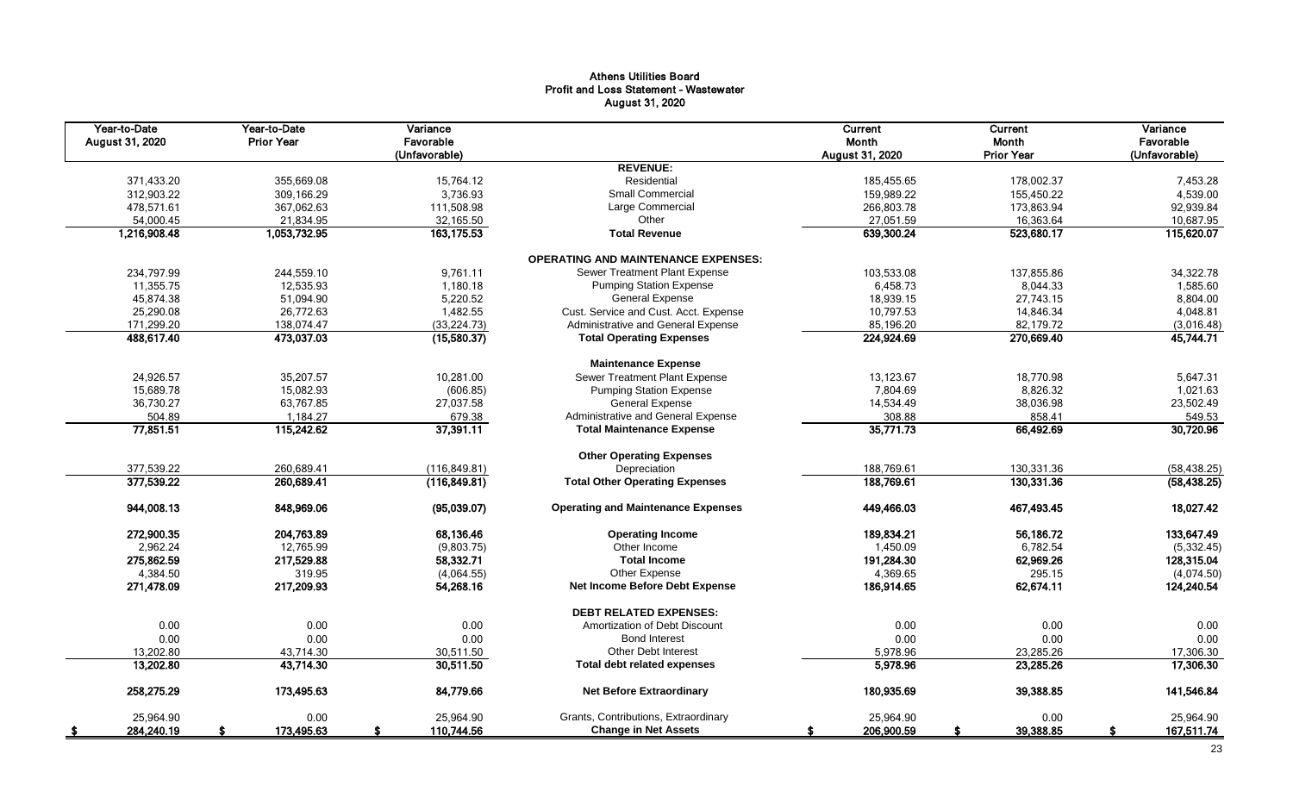# Athens Utilities Board Profit and Loss Statement - Wastewater August 31, 2020

| Year-to-Date<br>August 31, 2020 | Year-to-Date<br><b>Prior Year</b> | Variance<br>Favorable<br>(Unfavorable) |                                            | Current<br>Month<br>August 31, 2020 | Current<br>Month<br><b>Prior Year</b> | Variance<br>Favorable<br>(Unfavorable) |
|---------------------------------|-----------------------------------|----------------------------------------|--------------------------------------------|-------------------------------------|---------------------------------------|----------------------------------------|
|                                 |                                   |                                        | <b>REVENUE:</b>                            |                                     |                                       |                                        |
| 371,433.20                      | 355,669.08                        | 15,764.12                              | Residential                                | 185,455.65                          | 178,002.37                            | 7,453.28                               |
| 312,903.22                      | 309,166.29                        | 3,736.93                               | Small Commercial                           | 159,989.22                          | 155,450.22                            | 4,539.00                               |
| 478,571.61                      | 367,062.63                        | 111,508.98                             | Large Commercial                           | 266,803.78                          | 173,863.94                            | 92,939.84                              |
| 54,000.45                       | 21,834.95                         | 32,165.50                              | Other                                      | 27,051.59                           | 16,363.64                             | 10,687.95                              |
| 1,216,908.48                    | 1,053,732.95                      | 163,175.53                             | <b>Total Revenue</b>                       | 639,300.24                          | 523,680.17                            | 115,620.07                             |
|                                 |                                   |                                        | <b>OPERATING AND MAINTENANCE EXPENSES:</b> |                                     |                                       |                                        |
| 234,797.99                      | 244,559.10                        | 9,761.11                               | Sewer Treatment Plant Expense              | 103,533.08                          | 137,855.86                            | 34,322.78                              |
| 11,355.75                       | 12.535.93                         | 1,180.18                               | <b>Pumping Station Expense</b>             | 6,458.73                            | 8,044.33                              | 1,585.60                               |
| 45,874.38                       | 51,094.90                         | 5,220.52                               | General Expense                            | 18,939.15                           | 27,743.15                             | 8,804.00                               |
| 25,290.08                       | 26,772.63                         | 1,482.55                               | Cust. Service and Cust. Acct. Expense      | 10,797.53                           | 14,846.34                             | 4,048.81                               |
| 171,299.20                      | 138,074.47                        | (33, 224.73)                           | Administrative and General Expense         | 85,196.20                           | 82,179.72                             | (3,016.48)                             |
| 488,617.40                      | 473,037.03                        | (15,580.37)                            | <b>Total Operating Expenses</b>            | 224,924.69                          | 270,669.40                            | 45,744.71                              |
|                                 |                                   |                                        | <b>Maintenance Expense</b>                 |                                     |                                       |                                        |
| 24,926.57                       | 35,207.57                         | 10,281.00                              | Sewer Treatment Plant Expense              | 13,123.67                           | 18,770.98                             | 5,647.31                               |
| 15,689.78                       | 15,082.93                         | (606.85)                               | <b>Pumping Station Expense</b>             | 7,804.69                            | 8,826.32                              | 1,021.63                               |
| 36,730.27                       | 63,767.85                         | 27,037.58                              | <b>General Expense</b>                     | 14,534.49                           | 38,036.98                             | 23,502.49                              |
| 504.89                          | 1,184.27                          | 679.38                                 | Administrative and General Expense         | 308.88                              | 858.41                                | 549.53                                 |
| 77,851.51                       | 115,242.62                        | 37,391.11                              | <b>Total Maintenance Expense</b>           | 35,771.73                           | 66,492.69                             | 30,720.96                              |
|                                 |                                   |                                        | <b>Other Operating Expenses</b>            |                                     |                                       |                                        |
| 377,539.22                      | 260,689.41                        | (116, 849.81)                          | Depreciation                               | 188,769.61                          | 130,331.36                            | (58, 438.25)                           |
| 377,539.22                      | 260,689.41                        | (116, 849.81)                          | <b>Total Other Operating Expenses</b>      | 188,769.61                          | 130,331.36                            | (58, 438.25)                           |
| 944,008.13                      | 848,969.06                        | (95,039.07)                            | <b>Operating and Maintenance Expenses</b>  | 449,466.03                          | 467,493.45                            | 18,027.42                              |
| 272,900.35                      | 204,763.89                        | 68,136.46                              | <b>Operating Income</b>                    | 189,834.21                          | 56,186.72                             | 133,647.49                             |
| 2,962.24                        | 12,765.99                         | (9,803.75)                             | Other Income                               | 1,450.09                            | 6,782.54                              | (5, 332.45)                            |
| 275,862.59                      | 217,529.88                        | 58,332.71                              | <b>Total Income</b>                        | 191,284.30                          | 62,969.26                             | 128,315.04                             |
| 4,384.50                        | 319.95                            | (4,064.55)                             | Other Expense                              | 4,369.65                            | 295.15                                | (4,074.50)                             |
| 271,478.09                      | 217,209.93                        | 54,268.16                              | Net Income Before Debt Expense             | 186.914.65                          | 62,674.11                             | 124,240.54                             |
|                                 |                                   |                                        | <b>DEBT RELATED EXPENSES:</b>              |                                     |                                       |                                        |
| 0.00                            | 0.00                              | 0.00                                   | Amortization of Debt Discount              | 0.00                                | 0.00                                  | 0.00                                   |
| 0.00                            | 0.00                              | 0.00                                   | <b>Bond Interest</b>                       | 0.00                                | 0.00                                  | 0.00                                   |
| 13,202.80                       | 43,714.30                         | 30,511.50                              | Other Debt Interest                        | 5,978.96                            | 23,285.26                             | 17,306.30                              |
| 13,202.80                       | 43,714.30                         | 30,511.50                              | <b>Total debt related expenses</b>         | 5,978.96                            | 23,285.26                             | 17,306.30                              |
| 258,275.29                      | 173,495.63                        | 84,779.66                              | <b>Net Before Extraordinary</b>            | 180,935.69                          | 39,388.85                             | 141,546.84                             |
| 25,964.90                       | 0.00                              | 25,964.90                              | Grants, Contributions, Extraordinary       | 25,964.90                           | 0.00                                  | 25,964.90                              |
| 284,240.19<br>- \$              | 173,495.63<br>S                   | 110,744.56<br>s.                       | <b>Change in Net Assets</b>                | 206,900.59<br>S                     | 39,388.85<br>£.                       | 167,511.74<br>S                        |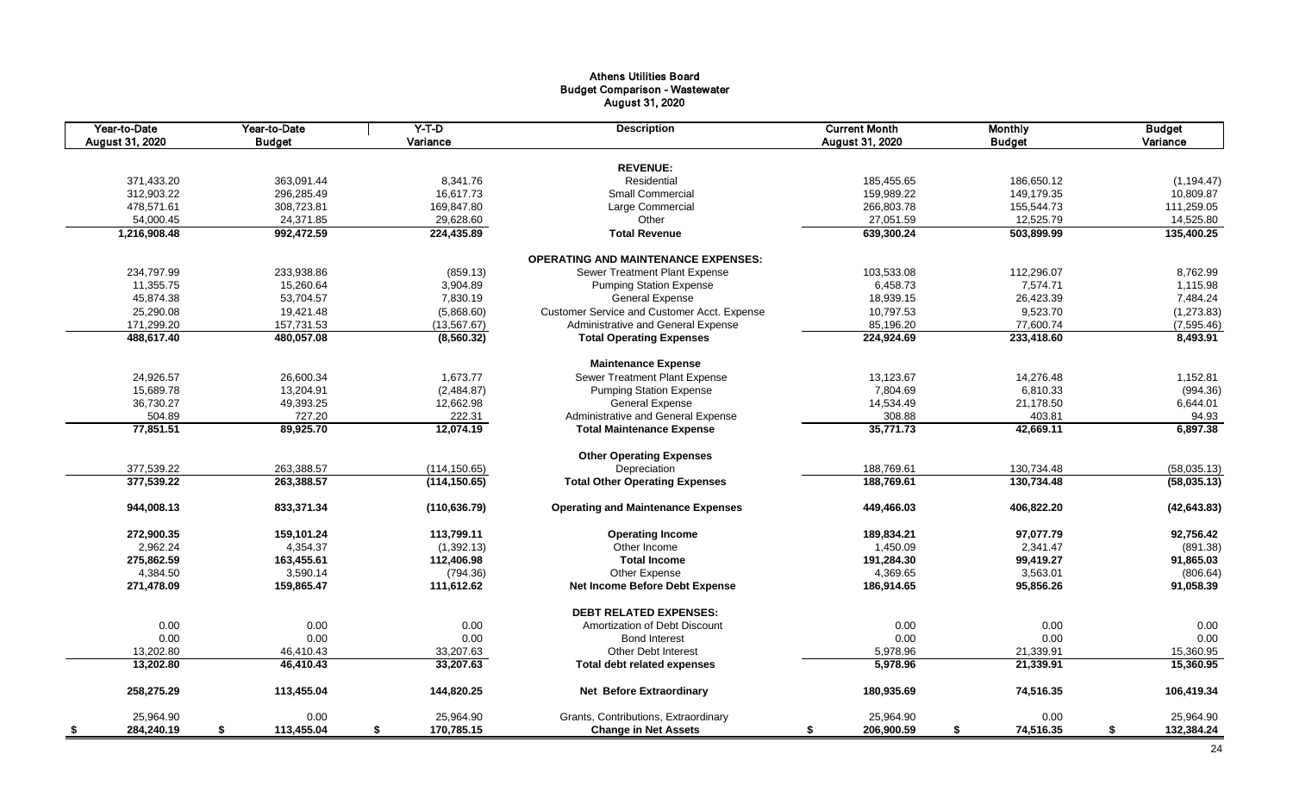# Athens Utilities Board Budget Comparison - Wastewater August 31, 2020

| Year-to-Date<br>August 31, 2020 | Year-to-Date<br><b>Budget</b> | $Y-T-D$<br>Variance | <b>Description</b>                          | <b>Current Month</b><br>August 31, 2020 | <b>Monthly</b><br><b>Budget</b> | <b>Budget</b><br>Variance |
|---------------------------------|-------------------------------|---------------------|---------------------------------------------|-----------------------------------------|---------------------------------|---------------------------|
|                                 |                               |                     |                                             |                                         |                                 |                           |
|                                 |                               |                     | <b>REVENUE:</b>                             |                                         |                                 |                           |
| 371,433.20                      | 363,091.44                    | 8,341.76            | Residential                                 | 185,455.65                              | 186,650.12                      | (1, 194.47)               |
| 312,903.22                      | 296,285.49                    | 16,617.73           | <b>Small Commercial</b>                     | 159,989.22                              | 149,179.35                      | 10,809.87                 |
| 478,571.61                      | 308,723.81                    | 169,847.80          | Large Commercial                            | 266,803.78                              | 155,544.73                      | 111,259.05                |
| 54,000.45                       | 24,371.85                     | 29,628.60           | Other                                       | 27,051.59                               | 12,525.79                       | 14,525.80                 |
| 1,216,908.48                    | 992,472.59                    | 224,435.89          | <b>Total Revenue</b>                        | 639,300.24                              | 503,899.99                      | 135,400.25                |
|                                 |                               |                     | <b>OPERATING AND MAINTENANCE EXPENSES:</b>  |                                         |                                 |                           |
| 234,797.99                      | 233,938.86                    | (859.13)            | Sewer Treatment Plant Expense               | 103,533.08                              | 112,296.07                      | 8,762.99                  |
| 11,355.75                       | 15,260.64                     | 3,904.89            | <b>Pumping Station Expense</b>              | 6,458.73                                | 7,574.71                        | 1,115.98                  |
| 45,874.38                       | 53,704.57                     | 7,830.19            | <b>General Expense</b>                      | 18,939.15                               | 26,423.39                       | 7,484.24                  |
| 25,290.08                       | 19,421.48                     | (5,868.60)          | Customer Service and Customer Acct. Expense | 10,797.53                               | 9,523.70                        | (1, 273.83)               |
| 171,299.20                      | 157,731.53                    | (13, 567.67)        | Administrative and General Expense          | 85,196.20                               | 77,600.74                       | (7,595.46)                |
| 488,617.40                      | 480,057.08                    | (8,560.32)          | <b>Total Operating Expenses</b>             | 224,924.69                              | 233,418.60                      | 8,493.91                  |
|                                 |                               |                     | <b>Maintenance Expense</b>                  |                                         |                                 |                           |
| 24,926.57                       | 26,600.34                     | 1,673.77            | Sewer Treatment Plant Expense               | 13,123.67                               | 14,276.48                       | 1,152.81                  |
| 15,689.78                       | 13,204.91                     | (2,484.87)          | <b>Pumping Station Expense</b>              | 7,804.69                                | 6,810.33                        | (994.36)                  |
| 36,730.27                       | 49,393.25                     | 12,662.98           | <b>General Expense</b>                      | 14,534.49                               | 21,178.50                       | 6,644.01                  |
| 504.89                          | 727.20                        | 222.31              | Administrative and General Expense          | 308.88                                  | 403.81                          | 94.93                     |
| 77,851.51                       | 89,925.70                     | 12,074.19           | <b>Total Maintenance Expense</b>            | 35,771.73                               | 42,669.11                       | 6,897.38                  |
|                                 |                               |                     |                                             |                                         |                                 |                           |
|                                 |                               |                     | <b>Other Operating Expenses</b>             |                                         |                                 |                           |
| 377,539.22                      | 263,388.57                    | (114, 150.65)       | Depreciation                                | 188,769.61                              | 130,734.48                      | (58,035.13)               |
| 377,539.22                      | 263,388.57                    | (114, 150.65)       | <b>Total Other Operating Expenses</b>       | 188,769.61                              | 130,734.48                      | (58,035.13)               |
| 944,008.13                      | 833,371.34                    | (110, 636.79)       | <b>Operating and Maintenance Expenses</b>   | 449,466.03                              | 406,822.20                      | (42, 643.83)              |
| 272,900.35                      | 159,101.24                    | 113,799.11          | <b>Operating Income</b>                     | 189,834.21                              | 97,077.79                       | 92,756.42                 |
| 2,962.24                        | 4,354.37                      | (1,392.13)          | Other Income                                | 1,450.09                                | 2,341.47                        | (891.38)                  |
| 275,862.59                      | 163,455.61                    | 112,406.98          | <b>Total Income</b>                         | 191,284.30                              | 99,419.27                       | 91,865.03                 |
| 4,384.50                        | 3,590.14                      | (794.36)            | Other Expense                               | 4,369.65                                | 3,563.01                        | (806.64)                  |
| 271,478.09                      | 159,865.47                    | 111,612.62          | <b>Net Income Before Debt Expense</b>       | 186,914.65                              | 95,856.26                       | 91,058.39                 |
|                                 |                               |                     | <b>DEBT RELATED EXPENSES:</b>               |                                         |                                 |                           |
| 0.00                            | 0.00                          | 0.00                | Amortization of Debt Discount               | 0.00                                    | 0.00                            | 0.00                      |
| 0.00                            | 0.00                          | 0.00                | <b>Bond Interest</b>                        | 0.00                                    | 0.00                            | 0.00                      |
| 13,202.80                       | 46,410.43                     | 33,207.63           | <b>Other Debt Interest</b>                  | 5,978.96                                | 21,339.91                       | 15,360.95                 |
| 13,202.80                       | 46,410.43                     | 33,207.63           | <b>Total debt related expenses</b>          | 5,978.96                                | 21,339.91                       | 15,360.95                 |
| 258,275.29                      | 113,455.04                    | 144,820.25          | Net Before Extraordinary                    | 180,935.69                              | 74,516.35                       | 106,419.34                |
| 25,964.90                       | 0.00                          | 25,964.90           | Grants, Contributions, Extraordinary        | 25,964.90                               | 0.00                            | 25,964.90                 |
| 284,240.19<br>\$                | \$<br>113,455.04              | 170,785.15<br>\$    | <b>Change in Net Assets</b>                 | 206,900.59<br>\$                        | \$<br>74,516.35                 | \$<br>132,384.24          |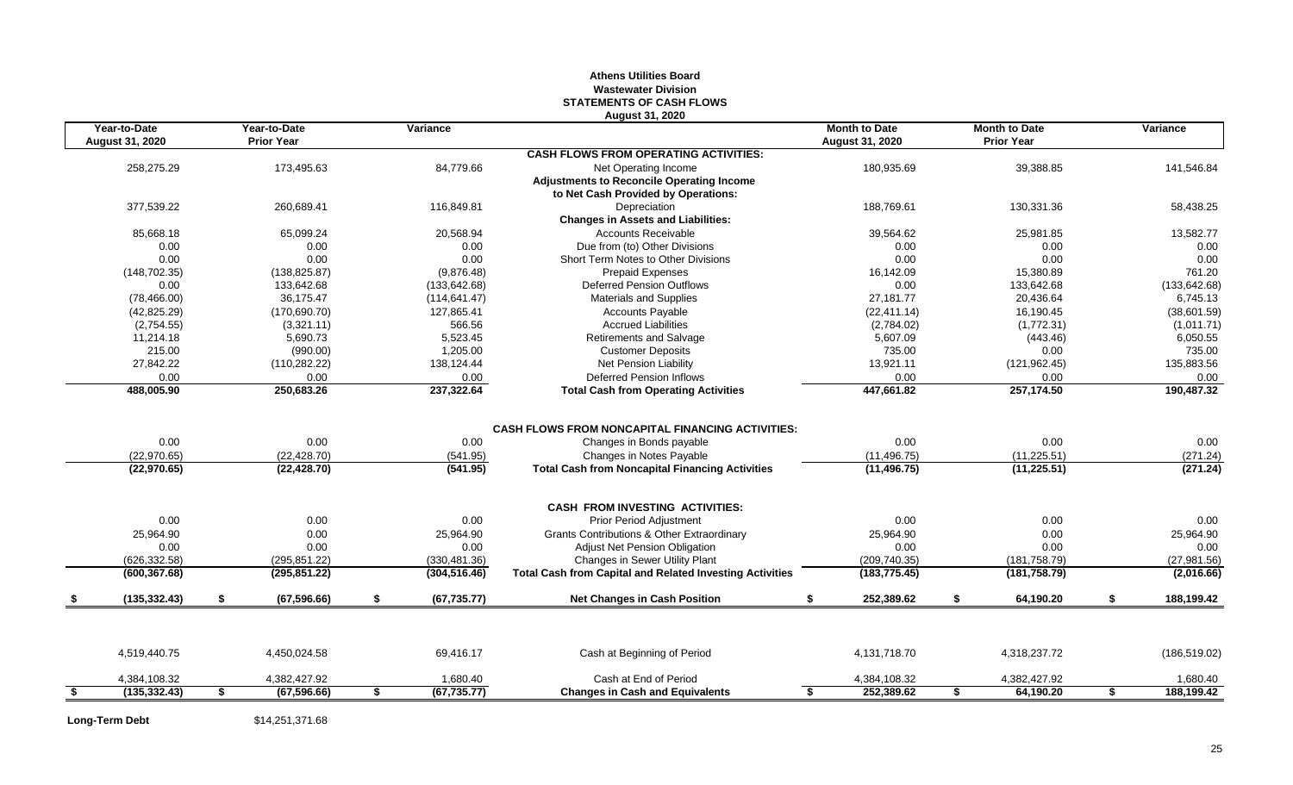#### **Athens Utilities Board Wastewater Division STATEMENTS OF CASH FLOWS August 31, 2020**

| Year-to-Date<br>August 31, 2020 | Year-to-Date<br><b>Prior Year</b> | Variance           |                                                                 | <b>Month to Date</b><br>August 31, 2020 |    | <b>Month to Date</b><br><b>Prior Year</b> | Variance         |
|---------------------------------|-----------------------------------|--------------------|-----------------------------------------------------------------|-----------------------------------------|----|-------------------------------------------|------------------|
|                                 |                                   |                    | <b>CASH FLOWS FROM OPERATING ACTIVITIES:</b>                    |                                         |    |                                           |                  |
| 258,275.29                      | 173,495.63                        | 84,779.66          | Net Operating Income                                            | 180,935.69                              |    | 39,388.85                                 | 141,546.84       |
|                                 |                                   |                    | <b>Adjustments to Reconcile Operating Income</b>                |                                         |    |                                           |                  |
|                                 |                                   |                    | to Net Cash Provided by Operations:                             |                                         |    |                                           |                  |
| 377,539.22                      | 260,689.41                        | 116,849.81         | Depreciation                                                    | 188,769.61                              |    | 130,331.36                                | 58,438.25        |
|                                 |                                   |                    | <b>Changes in Assets and Liabilities:</b>                       |                                         |    |                                           |                  |
| 85,668.18                       | 65,099.24                         | 20,568.94          | <b>Accounts Receivable</b>                                      | 39,564.62                               |    | 25,981.85                                 | 13,582.77        |
| 0.00                            | 0.00                              | 0.00               | Due from (to) Other Divisions                                   | 0.00                                    |    | 0.00                                      | 0.00             |
| 0.00                            | 0.00                              | 0.00               | Short Term Notes to Other Divisions                             | 0.00                                    |    | 0.00                                      | 0.00             |
| (148, 702.35)                   | (138, 825.87)                     | (9,876.48)         | <b>Prepaid Expenses</b>                                         | 16,142.09                               |    | 15,380.89                                 | 761.20           |
| 0.00                            | 133,642.68                        | (133, 642.68)      | <b>Deferred Pension Outflows</b>                                | 0.00                                    |    | 133,642.68                                | (133, 642.68)    |
| (78, 466.00)                    | 36,175.47                         | (114, 641.47)      | <b>Materials and Supplies</b>                                   | 27,181.77                               |    | 20,436.64                                 | 6,745.13         |
| (42, 825.29)                    | (170, 690.70)                     | 127,865.41         | <b>Accounts Payable</b>                                         | (22, 411.14)                            |    | 16,190.45                                 | (38,601.59)      |
| (2,754.55)                      | (3,321.11)                        | 566.56             | <b>Accrued Liabilities</b>                                      | (2,784.02)                              |    | (1,772.31)                                | (1,011.71)       |
| 11,214.18                       | 5,690.73                          | 5,523.45           | Retirements and Salvage                                         | 5,607.09                                |    | (443.46)                                  | 6,050.55         |
| 215.00                          | (990.00)                          | 1.205.00           | <b>Customer Deposits</b>                                        | 735.00                                  |    | 0.00                                      | 735.00           |
| 27,842.22                       | (110, 282.22)                     | 138,124.44         | <b>Net Pension Liability</b>                                    | 13,921.11                               |    | (121, 962.45)                             | 135,883.56       |
| 0.00                            | 0.00                              | 0.00               | <b>Deferred Pension Inflows</b>                                 | 0.00                                    |    | 0.00                                      | 0.00             |
| 488,005.90                      | 250,683.26                        | 237,322.64         | <b>Total Cash from Operating Activities</b>                     | 447,661.82                              |    | 257,174.50                                | 190,487.32       |
|                                 |                                   |                    |                                                                 |                                         |    |                                           |                  |
|                                 |                                   |                    | <b>CASH FLOWS FROM NONCAPITAL FINANCING ACTIVITIES:</b>         |                                         |    | 0.00                                      |                  |
| 0.00                            | 0.00                              | 0.00               | Changes in Bonds payable                                        | 0.00                                    |    |                                           | 0.00             |
| (22, 970.65)                    | (22, 428.70)                      | (541.95)           | Changes in Notes Payable                                        | (11, 496.75)                            |    | (11, 225.51)                              | (271.24)         |
| (22, 970.65)                    | (22, 428.70)                      | (541.95)           | <b>Total Cash from Noncapital Financing Activities</b>          | (11, 496.75)                            |    | (11, 225.51)                              | (271.24)         |
|                                 |                                   |                    | <b>CASH FROM INVESTING ACTIVITIES:</b>                          |                                         |    |                                           |                  |
| 0.00                            | 0.00                              | 0.00               | Prior Period Adjustment                                         | 0.00                                    |    | 0.00                                      | 0.00             |
| 25,964.90                       | 0.00                              | 25,964.90          | Grants Contributions & Other Extraordinary                      | 25,964.90                               |    | 0.00                                      | 25,964.90        |
| 0.00                            | 0.00                              | 0.00               | Adjust Net Pension Obligation                                   | 0.00                                    |    | 0.00                                      | 0.00             |
| (626.332.58)                    | (295.851.22)                      | (330, 481.36)      | Changes in Sewer Utility Plant                                  | (209, 740.35)                           |    | (181, 758.79)                             | (27, 981.56)     |
| (600, 367.68)                   | (295, 851.22)                     | (304, 516.46)      | <b>Total Cash from Capital and Related Investing Activities</b> | (183, 775.45)                           |    | (181, 758.79)                             | (2,016.66)       |
| (135, 332.43)                   | \$<br>(67, 596.66)                | \$<br>(67, 735.77) | <b>Net Changes in Cash Position</b>                             | £.<br>252,389.62                        | \$ | 64,190.20                                 | \$<br>188,199.42 |
|                                 |                                   |                    |                                                                 |                                         |    |                                           |                  |
| 4,519,440.75                    | 4,450,024.58                      | 69,416.17          | Cash at Beginning of Period                                     | 4,131,718.70                            |    | 4,318,237.72                              | (186, 519.02)    |
| 4,384,108.32                    | 4.382.427.92                      | 1,680.40           | Cash at End of Period                                           | 4,384,108.32                            |    | 4,382,427.92                              | 1,680.40         |
| (135, 332.43)                   | \$<br>(67, 596.66)                | \$<br>(67, 735.77) | <b>Changes in Cash and Equivalents</b>                          | 252,389.62<br>S.                        | S. | 64,190.20                                 | \$<br>188,199.42 |

Long-Term Debt \$14,251,371.68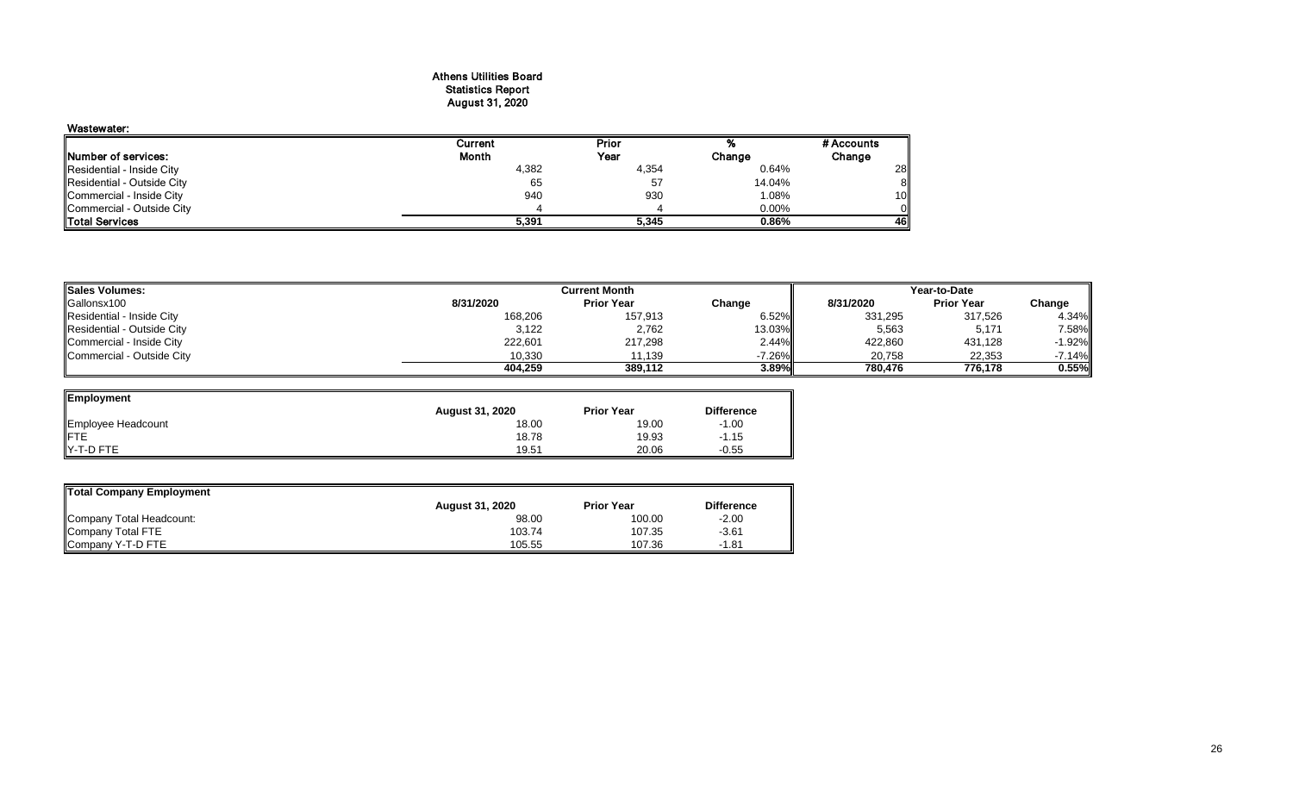#### Athens Utilities Board Statistics Report August 31, 2020

# Wastewater:

|                             | Current | Prior |          | # Accounts      |
|-----------------------------|---------|-------|----------|-----------------|
| <b>INumber of services:</b> | Month   | Year  | Change   | Change          |
| Residential - Inside City   | 4,382   | 4,354 | 0.64%    | 28              |
| Residential - Outside City  | 65      | 57    | 14.04%   | 81              |
| Commercial - Inside City    | 940     | 930   | 1.08%    | 10 <sup>1</sup> |
| Commercial - Outside City   |         |       | $0.00\%$ | ΟII             |
| <b>ITotal Services</b>      | 5,391   | 5.345 | 0.86%    | 46II            |

| <b>Sales Volumes:</b>      |           | <b>Current Month</b> | Year-to-Date |           |                   |          |
|----------------------------|-----------|----------------------|--------------|-----------|-------------------|----------|
| Gallonsx100                | 8/31/2020 | <b>Prior Year</b>    | Change       | 8/31/2020 | <b>Prior Year</b> | Change   |
| Residential - Inside City  | 168,206   | 157,913              | 6.52%        | 331,295   | 317,526           | 4.34%    |
| Residential - Outside City | 3,122     | 2,762                | 13.03%       | 5,563     | 5,171             | 7.58%    |
| Commercial - Inside City   | 222,601   | 217,298              | 2.44%        | 422,860   | 431,128           | $-1.92%$ |
| Commercial - Outside City  | 10,330    | 11,139               | $-7.26\%$    | 20,758    | 22,353            | $-7.14%$ |
|                            | 404.259   | 389.112              | 3.89%I       | 780.476   | 776.178           | 0.55%    |

| Employment         |                        |                   |                   |
|--------------------|------------------------|-------------------|-------------------|
|                    | <b>August 31, 2020</b> | <b>Prior Year</b> | <b>Difference</b> |
| Employee Headcount | 18.00                  | 19.00             | $-1.00$           |
|                    | 18.78                  | 19.93             | $-1.15$           |
| Y-T-D FTE          | 19.51                  | 20.06             | $-0.55$           |

| Total Company Employment |                        |                   |                   |
|--------------------------|------------------------|-------------------|-------------------|
|                          | <b>August 31, 2020</b> | <b>Prior Year</b> | <b>Difference</b> |
| Company Total Headcount: | 98.00                  | 100.00            | $-2.00$           |
| Company Total FTE        | 103.74                 | 107.35            | $-3.61$           |
| Company Y-T-D FTE        | 105.55                 | 107.36            | $-1.81$           |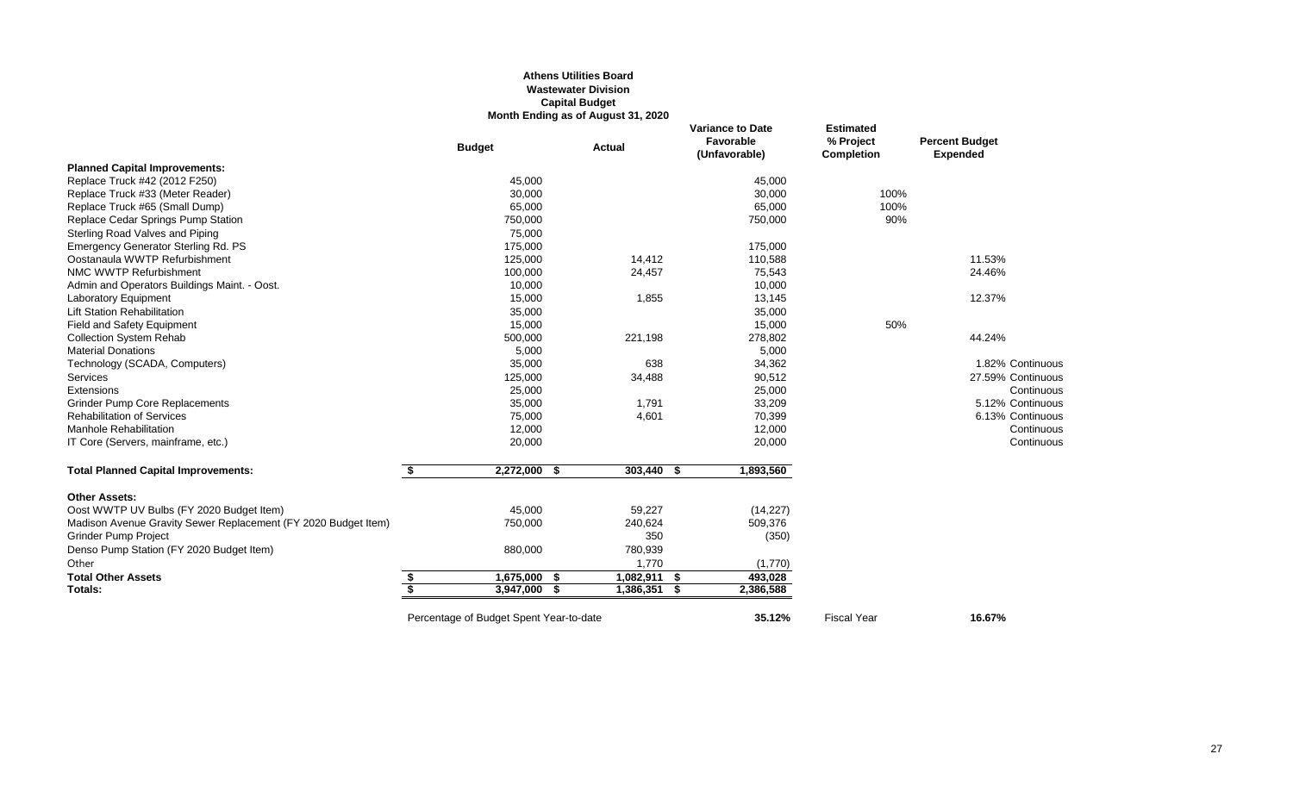#### **Athens Utilities Board Wastewater Division Capital Budget Month Ending as of August 31, 2020**

|                                                                |                         |                                         | Month Ending as of August 31, 2020 |              |     |                                                       |                                             |                                          |
|----------------------------------------------------------------|-------------------------|-----------------------------------------|------------------------------------|--------------|-----|-------------------------------------------------------|---------------------------------------------|------------------------------------------|
|                                                                |                         | <b>Budget</b>                           | <b>Actual</b>                      |              |     | <b>Variance to Date</b><br>Favorable<br>(Unfavorable) | <b>Estimated</b><br>% Project<br>Completion | <b>Percent Budget</b><br><b>Expended</b> |
| <b>Planned Capital Improvements:</b>                           |                         |                                         |                                    |              |     |                                                       |                                             |                                          |
| Replace Truck #42 (2012 F250)                                  |                         | 45,000                                  |                                    |              |     | 45,000                                                |                                             |                                          |
| Replace Truck #33 (Meter Reader)                               |                         | 30,000                                  |                                    |              |     | 30,000                                                | 100%                                        |                                          |
| Replace Truck #65 (Small Dump)                                 |                         | 65,000                                  |                                    |              |     | 65,000                                                | 100%                                        |                                          |
| Replace Cedar Springs Pump Station                             |                         | 750,000                                 |                                    |              |     | 750,000                                               | 90%                                         |                                          |
| Sterling Road Valves and Piping                                |                         | 75,000                                  |                                    |              |     |                                                       |                                             |                                          |
| Emergency Generator Sterling Rd. PS                            |                         | 175,000                                 |                                    |              |     | 175,000                                               |                                             |                                          |
| Oostanaula WWTP Refurbishment                                  |                         | 125,000                                 |                                    | 14,412       |     | 110,588                                               |                                             | 11.53%                                   |
| NMC WWTP Refurbishment                                         |                         | 100,000                                 |                                    | 24,457       |     | 75,543                                                |                                             | 24.46%                                   |
| Admin and Operators Buildings Maint. - Oost.                   |                         | 10,000                                  |                                    |              |     | 10,000                                                |                                             |                                          |
| <b>Laboratory Equipment</b>                                    |                         | 15,000                                  |                                    | 1,855        |     | 13,145                                                |                                             | 12.37%                                   |
| <b>Lift Station Rehabilitation</b>                             |                         | 35,000                                  |                                    |              |     | 35,000                                                |                                             |                                          |
| <b>Field and Safety Equipment</b>                              |                         | 15,000                                  |                                    |              |     | 15,000                                                | 50%                                         |                                          |
| <b>Collection System Rehab</b>                                 |                         | 500,000                                 |                                    | 221,198      |     | 278,802                                               |                                             | 44.24%                                   |
| <b>Material Donations</b>                                      |                         | 5,000                                   |                                    |              |     | 5,000                                                 |                                             |                                          |
| Technology (SCADA, Computers)                                  |                         | 35,000                                  |                                    | 638          |     | 34,362                                                |                                             | 1.82% Continuous                         |
| <b>Services</b>                                                |                         | 125,000                                 |                                    | 34,488       |     | 90,512                                                |                                             | 27.59% Continuous                        |
| Extensions                                                     |                         | 25,000                                  |                                    |              |     | 25,000                                                |                                             | Continuous                               |
| <b>Grinder Pump Core Replacements</b>                          |                         | 35,000                                  |                                    | 1,791        |     | 33,209                                                |                                             | 5.12% Continuous                         |
| <b>Rehabilitation of Services</b>                              |                         | 75,000                                  |                                    | 4,601        |     | 70,399                                                |                                             | 6.13% Continuous                         |
| <b>Manhole Rehabilitation</b>                                  |                         | 12,000                                  |                                    |              |     | 12,000                                                |                                             | Continuous                               |
| IT Core (Servers, mainframe, etc.)                             |                         | 20,000                                  |                                    |              |     | 20,000                                                |                                             | Continuous                               |
| <b>Total Planned Capital Improvements:</b>                     | \$                      | 2,272,000 \$                            |                                    | 303,440 \$   |     | 1,893,560                                             |                                             |                                          |
| <b>Other Assets:</b>                                           |                         |                                         |                                    |              |     |                                                       |                                             |                                          |
| Oost WWTP UV Bulbs (FY 2020 Budget Item)                       |                         | 45,000                                  |                                    | 59,227       |     | (14, 227)                                             |                                             |                                          |
| Madison Avenue Gravity Sewer Replacement (FY 2020 Budget Item) |                         | 750,000                                 |                                    | 240,624      |     | 509,376                                               |                                             |                                          |
| <b>Grinder Pump Project</b>                                    |                         |                                         |                                    | 350          |     | (350)                                                 |                                             |                                          |
| Denso Pump Station (FY 2020 Budget Item)                       |                         | 880,000                                 |                                    | 780,939      |     |                                                       |                                             |                                          |
| Other                                                          |                         |                                         |                                    | 1,770        |     | (1,770)                                               |                                             |                                          |
| <b>Total Other Assets</b>                                      | \$                      | $1,675,000$ \$                          |                                    | 1,082,911 \$ |     | 493.028                                               |                                             |                                          |
| Totals:                                                        | $\overline{\mathbf{s}}$ | 3,947,000                               |                                    | 1,386,351    | - 5 | 2,386,588                                             |                                             |                                          |
|                                                                |                         | Percentage of Budget Spent Year-to-date |                                    |              |     | 35.12%                                                | <b>Fiscal Year</b>                          | 16.67%                                   |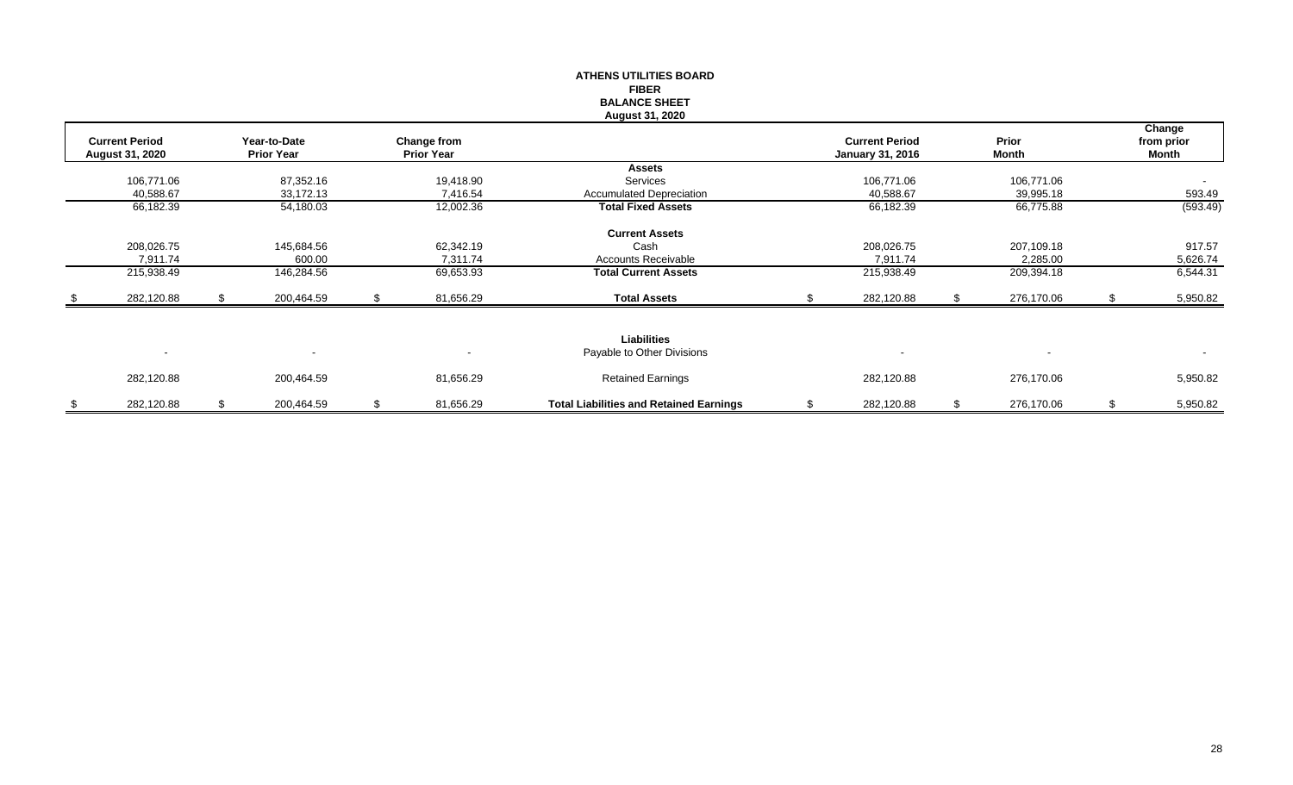|      |                       |    |                                   |    |                                  | <b>ATHENS UTILITIES BOARD</b>                  |                         |                  |    |                     |
|------|-----------------------|----|-----------------------------------|----|----------------------------------|------------------------------------------------|-------------------------|------------------|----|---------------------|
|      |                       |    |                                   |    |                                  | <b>FIBER</b>                                   |                         |                  |    |                     |
|      |                       |    |                                   |    |                                  | <b>BALANCE SHEET</b>                           |                         |                  |    |                     |
|      |                       |    |                                   |    |                                  | <b>August 31, 2020</b>                         |                         |                  |    |                     |
|      |                       |    |                                   |    |                                  |                                                | <b>Current Period</b>   | Prior            |    | Change              |
|      | <b>Current Period</b> |    | Year-to-Date<br><b>Prior Year</b> |    | Change from<br><b>Prior Year</b> |                                                |                         | Month            |    | from prior<br>Month |
|      | August 31, 2020       |    |                                   |    |                                  | <b>Assets</b>                                  | <b>January 31, 2016</b> |                  |    |                     |
|      | 106,771.06            |    | 87,352.16                         |    | 19,418.90                        | Services                                       | 106,771.06              | 106,771.06       |    | $\sim$              |
|      | 40,588.67             |    | 33,172.13                         |    | 7,416.54                         | <b>Accumulated Depreciation</b>                | 40,588.67               | 39,995.18        |    | 593.49              |
|      | 66,182.39             |    | 54,180.03                         |    | 12,002.36                        | <b>Total Fixed Assets</b>                      | 66,182.39               | 66,775.88        |    | (593.49)            |
|      |                       |    |                                   |    |                                  |                                                |                         |                  |    |                     |
|      |                       |    |                                   |    |                                  | <b>Current Assets</b>                          |                         |                  |    |                     |
|      | 208,026.75            |    | 145,684.56                        |    | 62,342.19                        | Cash                                           | 208,026.75              | 207,109.18       |    | 917.57              |
|      | 7,911.74              |    | 600.00                            |    | 7,311.74                         | <b>Accounts Receivable</b>                     | 7,911.74                | 2,285.00         |    | 5,626.74            |
|      | 215,938.49            |    | 146,284.56                        |    | 69,653.93                        | <b>Total Current Assets</b>                    | 215,938.49              | 209,394.18       |    | 6,544.31            |
| - \$ | 282,120.88            | £. | 200,464.59                        | £. | 81,656.29                        | <b>Total Assets</b>                            | 282,120.88              | 276,170.06       | £. | 5,950.82            |
|      |                       |    |                                   |    |                                  |                                                |                         |                  |    |                     |
|      |                       |    |                                   |    |                                  |                                                |                         |                  |    |                     |
|      |                       |    |                                   |    |                                  | Liabilities                                    |                         |                  |    |                     |
|      | $\sim$                |    |                                   |    |                                  | Payable to Other Divisions                     |                         |                  |    | $\sim$              |
|      |                       |    |                                   |    |                                  |                                                |                         |                  |    |                     |
|      | 282,120.88            |    | 200,464.59                        |    | 81,656.29                        | <b>Retained Earnings</b>                       | 282,120.88              | 276,170.06       |    | 5,950.82            |
|      |                       |    |                                   |    |                                  |                                                |                         |                  |    |                     |
| \$   | 282,120.88            | \$ | 200,464.59                        | \$ | 81,656.29                        | <b>Total Liabilities and Retained Earnings</b> | \$<br>282,120.88        | \$<br>276,170.06 | \$ | 5,950.82            |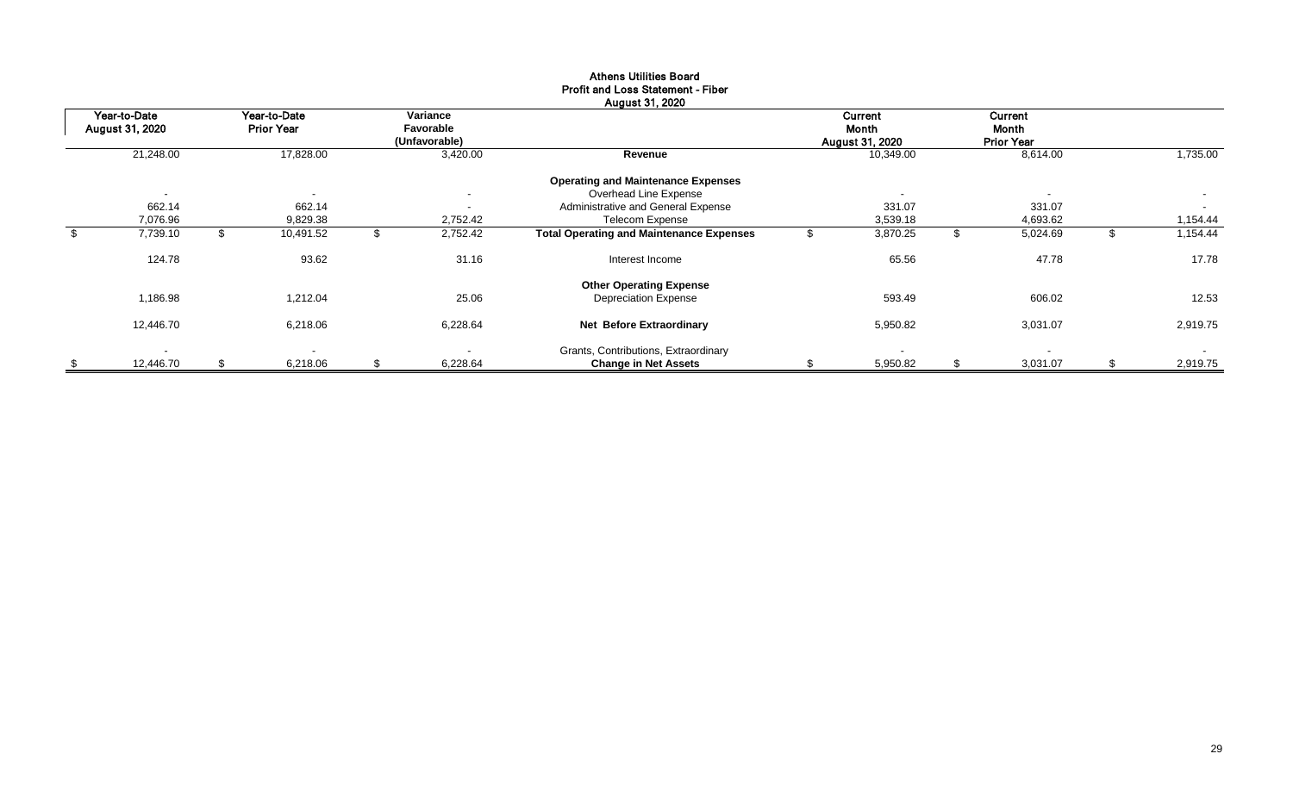| Year-to-Date<br>August 31, 2020 | Year-to-Date<br><b>Prior Year</b> | Variance<br>Favorable    |                                                 | Current<br>Month         | <b>Current</b><br>Month |          |
|---------------------------------|-----------------------------------|--------------------------|-------------------------------------------------|--------------------------|-------------------------|----------|
|                                 |                                   | (Unfavorable)            |                                                 | <b>August 31, 2020</b>   | <b>Prior Year</b>       |          |
| 21,248.00                       | 17,828.00                         | 3,420.00                 | Revenue                                         | 10,349.00                | 8,614.00                | 1,735.00 |
|                                 |                                   |                          | <b>Operating and Maintenance Expenses</b>       |                          |                         |          |
| $\overline{\phantom{a}}$        | $\overline{\phantom{a}}$          | $\overline{\phantom{a}}$ | Overhead Line Expense                           | $\overline{\phantom{0}}$ |                         | $\sim$   |
| 662.14                          | 662.14                            | $\overline{\phantom{a}}$ | Administrative and General Expense              | 331.07                   | 331.07                  | $\sim$   |
| 7,076.96                        | 9,829.38                          | 2,752.42                 | <b>Telecom Expense</b>                          | 3,539.18                 | 4,693.62                | 1,154.44 |
| 7,739.10                        | 10,491.52                         | 2,752.42                 | <b>Total Operating and Maintenance Expenses</b> | 3,870.25                 | 5,024.69                | 1,154.44 |
| 124.78                          | 93.62                             | 31.16                    | Interest Income                                 | 65.56                    | 47.78                   | 17.78    |
|                                 |                                   |                          | <b>Other Operating Expense</b>                  |                          |                         |          |
| 1,186.98                        | 1,212.04                          | 25.06                    | <b>Depreciation Expense</b>                     | 593.49                   | 606.02                  | 12.53    |
| 12,446.70                       | 6,218.06                          | 6,228.64                 | Net Before Extraordinary                        | 5,950.82                 | 3,031.07                | 2,919.75 |
| $\overline{\phantom{a}}$        | $\blacksquare$                    |                          | Grants, Contributions, Extraordinary            |                          | $\sim$                  | $\sim$   |
| \$<br>12,446.70                 | \$<br>6,218.06                    | \$<br>6,228.64           | <b>Change in Net Assets</b>                     | 5,950.82                 | 3,031.07                | 2,919.75 |

#### Athens Utilities Board Profit and Loss Statement - Fiber August 31, 2020